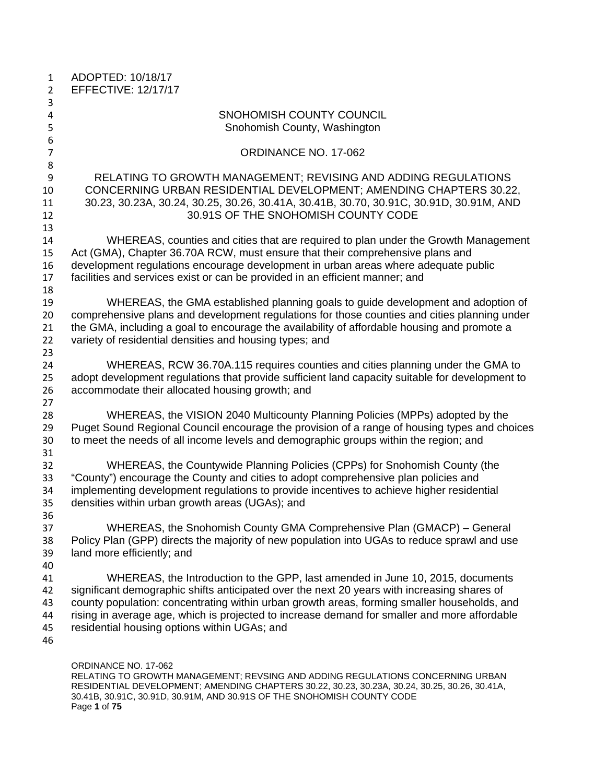| $\mathbf{1}$<br>$\overline{2}$   | ADOPTED: 10/18/17<br><b>EFFECTIVE: 12/17/17</b>                                                                                                                                                                                                                                                                                                                                                                              |
|----------------------------------|------------------------------------------------------------------------------------------------------------------------------------------------------------------------------------------------------------------------------------------------------------------------------------------------------------------------------------------------------------------------------------------------------------------------------|
| 3                                |                                                                                                                                                                                                                                                                                                                                                                                                                              |
| $\overline{\mathbf{4}}$<br>5     | SNOHOMISH COUNTY COUNCIL<br>Snohomish County, Washington                                                                                                                                                                                                                                                                                                                                                                     |
| 6<br>$\overline{7}$              | ORDINANCE NO. 17-062                                                                                                                                                                                                                                                                                                                                                                                                         |
| 8                                |                                                                                                                                                                                                                                                                                                                                                                                                                              |
| 9<br>10<br>11<br>12              | RELATING TO GROWTH MANAGEMENT; REVISING AND ADDING REGULATIONS<br>CONCERNING URBAN RESIDENTIAL DEVELOPMENT; AMENDING CHAPTERS 30.22,<br>30.23, 30.23A, 30.24, 30.25, 30.26, 30.41A, 30.41B, 30.70, 30.91C, 30.91D, 30.91M, AND<br>30.91S OF THE SNOHOMISH COUNTY CODE                                                                                                                                                        |
| 13                               |                                                                                                                                                                                                                                                                                                                                                                                                                              |
| 14<br>15<br>16<br>17<br>18       | WHEREAS, counties and cities that are required to plan under the Growth Management<br>Act (GMA), Chapter 36.70A RCW, must ensure that their comprehensive plans and<br>development regulations encourage development in urban areas where adequate public<br>facilities and services exist or can be provided in an efficient manner; and                                                                                    |
| 19<br>20<br>21<br>22             | WHEREAS, the GMA established planning goals to guide development and adoption of<br>comprehensive plans and development regulations for those counties and cities planning under<br>the GMA, including a goal to encourage the availability of affordable housing and promote a<br>variety of residential densities and housing types; and                                                                                   |
| 23<br>24<br>25<br>26             | WHEREAS, RCW 36.70A.115 requires counties and cities planning under the GMA to<br>adopt development regulations that provide sufficient land capacity suitable for development to<br>accommodate their allocated housing growth; and                                                                                                                                                                                         |
| 27<br>28<br>29<br>30             | WHEREAS, the VISION 2040 Multicounty Planning Policies (MPPs) adopted by the<br>Puget Sound Regional Council encourage the provision of a range of housing types and choices<br>to meet the needs of all income levels and demographic groups within the region; and                                                                                                                                                         |
| 31<br>32<br>33<br>34<br>35       | WHEREAS, the Countywide Planning Policies (CPPs) for Snohomish County (the<br>"County") encourage the County and cities to adopt comprehensive plan policies and<br>implementing development regulations to provide incentives to achieve higher residential<br>densities within urban growth areas (UGAs); and                                                                                                              |
| 36<br>37<br>38<br>39<br>40       | WHEREAS, the Snohomish County GMA Comprehensive Plan (GMACP) – General<br>Policy Plan (GPP) directs the majority of new population into UGAs to reduce sprawl and use<br>land more efficiently; and                                                                                                                                                                                                                          |
| 41<br>42<br>43<br>44<br>45<br>46 | WHEREAS, the Introduction to the GPP, last amended in June 10, 2015, documents<br>significant demographic shifts anticipated over the next 20 years with increasing shares of<br>county population: concentrating within urban growth areas, forming smaller households, and<br>rising in average age, which is projected to increase demand for smaller and more affordable<br>residential housing options within UGAs; and |
|                                  | ORDINANCE NO. 17-062<br>RELATING TO GROWTH MANAGEMENT; REVSING AND ADDING REGULATIONS CONCERNING URBAN                                                                                                                                                                                                                                                                                                                       |

RELATING TO GROWTH MANAGEMENT; REVSING AND ADDING REGULATIONS CONCERNING URBAN RESIDENTIAL DEVELOPMENT; AMENDING CHAPTERS 30.22, 30.23, 30.23A, 30.24, 30.25, 30.26, 30.41A, 30.41B, 30.91C, 30.91D, 30.91M, AND 30.91S OF THE SNOHOMISH COUNTY CODE Page **1** of **75**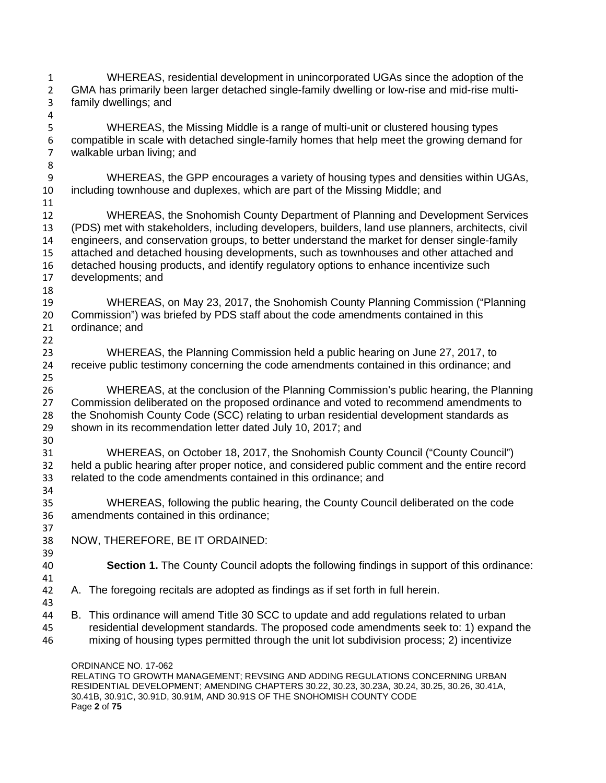ORDINANCE NO. 17-062 WHEREAS, residential development in unincorporated UGAs since the adoption of the GMA has primarily been larger detached single-family dwelling or low-rise and mid-rise multi- family dwellings; and WHEREAS, the Missing Middle is a range of multi-unit or clustered housing types compatible in scale with detached single-family homes that help meet the growing demand for walkable urban living; and 9 WHEREAS, the GPP encourages a variety of housing types and densities within UGAs,<br>10 including townhouse and duplexes, which are part of the Missing Middle: and including townhouse and duplexes, which are part of the Missing Middle; and WHEREAS, the Snohomish County Department of Planning and Development Services (PDS) met with stakeholders, including developers, builders, land use planners, architects, civil engineers, and conservation groups, to better understand the market for denser single-family attached and detached housing developments, such as townhouses and other attached and 16 detached housing products, and identify regulatory options to enhance incentivize such<br>17 developments: and developments; and WHEREAS, on May 23, 2017, the Snohomish County Planning Commission ("Planning Commission") was briefed by PDS staff about the code amendments contained in this ordinance; and WHEREAS, the Planning Commission held a public hearing on June 27, 2017, to receive public testimony concerning the code amendments contained in this ordinance; and WHEREAS, at the conclusion of the Planning Commission's public hearing, the Planning Commission deliberated on the proposed ordinance and voted to recommend amendments to the Snohomish County Code (SCC) relating to urban residential development standards as shown in its recommendation letter dated July 10, 2017; and WHEREAS, on October 18, 2017, the Snohomish County Council ("County Council") held a public hearing after proper notice, and considered public comment and the entire record related to the code amendments contained in this ordinance; and WHEREAS, following the public hearing, the County Council deliberated on the code amendments contained in this ordinance; NOW, THEREFORE, BE IT ORDAINED: 39<br>40 **Section 1.** The County Council adopts the following findings in support of this ordinance: A. The foregoing recitals are adopted as findings as if set forth in full herein. B. This ordinance will amend Title 30 SCC to update and add regulations related to urban residential development standards. The proposed code amendments seek to: 1) expand the mixing of housing types permitted through the unit lot subdivision process; 2) incentivize

RELATING TO GROWTH MANAGEMENT; REVSING AND ADDING REGULATIONS CONCERNING URBAN RESIDENTIAL DEVELOPMENT; AMENDING CHAPTERS 30.22, 30.23, 30.23A, 30.24, 30.25, 30.26, 30.41A, 30.41B, 30.91C, 30.91D, 30.91M, AND 30.91S OF THE SNOHOMISH COUNTY CODE Page **2** of **75**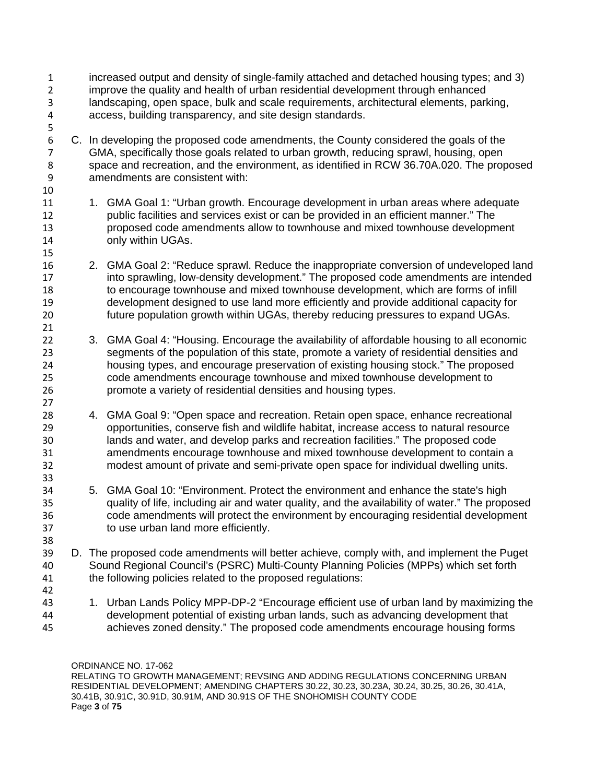- increased output and density of single-family attached and detached housing types; and 3) improve the quality and health of urban residential development through enhanced landscaping, open space, bulk and scale requirements, architectural elements, parking, access, building transparency, and site design standards.
- C. In developing the proposed code amendments, the County considered the goals of the GMA, specifically those goals related to urban growth, reducing sprawl, housing, open space and recreation, and the environment, as identified in RCW 36.70A.020. The proposed amendments are consistent with:
- 1. GMA Goal 1: "Urban growth. Encourage development in urban areas where adequate public facilities and services exist or can be provided in an efficient manner." The proposed code amendments allow to townhouse and mixed townhouse development only within UGAs.
- 2. GMA Goal 2: "Reduce sprawl. Reduce the inappropriate conversion of undeveloped land into sprawling, low-density development." The proposed code amendments are intended to encourage townhouse and mixed townhouse development, which are forms of infill development designed to use land more efficiently and provide additional capacity for future population growth within UGAs, thereby reducing pressures to expand UGAs.
- 3. GMA Goal 4: "Housing. Encourage the availability of affordable housing to all economic segments of the population of this state, promote a variety of residential densities and housing types, and encourage preservation of existing housing stock." The proposed code amendments encourage townhouse and mixed townhouse development to promote a variety of residential densities and housing types.
- 4. GMA Goal 9: "Open space and recreation. Retain open space, enhance recreational opportunities, conserve fish and wildlife habitat, increase access to natural resource lands and water, and develop parks and recreation facilities." The proposed code amendments encourage townhouse and mixed townhouse development to contain a modest amount of private and semi-private open space for individual dwelling units.
- 5. GMA Goal 10: "Environment. Protect the environment and enhance the state's high quality of life, including air and water quality, and the availability of water." The proposed code amendments will protect the environment by encouraging residential development to use urban land more efficiently.
- 39 D. The proposed code amendments will better achieve, comply with, and implement the Puget Sound Regional Council's (PSRC) Multi-County Planning Policies (MPPs) which set forth Sound Regional Council's (PSRC) Multi-County Planning Policies (MPPs) which set forth the following policies related to the proposed regulations:
- 

43 1. Urban Lands Policy MPP-DP-2 "Encourage efficient use of urban land by maximizing the development potential of existing urban lands, such as advancing development that achieves zoned density." The proposed code amendments encourage housing forms

ORDINANCE NO. 17-062 RELATING TO GROWTH MANAGEMENT; REVSING AND ADDING REGULATIONS CONCERNING URBAN RESIDENTIAL DEVELOPMENT; AMENDING CHAPTERS 30.22, 30.23, 30.23A, 30.24, 30.25, 30.26, 30.41A, 30.41B, 30.91C, 30.91D, 30.91M, AND 30.91S OF THE SNOHOMISH COUNTY CODE Page **3** of **75**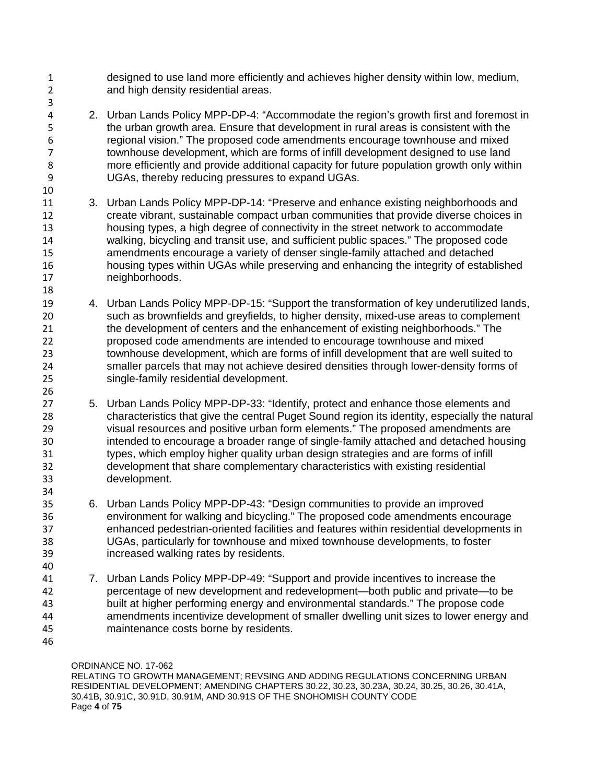designed to use land more efficiently and achieves higher density within low, medium, and high density residential areas.

- 2. Urban Lands Policy MPP-DP-4: "Accommodate the region's growth first and foremost in the urban growth area. Ensure that development in rural areas is consistent with the regional vision." The proposed code amendments encourage townhouse and mixed townhouse development, which are forms of infill development designed to use land more efficiently and provide additional capacity for future population growth only within UGAs, thereby reducing pressures to expand UGAs.
- 3. Urban Lands Policy MPP-DP-14: "Preserve and enhance existing neighborhoods and create vibrant, sustainable compact urban communities that provide diverse choices in housing types, a high degree of connectivity in the street network to accommodate walking, bicycling and transit use, and sufficient public spaces." The proposed code amendments encourage a variety of denser single-family attached and detached housing types within UGAs while preserving and enhancing the integrity of established neighborhoods.
- 4. Urban Lands Policy MPP-DP-15: "Support the transformation of key underutilized lands, such as brownfields and greyfields, to higher density, mixed-use areas to complement the development of centers and the enhancement of existing neighborhoods." The proposed code amendments are intended to encourage townhouse and mixed townhouse development, which are forms of infill development that are well suited to smaller parcels that may not achieve desired densities through lower-density forms of single-family residential development.
- 5. Urban Lands Policy MPP-DP-33: "Identify, protect and enhance those elements and characteristics that give the central Puget Sound region its identity, especially the natural visual resources and positive urban form elements." The proposed amendments are intended to encourage a broader range of single-family attached and detached housing types, which employ higher quality urban design strategies and are forms of infill development that share complementary characteristics with existing residential development.
- 6. Urban Lands Policy MPP-DP-43: "Design communities to provide an improved environment for walking and bicycling." The proposed code amendments encourage enhanced pedestrian-oriented facilities and features within residential developments in UGAs, particularly for townhouse and mixed townhouse developments, to foster increased walking rates by residents.
- 7. Urban Lands Policy MPP-DP-49: "Support and provide incentives to increase the percentage of new development and redevelopment—both public and private—to be built at higher performing energy and environmental standards." The propose code amendments incentivize development of smaller dwelling unit sizes to lower energy and maintenance costs borne by residents.
- 

ORDINANCE NO. 17-062

RELATING TO GROWTH MANAGEMENT; REVSING AND ADDING REGULATIONS CONCERNING URBAN RESIDENTIAL DEVELOPMENT; AMENDING CHAPTERS 30.22, 30.23, 30.23A, 30.24, 30.25, 30.26, 30.41A, 30.41B, 30.91C, 30.91D, 30.91M, AND 30.91S OF THE SNOHOMISH COUNTY CODE Page **4** of **75**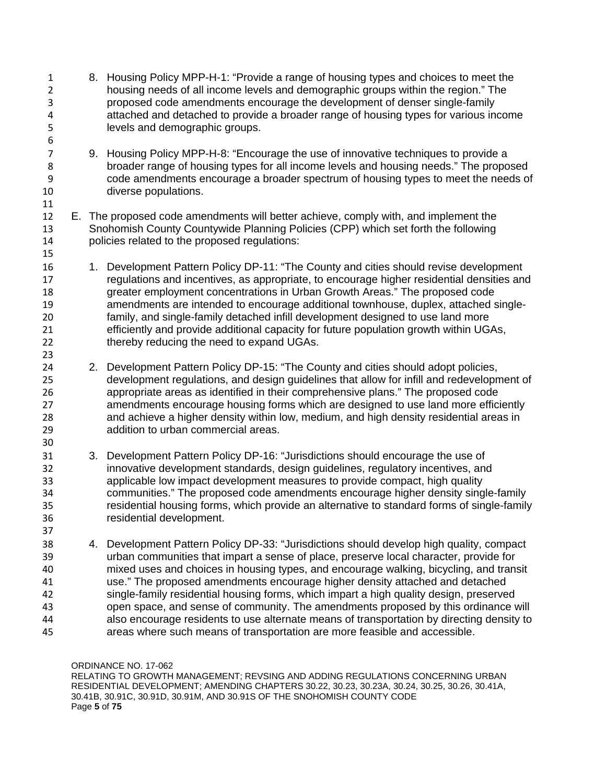8. Housing Policy MPP-H-1: "Provide a range of housing types and choices to meet the housing needs of all income levels and demographic groups within the region." The proposed code amendments encourage the development of denser single-family attached and detached to provide a broader range of housing types for various income levels and demographic groups. 9. Housing Policy MPP-H-8: "Encourage the use of innovative techniques to provide a broader range of housing types for all income levels and housing needs." The proposed code amendments encourage a broader spectrum of housing types to meet the needs of diverse populations. E. The proposed code amendments will better achieve, comply with, and implement the Snohomish County Countywide Planning Policies (CPP) which set forth the following policies related to the proposed regulations: 16 1. Development Pattern Policy DP-11: "The County and cities should revise development regulations and incentives, as appropriate, to encourage higher residential densities and greater employment concentrations in Urban Growth Areas." The proposed code amendments are intended to encourage additional townhouse, duplex, attached single- family, and single-family detached infill development designed to use land more efficiently and provide additional capacity for future population growth within UGAs, thereby reducing the need to expand UGAs. 2. Development Pattern Policy DP-15: "The County and cities should adopt policies, development regulations, and design guidelines that allow for infill and redevelopment of appropriate areas as identified in their comprehensive plans." The proposed code amendments encourage housing forms which are designed to use land more efficiently and achieve a higher density within low, medium, and high density residential areas in addition to urban commercial areas. 3. Development Pattern Policy DP-16: "Jurisdictions should encourage the use of innovative development standards, design guidelines, regulatory incentives, and applicable low impact development measures to provide compact, high quality communities." The proposed code amendments encourage higher density single-family residential housing forms, which provide an alternative to standard forms of single-family residential development. 4. Development Pattern Policy DP-33: "Jurisdictions should develop high quality, compact urban communities that impart a sense of place, preserve local character, provide for mixed uses and choices in housing types, and encourage walking, bicycling, and transit use." The proposed amendments encourage higher density attached and detached single-family residential housing forms, which impart a high quality design, preserved open space, and sense of community. The amendments proposed by this ordinance will also encourage residents to use alternate means of transportation by directing density to areas where such means of transportation are more feasible and accessible.

ORDINANCE NO. 17-062 RELATING TO GROWTH MANAGEMENT; REVSING AND ADDING REGULATIONS CONCERNING URBAN RESIDENTIAL DEVELOPMENT; AMENDING CHAPTERS 30.22, 30.23, 30.23A, 30.24, 30.25, 30.26, 30.41A, 30.41B, 30.91C, 30.91D, 30.91M, AND 30.91S OF THE SNOHOMISH COUNTY CODE Page **5** of **75**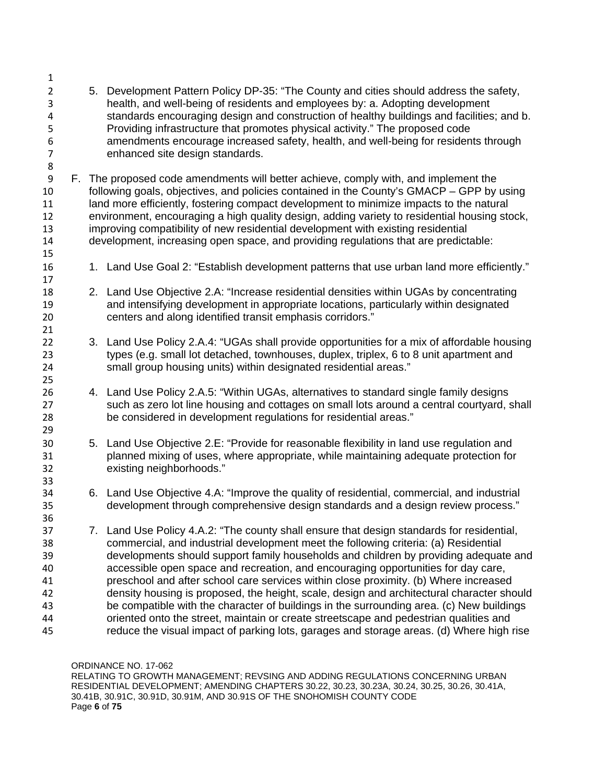5. Development Pattern Policy DP-35: "The County and cities should address the safety, health, and well-being of residents and employees by: a. Adopting development standards encouraging design and construction of healthy buildings and facilities; and b. Providing infrastructure that promotes physical activity." The proposed code 6 amendments encourage increased safety, health, and well-being for residents through<br>7 enhanced site design standards. enhanced site design standards. F. The proposed code amendments will better achieve, comply with, and implement the following goals, objectives, and policies contained in the County's GMACP – GPP by using 11 land more efficiently, fostering compact development to minimize impacts to the natural environment, encouraging a high quality design, adding variety to residential housing stock, improving compatibility of new residential development with existing residential development, increasing open space, and providing regulations that are predictable: 1. Land Use Goal 2: "Establish development patterns that use urban land more efficiently." 2. Land Use Objective 2.A: "Increase residential densities within UGAs by concentrating and intensifying development in appropriate locations, particularly within designated centers and along identified transit emphasis corridors." 22 3. Land Use Policy 2.A.4: "UGAs shall provide opportunities for a mix of affordable housing types (e.g. small lot detached, townhouses, duplex, triplex, 6 to 8 unit apartment and small group housing units) within designated residential areas." 4. Land Use Policy 2.A.5: "Within UGAs, alternatives to standard single family designs such as zero lot line housing and cottages on small lots around a central courtyard, shall be considered in development regulations for residential areas." 5. Land Use Objective 2.E: "Provide for reasonable flexibility in land use regulation and planned mixing of uses, where appropriate, while maintaining adequate protection for existing neighborhoods." 6. Land Use Objective 4.A: "Improve the quality of residential, commercial, and industrial development through comprehensive design standards and a design review process." 7. Land Use Policy 4.A.2: "The county shall ensure that design standards for residential, commercial, and industrial development meet the following criteria: (a) Residential developments should support family households and children by providing adequate and accessible open space and recreation, and encouraging opportunities for day care, preschool and after school care services within close proximity. (b) Where increased density housing is proposed, the height, scale, design and architectural character should be compatible with the character of buildings in the surrounding area. (c) New buildings oriented onto the street, maintain or create streetscape and pedestrian qualities and reduce the visual impact of parking lots, garages and storage areas. (d) Where high rise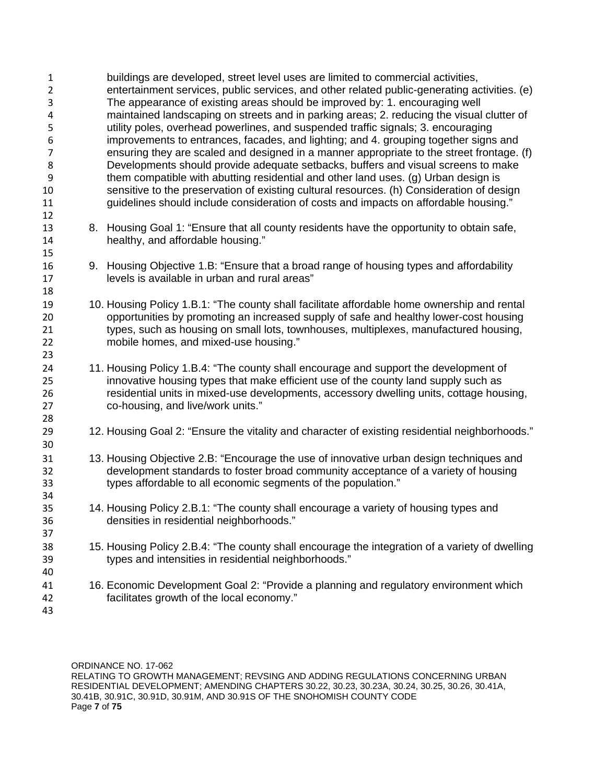| $\mathbf{1}$<br>$\overline{2}$<br>3<br>4<br>5<br>6<br>$\overline{7}$<br>8<br>9<br>10<br>11<br>12 | buildings are developed, street level uses are limited to commercial activities,<br>entertainment services, public services, and other related public-generating activities. (e)<br>The appearance of existing areas should be improved by: 1. encouraging well<br>maintained landscaping on streets and in parking areas; 2. reducing the visual clutter of<br>utility poles, overhead powerlines, and suspended traffic signals; 3. encouraging<br>improvements to entrances, facades, and lighting; and 4. grouping together signs and<br>ensuring they are scaled and designed in a manner appropriate to the street frontage. (f)<br>Developments should provide adequate setbacks, buffers and visual screens to make<br>them compatible with abutting residential and other land uses. (g) Urban design is<br>sensitive to the preservation of existing cultural resources. (h) Consideration of design<br>guidelines should include consideration of costs and impacts on affordable housing." |
|--------------------------------------------------------------------------------------------------|--------------------------------------------------------------------------------------------------------------------------------------------------------------------------------------------------------------------------------------------------------------------------------------------------------------------------------------------------------------------------------------------------------------------------------------------------------------------------------------------------------------------------------------------------------------------------------------------------------------------------------------------------------------------------------------------------------------------------------------------------------------------------------------------------------------------------------------------------------------------------------------------------------------------------------------------------------------------------------------------------------|
| 13<br>14<br>15                                                                                   | 8. Housing Goal 1: "Ensure that all county residents have the opportunity to obtain safe,<br>healthy, and affordable housing."                                                                                                                                                                                                                                                                                                                                                                                                                                                                                                                                                                                                                                                                                                                                                                                                                                                                         |
| 16<br>17<br>18                                                                                   | 9. Housing Objective 1.B: "Ensure that a broad range of housing types and affordability<br>levels is available in urban and rural areas"                                                                                                                                                                                                                                                                                                                                                                                                                                                                                                                                                                                                                                                                                                                                                                                                                                                               |
| 19<br>20<br>21<br>22<br>23                                                                       | 10. Housing Policy 1.B.1: "The county shall facilitate affordable home ownership and rental<br>opportunities by promoting an increased supply of safe and healthy lower-cost housing<br>types, such as housing on small lots, townhouses, multiplexes, manufactured housing,<br>mobile homes, and mixed-use housing."                                                                                                                                                                                                                                                                                                                                                                                                                                                                                                                                                                                                                                                                                  |
| 24<br>25<br>26<br>27<br>28                                                                       | 11. Housing Policy 1.B.4: "The county shall encourage and support the development of<br>innovative housing types that make efficient use of the county land supply such as<br>residential units in mixed-use developments, accessory dwelling units, cottage housing,<br>co-housing, and live/work units."                                                                                                                                                                                                                                                                                                                                                                                                                                                                                                                                                                                                                                                                                             |
| 29<br>30                                                                                         | 12. Housing Goal 2: "Ensure the vitality and character of existing residential neighborhoods."                                                                                                                                                                                                                                                                                                                                                                                                                                                                                                                                                                                                                                                                                                                                                                                                                                                                                                         |
| 31<br>32<br>33<br>34                                                                             | 13. Housing Objective 2.B: "Encourage the use of innovative urban design techniques and<br>development standards to foster broad community acceptance of a variety of housing<br>types affordable to all economic segments of the population."                                                                                                                                                                                                                                                                                                                                                                                                                                                                                                                                                                                                                                                                                                                                                         |
| 35<br>36<br>37                                                                                   | 14. Housing Policy 2.B.1: "The county shall encourage a variety of housing types and<br>densities in residential neighborhoods."                                                                                                                                                                                                                                                                                                                                                                                                                                                                                                                                                                                                                                                                                                                                                                                                                                                                       |
| 38<br>39<br>40                                                                                   | 15. Housing Policy 2.B.4: "The county shall encourage the integration of a variety of dwelling<br>types and intensities in residential neighborhoods."                                                                                                                                                                                                                                                                                                                                                                                                                                                                                                                                                                                                                                                                                                                                                                                                                                                 |
| 41<br>42<br>43                                                                                   | 16. Economic Development Goal 2: "Provide a planning and regulatory environment which<br>facilitates growth of the local economy."                                                                                                                                                                                                                                                                                                                                                                                                                                                                                                                                                                                                                                                                                                                                                                                                                                                                     |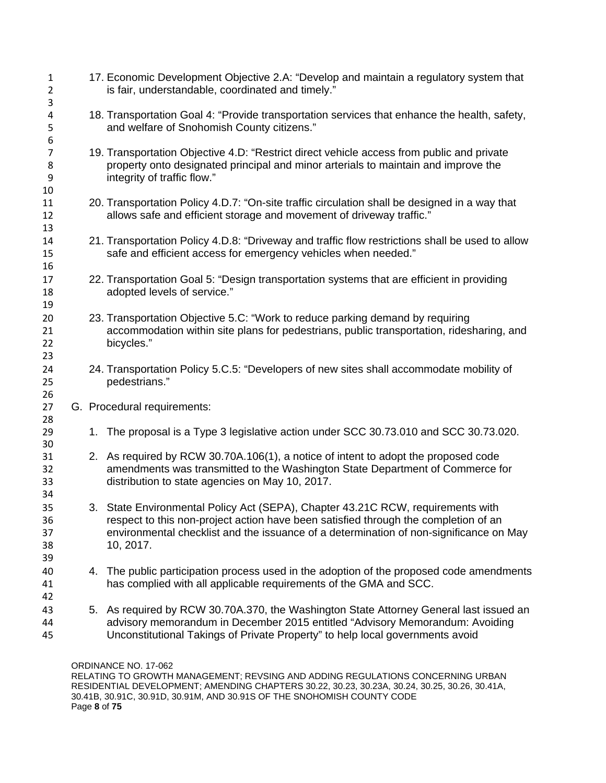17. Economic Development Objective 2.A: "Develop and maintain a regulatory system that is fair, understandable, coordinated and timely." 18. Transportation Goal 4: "Provide transportation services that enhance the health, safety, and welfare of Snohomish County citizens." 19. Transportation Objective 4.D: "Restrict direct vehicle access from public and private property onto designated principal and minor arterials to maintain and improve the integrity of traffic flow." 20. Transportation Policy 4.D.7: "On-site traffic circulation shall be designed in a way that allows safe and efficient storage and movement of driveway traffic." 21. Transportation Policy 4.D.8: "Driveway and traffic flow restrictions shall be used to allow safe and efficient access for emergency vehicles when needed." 22. Transportation Goal 5: "Design transportation systems that are efficient in providing adopted levels of service." 23. Transportation Objective 5.C: "Work to reduce parking demand by requiring accommodation within site plans for pedestrians, public transportation, ridesharing, and bicycles." 24. Transportation Policy 5.C.5: "Developers of new sites shall accommodate mobility of pedestrians." G. Procedural requirements: 1. The proposal is a Type 3 legislative action under SCC 30.73.010 and SCC 30.73.020. 2. As required by RCW 30.70A.106(1), a notice of intent to adopt the proposed code amendments was transmitted to the Washington State Department of Commerce for distribution to state agencies on May 10, 2017. 3. State Environmental Policy Act (SEPA), Chapter 43.21C RCW, requirements with respect to this non-project action have been satisfied through the completion of an environmental checklist and the issuance of a determination of non-significance on May 10, 2017. 4. The public participation process used in the adoption of the proposed code amendments has complied with all applicable requirements of the GMA and SCC. 5. As required by RCW 30.70A.370, the Washington State Attorney General last issued an advisory memorandum in December 2015 entitled "Advisory Memorandum: Avoiding Unconstitutional Takings of Private Property" to help local governments avoid

ORDINANCE NO. 17-062

RELATING TO GROWTH MANAGEMENT; REVSING AND ADDING REGULATIONS CONCERNING URBAN RESIDENTIAL DEVELOPMENT; AMENDING CHAPTERS 30.22, 30.23, 30.23A, 30.24, 30.25, 30.26, 30.41A, 30.41B, 30.91C, 30.91D, 30.91M, AND 30.91S OF THE SNOHOMISH COUNTY CODE Page **8** of **75**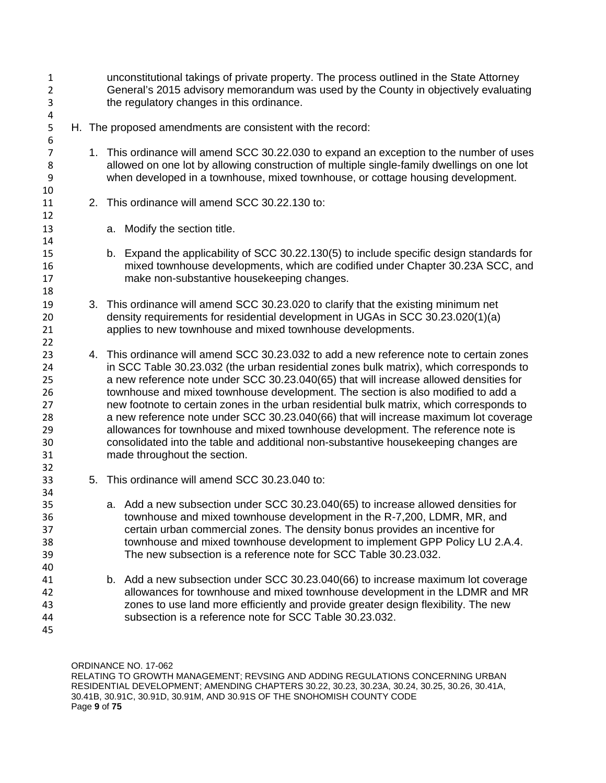unconstitutional takings of private property. The process outlined in the State Attorney General's 2015 advisory memorandum was used by the County in objectively evaluating the regulatory changes in this ordinance. H. The proposed amendments are consistent with the record: 1. This ordinance will amend SCC 30.22.030 to expand an exception to the number of uses allowed on one lot by allowing construction of multiple single-family dwellings on one lot when developed in a townhouse, mixed townhouse, or cottage housing development. 2. This ordinance will amend SCC 30.22.130 to: a. Modify the section title. b. Expand the applicability of SCC 30.22.130(5) to include specific design standards for mixed townhouse developments, which are codified under Chapter 30.23A SCC, and make non-substantive housekeeping changes. 3. This ordinance will amend SCC 30.23.020 to clarify that the existing minimum net density requirements for residential development in UGAs in SCC 30.23.020(1)(a) applies to new townhouse and mixed townhouse developments. 4. This ordinance will amend SCC 30.23.032 to add a new reference note to certain zones in SCC Table 30.23.032 (the urban residential zones bulk matrix), which corresponds to a new reference note under SCC 30.23.040(65) that will increase allowed densities for townhouse and mixed townhouse development. The section is also modified to add a new footnote to certain zones in the urban residential bulk matrix, which corresponds to 28 a new reference note under SCC 30.23.040(66) that will increase maximum lot coverage<br>29 allowances for townhouse and mixed townhouse development. The reference note is allowances for townhouse and mixed townhouse development. The reference note is consolidated into the table and additional non-substantive housekeeping changes are made throughout the section. 5. This ordinance will amend SCC 30.23.040 to: a. Add a new subsection under SCC 30.23.040(65) to increase allowed densities for townhouse and mixed townhouse development in the R-7,200, LDMR, MR, and certain urban commercial zones. The density bonus provides an incentive for townhouse and mixed townhouse development to implement GPP Policy LU 2.A.4. The new subsection is a reference note for SCC Table 30.23.032. b. Add a new subsection under SCC 30.23.040(66) to increase maximum lot coverage allowances for townhouse and mixed townhouse development in the LDMR and MR zones to use land more efficiently and provide greater design flexibility. The new subsection is a reference note for SCC Table 30.23.032.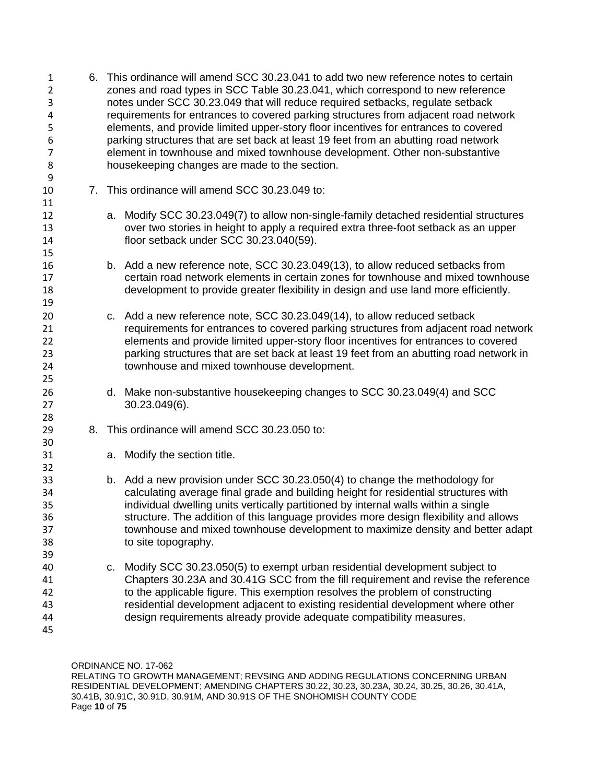| $\mathbf{1}$<br>$\overline{2}$<br>3<br>4<br>5<br>6<br>7<br>8<br>9 | 6. This ordinance will amend SCC 30.23.041 to add two new reference notes to certain<br>zones and road types in SCC Table 30.23.041, which correspond to new reference<br>notes under SCC 30.23.049 that will reduce required setbacks, regulate setback<br>requirements for entrances to covered parking structures from adjacent road network<br>elements, and provide limited upper-story floor incentives for entrances to covered<br>parking structures that are set back at least 19 feet from an abutting road network<br>element in townhouse and mixed townhouse development. Other non-substantive<br>housekeeping changes are made to the section. |                                                                                                                                                                                                                                                                                                                                                                                                                                                           |  |  |  |  |  |
|-------------------------------------------------------------------|---------------------------------------------------------------------------------------------------------------------------------------------------------------------------------------------------------------------------------------------------------------------------------------------------------------------------------------------------------------------------------------------------------------------------------------------------------------------------------------------------------------------------------------------------------------------------------------------------------------------------------------------------------------|-----------------------------------------------------------------------------------------------------------------------------------------------------------------------------------------------------------------------------------------------------------------------------------------------------------------------------------------------------------------------------------------------------------------------------------------------------------|--|--|--|--|--|
| 10<br>11                                                          |                                                                                                                                                                                                                                                                                                                                                                                                                                                                                                                                                                                                                                                               | 7. This ordinance will amend SCC 30.23.049 to:                                                                                                                                                                                                                                                                                                                                                                                                            |  |  |  |  |  |
| 12<br>13<br>14<br>15                                              |                                                                                                                                                                                                                                                                                                                                                                                                                                                                                                                                                                                                                                                               | a. Modify SCC 30.23.049(7) to allow non-single-family detached residential structures<br>over two stories in height to apply a required extra three-foot setback as an upper<br>floor setback under SCC 30.23.040(59).                                                                                                                                                                                                                                    |  |  |  |  |  |
| 16<br>17<br>18<br>19                                              |                                                                                                                                                                                                                                                                                                                                                                                                                                                                                                                                                                                                                                                               | b. Add a new reference note, SCC 30.23.049(13), to allow reduced setbacks from<br>certain road network elements in certain zones for townhouse and mixed townhouse<br>development to provide greater flexibility in design and use land more efficiently.                                                                                                                                                                                                 |  |  |  |  |  |
| 20<br>21<br>22<br>23<br>24<br>25                                  |                                                                                                                                                                                                                                                                                                                                                                                                                                                                                                                                                                                                                                                               | c. Add a new reference note, SCC 30.23.049(14), to allow reduced setback<br>requirements for entrances to covered parking structures from adjacent road network<br>elements and provide limited upper-story floor incentives for entrances to covered<br>parking structures that are set back at least 19 feet from an abutting road network in<br>townhouse and mixed townhouse development.                                                             |  |  |  |  |  |
| 26<br>27                                                          |                                                                                                                                                                                                                                                                                                                                                                                                                                                                                                                                                                                                                                                               | d. Make non-substantive housekeeping changes to SCC 30.23.049(4) and SCC<br>30.23.049(6).                                                                                                                                                                                                                                                                                                                                                                 |  |  |  |  |  |
| 28<br>29                                                          |                                                                                                                                                                                                                                                                                                                                                                                                                                                                                                                                                                                                                                                               | 8. This ordinance will amend SCC 30.23.050 to:                                                                                                                                                                                                                                                                                                                                                                                                            |  |  |  |  |  |
| 30<br>31<br>32                                                    |                                                                                                                                                                                                                                                                                                                                                                                                                                                                                                                                                                                                                                                               | a. Modify the section title.                                                                                                                                                                                                                                                                                                                                                                                                                              |  |  |  |  |  |
| 33<br>34<br>35<br>36<br>37<br>38<br>39                            |                                                                                                                                                                                                                                                                                                                                                                                                                                                                                                                                                                                                                                                               | b. Add a new provision under SCC 30.23.050(4) to change the methodology for<br>calculating average final grade and building height for residential structures with<br>individual dwelling units vertically partitioned by internal walls within a single<br>structure. The addition of this language provides more design flexibility and allows<br>townhouse and mixed townhouse development to maximize density and better adapt<br>to site topography. |  |  |  |  |  |
| 40<br>41<br>42<br>43<br>44<br>45                                  | C.                                                                                                                                                                                                                                                                                                                                                                                                                                                                                                                                                                                                                                                            | Modify SCC 30.23.050(5) to exempt urban residential development subject to<br>Chapters 30.23A and 30.41G SCC from the fill requirement and revise the reference<br>to the applicable figure. This exemption resolves the problem of constructing<br>residential development adjacent to existing residential development where other<br>design requirements already provide adequate compatibility measures.                                              |  |  |  |  |  |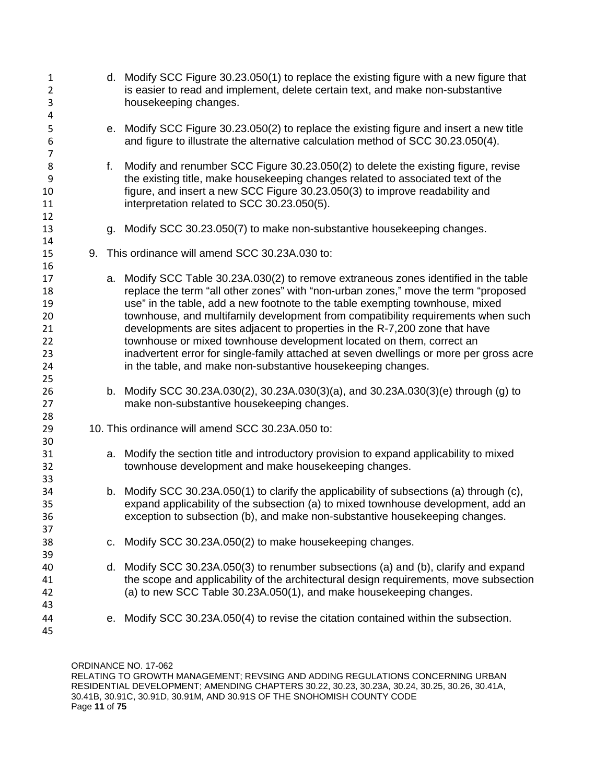| $\mathbf{1}$<br>$\overline{2}$<br>3<br>4                 |    |    | d. Modify SCC Figure 30.23.050(1) to replace the existing figure with a new figure that<br>is easier to read and implement, delete certain text, and make non-substantive<br>housekeeping changes.                                                                                                                                                                                                                                                                                                                                                                                                                                                               |
|----------------------------------------------------------|----|----|------------------------------------------------------------------------------------------------------------------------------------------------------------------------------------------------------------------------------------------------------------------------------------------------------------------------------------------------------------------------------------------------------------------------------------------------------------------------------------------------------------------------------------------------------------------------------------------------------------------------------------------------------------------|
| 5<br>6<br>$\overline{7}$                                 |    |    | e. Modify SCC Figure 30.23.050(2) to replace the existing figure and insert a new title<br>and figure to illustrate the alternative calculation method of SCC 30.23.050(4).                                                                                                                                                                                                                                                                                                                                                                                                                                                                                      |
| 8<br>9<br>10<br>11<br>12                                 |    | f. | Modify and renumber SCC Figure 30.23.050(2) to delete the existing figure, revise<br>the existing title, make housekeeping changes related to associated text of the<br>figure, and insert a new SCC Figure 30.23.050(3) to improve readability and<br>interpretation related to SCC 30.23.050(5).                                                                                                                                                                                                                                                                                                                                                               |
| 13<br>14                                                 |    | g. | Modify SCC 30.23.050(7) to make non-substantive housekeeping changes.                                                                                                                                                                                                                                                                                                                                                                                                                                                                                                                                                                                            |
| 15                                                       | 9. |    | This ordinance will amend SCC 30.23A.030 to:                                                                                                                                                                                                                                                                                                                                                                                                                                                                                                                                                                                                                     |
| 16<br>17<br>18<br>19<br>20<br>21<br>22<br>23<br>24<br>25 |    |    | a. Modify SCC Table 30.23A.030(2) to remove extraneous zones identified in the table<br>replace the term "all other zones" with "non-urban zones," move the term "proposed<br>use" in the table, add a new footnote to the table exempting townhouse, mixed<br>townhouse, and multifamily development from compatibility requirements when such<br>developments are sites adjacent to properties in the R-7,200 zone that have<br>townhouse or mixed townhouse development located on them, correct an<br>inadvertent error for single-family attached at seven dwellings or more per gross acre<br>in the table, and make non-substantive housekeeping changes. |
| 26<br>27                                                 |    |    | b. Modify SCC 30.23A.030(2), 30.23A.030(3)(a), and 30.23A.030(3)(e) through (g) to<br>make non-substantive housekeeping changes.                                                                                                                                                                                                                                                                                                                                                                                                                                                                                                                                 |
| 28<br>29<br>30                                           |    |    | 10. This ordinance will amend SCC 30.23A.050 to:                                                                                                                                                                                                                                                                                                                                                                                                                                                                                                                                                                                                                 |
| 31<br>32<br>33                                           |    |    | a. Modify the section title and introductory provision to expand applicability to mixed<br>townhouse development and make housekeeping changes.                                                                                                                                                                                                                                                                                                                                                                                                                                                                                                                  |
| 34<br>35<br>36<br>37                                     |    | b. | Modify SCC 30.23A.050(1) to clarify the applicability of subsections (a) through (c),<br>expand applicability of the subsection (a) to mixed townhouse development, add an<br>exception to subsection (b), and make non-substantive housekeeping changes.                                                                                                                                                                                                                                                                                                                                                                                                        |
| 38<br>39                                                 |    | C. | Modify SCC 30.23A.050(2) to make housekeeping changes.                                                                                                                                                                                                                                                                                                                                                                                                                                                                                                                                                                                                           |
| 40<br>41<br>42<br>43                                     |    | d. | Modify SCC 30.23A.050(3) to renumber subsections (a) and (b), clarify and expand<br>the scope and applicability of the architectural design requirements, move subsection<br>(a) to new SCC Table 30.23A.050(1), and make housekeeping changes.                                                                                                                                                                                                                                                                                                                                                                                                                  |
| 44<br>45                                                 |    | е. | Modify SCC 30.23A.050(4) to revise the citation contained within the subsection.                                                                                                                                                                                                                                                                                                                                                                                                                                                                                                                                                                                 |

ORDINANCE NO. 17-062 RELATING TO GROWTH MANAGEMENT; REVSING AND ADDING REGULATIONS CONCERNING URBAN RESIDENTIAL DEVELOPMENT; AMENDING CHAPTERS 30.22, 30.23, 30.23A, 30.24, 30.25, 30.26, 30.41A, 30.41B, 30.91C, 30.91D, 30.91M, AND 30.91S OF THE SNOHOMISH COUNTY CODE Page **11** of **75**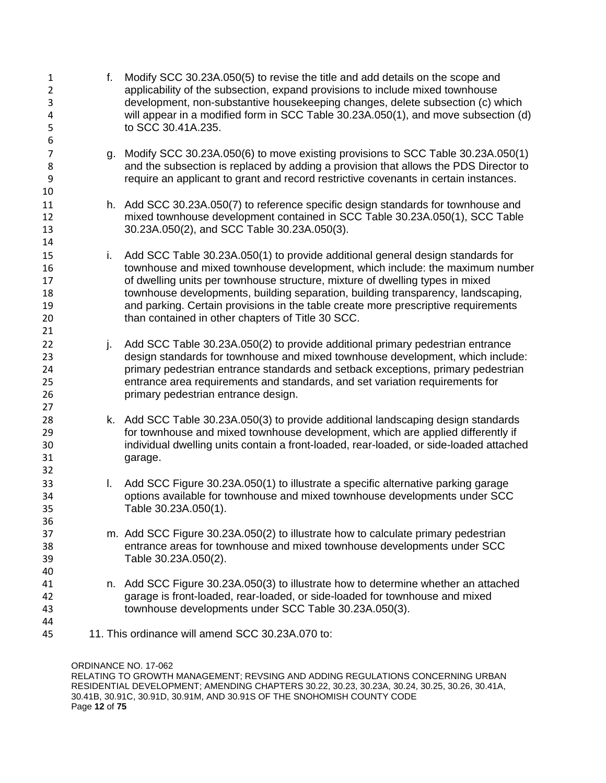| $\mathbf{1}$<br>$\overline{2}$<br>3<br>4<br>5<br>6 | f. | Modify SCC 30.23A.050(5) to revise the title and add details on the scope and<br>applicability of the subsection, expand provisions to include mixed townhouse<br>development, non-substantive housekeeping changes, delete subsection (c) which<br>will appear in a modified form in SCC Table 30.23A.050(1), and move subsection (d)<br>to SCC 30.41A.235.                                                                                                                   |
|----------------------------------------------------|----|--------------------------------------------------------------------------------------------------------------------------------------------------------------------------------------------------------------------------------------------------------------------------------------------------------------------------------------------------------------------------------------------------------------------------------------------------------------------------------|
| 7<br>8<br>9<br>10                                  | g. | Modify SCC 30.23A.050(6) to move existing provisions to SCC Table 30.23A.050(1)<br>and the subsection is replaced by adding a provision that allows the PDS Director to<br>require an applicant to grant and record restrictive covenants in certain instances.                                                                                                                                                                                                                |
| 11<br>12<br>13<br>14                               |    | h. Add SCC 30.23A.050(7) to reference specific design standards for townhouse and<br>mixed townhouse development contained in SCC Table 30.23A.050(1), SCC Table<br>30.23A.050(2), and SCC Table 30.23A.050(3).                                                                                                                                                                                                                                                                |
| 15<br>16<br>17<br>18<br>19<br>20<br>21             | i. | Add SCC Table 30.23A.050(1) to provide additional general design standards for<br>townhouse and mixed townhouse development, which include: the maximum number<br>of dwelling units per townhouse structure, mixture of dwelling types in mixed<br>townhouse developments, building separation, building transparency, landscaping,<br>and parking. Certain provisions in the table create more prescriptive requirements<br>than contained in other chapters of Title 30 SCC. |
| 22<br>23<br>24<br>25<br>26<br>27                   | j. | Add SCC Table 30.23A.050(2) to provide additional primary pedestrian entrance<br>design standards for townhouse and mixed townhouse development, which include:<br>primary pedestrian entrance standards and setback exceptions, primary pedestrian<br>entrance area requirements and standards, and set variation requirements for<br>primary pedestrian entrance design.                                                                                                     |
| 28<br>29<br>30<br>31<br>32                         |    | k. Add SCC Table 30.23A.050(3) to provide additional landscaping design standards<br>for townhouse and mixed townhouse development, which are applied differently if<br>individual dwelling units contain a front-loaded, rear-loaded, or side-loaded attached<br>garage.                                                                                                                                                                                                      |
| 33<br>34<br>35<br>36                               | L. | Add SCC Figure 30.23A.050(1) to illustrate a specific alternative parking garage<br>options available for townhouse and mixed townhouse developments under SCC<br>Table 30.23A.050(1).                                                                                                                                                                                                                                                                                         |
| 37<br>38<br>39<br>40                               |    | m. Add SCC Figure 30.23A.050(2) to illustrate how to calculate primary pedestrian<br>entrance areas for townhouse and mixed townhouse developments under SCC<br>Table 30.23A.050(2).                                                                                                                                                                                                                                                                                           |
| 41<br>42<br>43                                     |    | n. Add SCC Figure 30.23A.050(3) to illustrate how to determine whether an attached<br>garage is front-loaded, rear-loaded, or side-loaded for townhouse and mixed<br>townhouse developments under SCC Table 30.23A.050(3).                                                                                                                                                                                                                                                     |
| 44<br>45                                           |    | 11. This ordinance will amend SCC 30.23A.070 to:                                                                                                                                                                                                                                                                                                                                                                                                                               |
|                                                    |    |                                                                                                                                                                                                                                                                                                                                                                                                                                                                                |

ORDINANCE NO. 17-062

RELATING TO GROWTH MANAGEMENT; REVSING AND ADDING REGULATIONS CONCERNING URBAN RESIDENTIAL DEVELOPMENT; AMENDING CHAPTERS 30.22, 30.23, 30.23A, 30.24, 30.25, 30.26, 30.41A, 30.41B, 30.91C, 30.91D, 30.91M, AND 30.91S OF THE SNOHOMISH COUNTY CODE Page **12** of **75**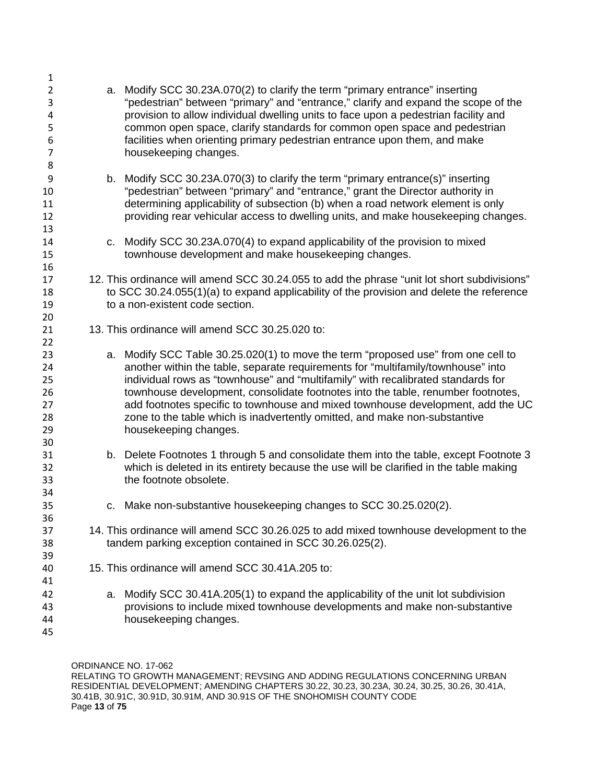| $\mathbf{1}$        |    |                                                                                                                                                                       |
|---------------------|----|-----------------------------------------------------------------------------------------------------------------------------------------------------------------------|
| $\overline{2}$<br>3 | а. | Modify SCC 30.23A.070(2) to clarify the term "primary entrance" inserting<br>"pedestrian" between "primary" and "entrance," clarify and expand the scope of the       |
| 4                   |    | provision to allow individual dwelling units to face upon a pedestrian facility and                                                                                   |
| 5                   |    | common open space, clarify standards for common open space and pedestrian                                                                                             |
| 6                   |    | facilities when orienting primary pedestrian entrance upon them, and make                                                                                             |
| 7                   |    | housekeeping changes.                                                                                                                                                 |
| 8                   |    |                                                                                                                                                                       |
| 9                   |    | b. Modify SCC 30.23A.070(3) to clarify the term "primary entrance(s)" inserting                                                                                       |
| 10<br>11            |    | "pedestrian" between "primary" and "entrance," grant the Director authority in<br>determining applicability of subsection (b) when a road network element is only     |
| 12                  |    | providing rear vehicular access to dwelling units, and make housekeeping changes.                                                                                     |
| 13                  |    |                                                                                                                                                                       |
| 14                  | C. | Modify SCC 30.23A.070(4) to expand applicability of the provision to mixed                                                                                            |
| 15                  |    | townhouse development and make housekeeping changes.                                                                                                                  |
| 16                  |    |                                                                                                                                                                       |
| 17                  |    | 12. This ordinance will amend SCC 30.24.055 to add the phrase "unit lot short subdivisions"                                                                           |
| 18                  |    | to SCC 30.24.055(1)(a) to expand applicability of the provision and delete the reference                                                                              |
| 19                  |    | to a non-existent code section.                                                                                                                                       |
| 20                  |    |                                                                                                                                                                       |
| 21                  |    | 13. This ordinance will amend SCC 30.25.020 to:                                                                                                                       |
| 22                  |    |                                                                                                                                                                       |
| 23<br>24            |    | a. Modify SCC Table 30.25.020(1) to move the term "proposed use" from one cell to<br>another within the table, separate requirements for "multifamily/townhouse" into |
| 25                  |    | individual rows as "townhouse" and "multifamily" with recalibrated standards for                                                                                      |
| 26                  |    | townhouse development, consolidate footnotes into the table, renumber footnotes,                                                                                      |
| 27                  |    | add footnotes specific to townhouse and mixed townhouse development, add the UC                                                                                       |
| 28                  |    | zone to the table which is inadvertently omitted, and make non-substantive                                                                                            |
| 29                  |    | housekeeping changes.                                                                                                                                                 |
| 30                  |    |                                                                                                                                                                       |
| 31                  |    | b. Delete Footnotes 1 through 5 and consolidate them into the table, except Footnote 3                                                                                |
| 32                  |    | which is deleted in its entirety because the use will be clarified in the table making                                                                                |
| 33                  |    | the footnote obsolete.                                                                                                                                                |
| 34                  |    |                                                                                                                                                                       |
| 35<br>36            |    | c. Make non-substantive housekeeping changes to SCC 30.25.020(2).                                                                                                     |
| 37                  |    | 14. This ordinance will amend SCC 30.26.025 to add mixed townhouse development to the                                                                                 |
| 38                  |    | tandem parking exception contained in SCC 30.26.025(2).                                                                                                               |
| 39                  |    |                                                                                                                                                                       |
| 40                  |    | 15. This ordinance will amend SCC 30.41A.205 to:                                                                                                                      |
| 41                  |    |                                                                                                                                                                       |
| 42                  | a. | Modify SCC 30.41A.205(1) to expand the applicability of the unit lot subdivision                                                                                      |
| 43                  |    | provisions to include mixed townhouse developments and make non-substantive                                                                                           |
| 44                  |    | housekeeping changes.                                                                                                                                                 |
| 45                  |    |                                                                                                                                                                       |

ORDINANCE NO. 17-062 RELATING TO GROWTH MANAGEMENT; REVSING AND ADDING REGULATIONS CONCERNING URBAN RESIDENTIAL DEVELOPMENT; AMENDING CHAPTERS 30.22, 30.23, 30.23A, 30.24, 30.25, 30.26, 30.41A, 30.41B, 30.91C, 30.91D, 30.91M, AND 30.91S OF THE SNOHOMISH COUNTY CODE Page **13** of **75**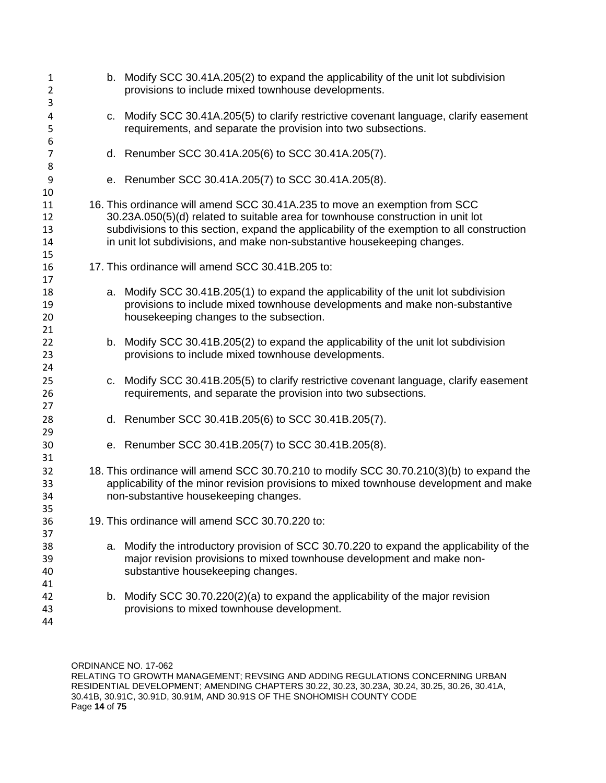| c. Modify SCC 30.41A.205(5) to clarify restrictive covenant language, clarify easement<br>4<br>requirements, and separate the provision into two subsections.<br>5<br>6<br>d. Renumber SCC 30.41A.205(6) to SCC 30.41A.205(7).<br>$\overline{7}$<br>8<br>e. Renumber SCC 30.41A.205(7) to SCC 30.41A.205(8).<br>9<br>10<br>16. This ordinance will amend SCC 30.41A.235 to move an exemption from SCC<br>11<br>30.23A.050(5)(d) related to suitable area for townhouse construction in unit lot<br>12<br>subdivisions to this section, expand the applicability of the exemption to all construction<br>13<br>in unit lot subdivisions, and make non-substantive housekeeping changes.<br>14<br>15<br>17. This ordinance will amend SCC 30.41B.205 to:<br>16<br>17<br>a. Modify SCC 30.41B.205(1) to expand the applicability of the unit lot subdivision<br>18<br>provisions to include mixed townhouse developments and make non-substantive<br>19<br>housekeeping changes to the subsection.<br>20<br>21<br>b. Modify SCC 30.41B.205(2) to expand the applicability of the unit lot subdivision<br>22<br>provisions to include mixed townhouse developments.<br>23<br>24<br>c. Modify SCC 30.41B.205(5) to clarify restrictive covenant language, clarify easement<br>25<br>requirements, and separate the provision into two subsections.<br>26<br>27<br>d. Renumber SCC 30.41B.205(6) to SCC 30.41B.205(7).<br>28<br>29<br>e. Renumber SCC 30.41B.205(7) to SCC 30.41B.205(8).<br>30<br>31<br>18. This ordinance will amend SCC 30.70.210 to modify SCC 30.70.210(3)(b) to expand the<br>32<br>applicability of the minor revision provisions to mixed townhouse development and make<br>33<br>non-substantive housekeeping changes.<br>34<br>35<br>19. This ordinance will amend SCC 30.70.220 to:<br>36<br>37<br>38<br>a.<br>major revision provisions to mixed townhouse development and make non-<br>39<br>substantive housekeeping changes.<br>40<br>41<br>b. Modify SCC 30.70.220(2)(a) to expand the applicability of the major revision<br>42<br>provisions to mixed townhouse development.<br>43<br>44 | 1<br>$\overline{2}$<br>3 |  | b. Modify SCC 30.41A.205(2) to expand the applicability of the unit lot subdivision<br>provisions to include mixed townhouse developments. |
|----------------------------------------------------------------------------------------------------------------------------------------------------------------------------------------------------------------------------------------------------------------------------------------------------------------------------------------------------------------------------------------------------------------------------------------------------------------------------------------------------------------------------------------------------------------------------------------------------------------------------------------------------------------------------------------------------------------------------------------------------------------------------------------------------------------------------------------------------------------------------------------------------------------------------------------------------------------------------------------------------------------------------------------------------------------------------------------------------------------------------------------------------------------------------------------------------------------------------------------------------------------------------------------------------------------------------------------------------------------------------------------------------------------------------------------------------------------------------------------------------------------------------------------------------------------------------------------------------------------------------------------------------------------------------------------------------------------------------------------------------------------------------------------------------------------------------------------------------------------------------------------------------------------------------------------------------------------------------------------------------------------------------------------------------------------------------------------------------------------------|--------------------------|--|--------------------------------------------------------------------------------------------------------------------------------------------|
|                                                                                                                                                                                                                                                                                                                                                                                                                                                                                                                                                                                                                                                                                                                                                                                                                                                                                                                                                                                                                                                                                                                                                                                                                                                                                                                                                                                                                                                                                                                                                                                                                                                                                                                                                                                                                                                                                                                                                                                                                                                                                                                      |                          |  |                                                                                                                                            |
|                                                                                                                                                                                                                                                                                                                                                                                                                                                                                                                                                                                                                                                                                                                                                                                                                                                                                                                                                                                                                                                                                                                                                                                                                                                                                                                                                                                                                                                                                                                                                                                                                                                                                                                                                                                                                                                                                                                                                                                                                                                                                                                      |                          |  |                                                                                                                                            |
|                                                                                                                                                                                                                                                                                                                                                                                                                                                                                                                                                                                                                                                                                                                                                                                                                                                                                                                                                                                                                                                                                                                                                                                                                                                                                                                                                                                                                                                                                                                                                                                                                                                                                                                                                                                                                                                                                                                                                                                                                                                                                                                      |                          |  |                                                                                                                                            |
|                                                                                                                                                                                                                                                                                                                                                                                                                                                                                                                                                                                                                                                                                                                                                                                                                                                                                                                                                                                                                                                                                                                                                                                                                                                                                                                                                                                                                                                                                                                                                                                                                                                                                                                                                                                                                                                                                                                                                                                                                                                                                                                      |                          |  |                                                                                                                                            |
|                                                                                                                                                                                                                                                                                                                                                                                                                                                                                                                                                                                                                                                                                                                                                                                                                                                                                                                                                                                                                                                                                                                                                                                                                                                                                                                                                                                                                                                                                                                                                                                                                                                                                                                                                                                                                                                                                                                                                                                                                                                                                                                      |                          |  |                                                                                                                                            |
|                                                                                                                                                                                                                                                                                                                                                                                                                                                                                                                                                                                                                                                                                                                                                                                                                                                                                                                                                                                                                                                                                                                                                                                                                                                                                                                                                                                                                                                                                                                                                                                                                                                                                                                                                                                                                                                                                                                                                                                                                                                                                                                      |                          |  |                                                                                                                                            |
|                                                                                                                                                                                                                                                                                                                                                                                                                                                                                                                                                                                                                                                                                                                                                                                                                                                                                                                                                                                                                                                                                                                                                                                                                                                                                                                                                                                                                                                                                                                                                                                                                                                                                                                                                                                                                                                                                                                                                                                                                                                                                                                      |                          |  |                                                                                                                                            |
|                                                                                                                                                                                                                                                                                                                                                                                                                                                                                                                                                                                                                                                                                                                                                                                                                                                                                                                                                                                                                                                                                                                                                                                                                                                                                                                                                                                                                                                                                                                                                                                                                                                                                                                                                                                                                                                                                                                                                                                                                                                                                                                      |                          |  |                                                                                                                                            |
|                                                                                                                                                                                                                                                                                                                                                                                                                                                                                                                                                                                                                                                                                                                                                                                                                                                                                                                                                                                                                                                                                                                                                                                                                                                                                                                                                                                                                                                                                                                                                                                                                                                                                                                                                                                                                                                                                                                                                                                                                                                                                                                      |                          |  |                                                                                                                                            |
|                                                                                                                                                                                                                                                                                                                                                                                                                                                                                                                                                                                                                                                                                                                                                                                                                                                                                                                                                                                                                                                                                                                                                                                                                                                                                                                                                                                                                                                                                                                                                                                                                                                                                                                                                                                                                                                                                                                                                                                                                                                                                                                      |                          |  |                                                                                                                                            |
|                                                                                                                                                                                                                                                                                                                                                                                                                                                                                                                                                                                                                                                                                                                                                                                                                                                                                                                                                                                                                                                                                                                                                                                                                                                                                                                                                                                                                                                                                                                                                                                                                                                                                                                                                                                                                                                                                                                                                                                                                                                                                                                      |                          |  |                                                                                                                                            |
|                                                                                                                                                                                                                                                                                                                                                                                                                                                                                                                                                                                                                                                                                                                                                                                                                                                                                                                                                                                                                                                                                                                                                                                                                                                                                                                                                                                                                                                                                                                                                                                                                                                                                                                                                                                                                                                                                                                                                                                                                                                                                                                      |                          |  |                                                                                                                                            |
|                                                                                                                                                                                                                                                                                                                                                                                                                                                                                                                                                                                                                                                                                                                                                                                                                                                                                                                                                                                                                                                                                                                                                                                                                                                                                                                                                                                                                                                                                                                                                                                                                                                                                                                                                                                                                                                                                                                                                                                                                                                                                                                      |                          |  | Modify the introductory provision of SCC 30.70.220 to expand the applicability of the                                                      |
|                                                                                                                                                                                                                                                                                                                                                                                                                                                                                                                                                                                                                                                                                                                                                                                                                                                                                                                                                                                                                                                                                                                                                                                                                                                                                                                                                                                                                                                                                                                                                                                                                                                                                                                                                                                                                                                                                                                                                                                                                                                                                                                      |                          |  |                                                                                                                                            |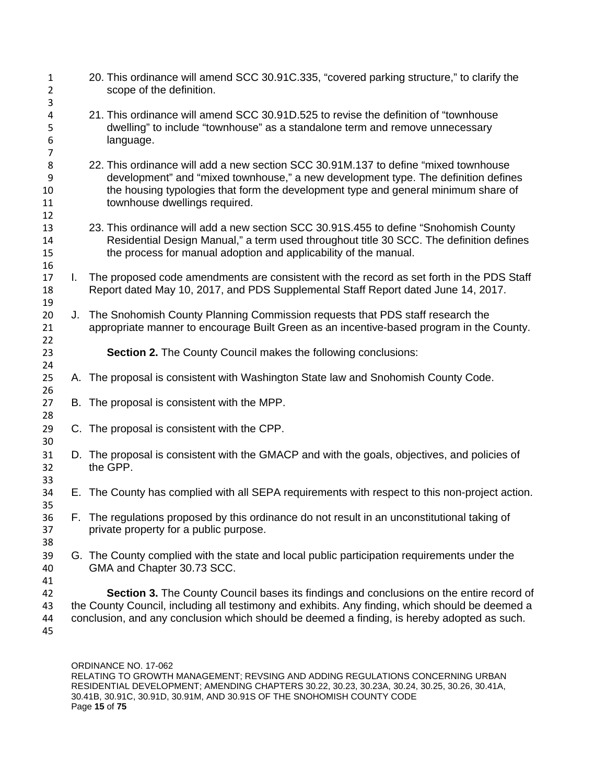| $\mathbf{1}$<br>$\overline{2}$     |    | 20. This ordinance will amend SCC 30.91C.335, "covered parking structure," to clarify the<br>scope of the definition.                                                                                                                                                                             |
|------------------------------------|----|---------------------------------------------------------------------------------------------------------------------------------------------------------------------------------------------------------------------------------------------------------------------------------------------------|
| 3<br>4<br>5<br>6<br>$\overline{7}$ |    | 21. This ordinance will amend SCC 30.91D.525 to revise the definition of "townhouse"<br>dwelling" to include "townhouse" as a standalone term and remove unnecessary<br>language.                                                                                                                 |
| 8<br>9<br>10<br>11<br>12           |    | 22. This ordinance will add a new section SCC 30.91M.137 to define "mixed townhouse"<br>development" and "mixed townhouse," a new development type. The definition defines<br>the housing typologies that form the development type and general minimum share of<br>townhouse dwellings required. |
| 13<br>14<br>15<br>16               |    | 23. This ordinance will add a new section SCC 30.91S.455 to define "Snohomish County<br>Residential Design Manual," a term used throughout title 30 SCC. The definition defines<br>the process for manual adoption and applicability of the manual.                                               |
| 17<br>18<br>19                     | L. | The proposed code amendments are consistent with the record as set forth in the PDS Staff<br>Report dated May 10, 2017, and PDS Supplemental Staff Report dated June 14, 2017.                                                                                                                    |
| 20<br>21<br>22                     |    | J. The Snohomish County Planning Commission requests that PDS staff research the<br>appropriate manner to encourage Built Green as an incentive-based program in the County.                                                                                                                      |
| 23<br>24                           |    | <b>Section 2.</b> The County Council makes the following conclusions:                                                                                                                                                                                                                             |
| 25<br>26                           |    | A. The proposal is consistent with Washington State law and Snohomish County Code.                                                                                                                                                                                                                |
| 27<br>28                           |    | B. The proposal is consistent with the MPP.                                                                                                                                                                                                                                                       |
| 29<br>30                           |    | C. The proposal is consistent with the CPP.                                                                                                                                                                                                                                                       |
| 31<br>32<br>33                     |    | D. The proposal is consistent with the GMACP and with the goals, objectives, and policies of<br>the GPP.                                                                                                                                                                                          |
| 34<br>35                           |    | E. The County has complied with all SEPA requirements with respect to this non-project action.                                                                                                                                                                                                    |
| 36<br>37<br>38                     |    | F. The regulations proposed by this ordinance do not result in an unconstitutional taking of<br>private property for a public purpose.                                                                                                                                                            |
| 39<br>40<br>41                     |    | G. The County complied with the state and local public participation requirements under the<br>GMA and Chapter 30.73 SCC.                                                                                                                                                                         |
| 42<br>43<br>44<br>45               |    | Section 3. The County Council bases its findings and conclusions on the entire record of<br>the County Council, including all testimony and exhibits. Any finding, which should be deemed a<br>conclusion, and any conclusion which should be deemed a finding, is hereby adopted as such.        |

ORDINANCE NO. 17-062 RELATING TO GROWTH MANAGEMENT; REVSING AND ADDING REGULATIONS CONCERNING URBAN RESIDENTIAL DEVELOPMENT; AMENDING CHAPTERS 30.22, 30.23, 30.23A, 30.24, 30.25, 30.26, 30.41A, 30.41B, 30.91C, 30.91D, 30.91M, AND 30.91S OF THE SNOHOMISH COUNTY CODE Page **15** of **75**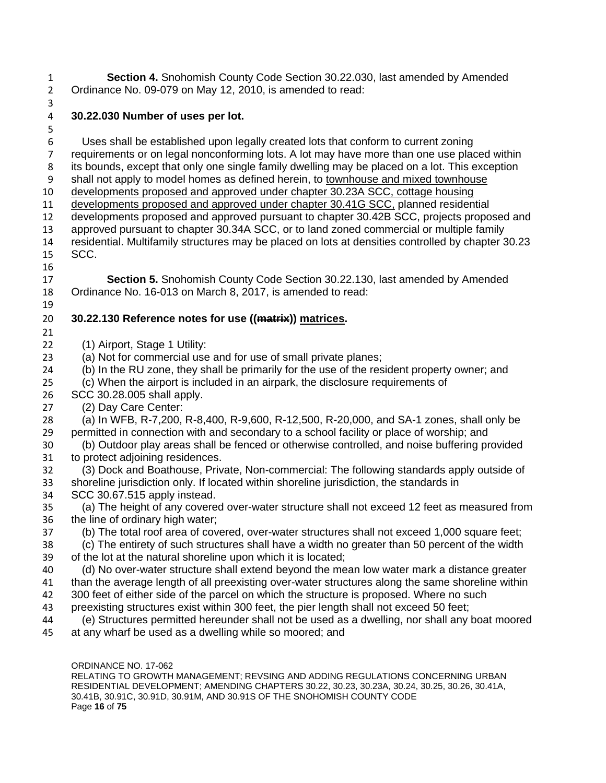**Section 4.** Snohomish County Code Section 30.22.030, last amended by Amended Ordinance No. 09-079 on May 12, 2010, is amended to read: 

## **30.22.030 Number of uses per lot.**

ORDINANCE NO. 17-062 Uses shall be established upon legally created lots that conform to current zoning requirements or on legal nonconforming lots. A lot may have more than one use placed within its bounds, except that only one single family dwelling may be placed on a lot. This exception shall not apply to model homes as defined herein, to townhouse and mixed townhouse developments proposed and approved under chapter 30.23A SCC, cottage housing 11 developments proposed and approved under chapter 30.41G SCC, planned residential developments proposed and approved pursuant to chapter 30.42B SCC, projects proposed and approved pursuant to chapter 30.34A SCC, or to land zoned commercial or multiple family residential. Multifamily structures may be placed on lots at densities controlled by chapter 30.23 SCC. **Section 5.** Snohomish County Code Section 30.22.130, last amended by Amended Ordinance No. 16-013 on March 8, 2017, is amended to read: **30.22.130 Reference notes for use ((matrix)) matrices.** (1) Airport, Stage 1 Utility: (a) Not for commercial use and for use of small private planes; (b) In the RU zone, they shall be primarily for the use of the resident property owner; and (c) When the airport is included in an airpark, the disclosure requirements of SCC 30.28.005 shall apply. (2) Day Care Center: (a) In WFB, R-7,200, R-8,400, R-9,600, R-12,500, R-20,000, and SA-1 zones, shall only be permitted in connection with and secondary to a school facility or place of worship; and (b) Outdoor play areas shall be fenced or otherwise controlled, and noise buffering provided to protect adjoining residences. (3) Dock and Boathouse, Private, Non-commercial: The following standards apply outside of shoreline jurisdiction only. If located within shoreline jurisdiction, the standards in SCC 30.67.515 apply instead. (a) The height of any covered over-water structure shall not exceed 12 feet as measured from the line of ordinary high water; (b) The total roof area of covered, over-water structures shall not exceed 1,000 square feet; (c) The entirety of such structures shall have a width no greater than 50 percent of the width of the lot at the natural shoreline upon which it is located; (d) No over-water structure shall extend beyond the mean low water mark a distance greater than the average length of all preexisting over-water structures along the same shoreline within 300 feet of either side of the parcel on which the structure is proposed. Where no such preexisting structures exist within 300 feet, the pier length shall not exceed 50 feet; (e) Structures permitted hereunder shall not be used as a dwelling, nor shall any boat moored at any wharf be used as a dwelling while so moored; and

RELATING TO GROWTH MANAGEMENT; REVSING AND ADDING REGULATIONS CONCERNING URBAN RESIDENTIAL DEVELOPMENT; AMENDING CHAPTERS 30.22, 30.23, 30.23A, 30.24, 30.25, 30.26, 30.41A, 30.41B, 30.91C, 30.91D, 30.91M, AND 30.91S OF THE SNOHOMISH COUNTY CODE Page **16** of **75**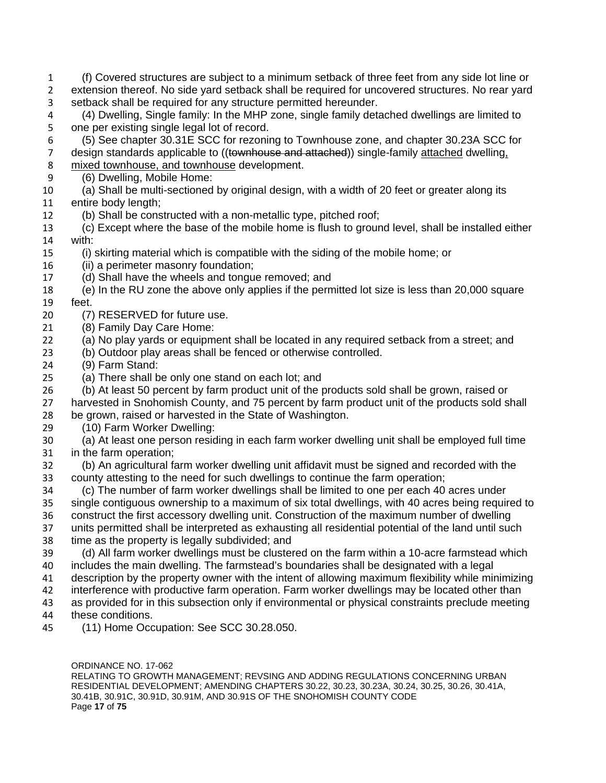- (f) Covered structures are subject to a minimum setback of three feet from any side lot line or extension thereof. No side yard setback shall be required for uncovered structures. No rear yard setback shall be required for any structure permitted hereunder.
- (4) Dwelling, Single family: In the MHP zone, single family detached dwellings are limited to one per existing single legal lot of record.
- (5) See chapter 30.31E SCC for rezoning to Townhouse zone, and chapter 30.23A SCC for 7 design standards applicable to ((townhouse and attached)) single-family attached dwelling, mixed townhouse, and townhouse development.
- (6) Dwelling, Mobile Home:
- (a) Shall be multi-sectioned by original design, with a width of 20 feet or greater along its entire body length;
- (b) Shall be constructed with a non-metallic type, pitched roof;
- (c) Except where the base of the mobile home is flush to ground level, shall be installed either with:
- (i) skirting material which is compatible with the siding of the mobile home; or
- (ii) a perimeter masonry foundation;
- (d) Shall have the wheels and tongue removed; and
- (e) In the RU zone the above only applies if the permitted lot size is less than 20,000 square
- feet.
- (7) RESERVED for future use.
- (8) Family Day Care Home:
- (a) No play yards or equipment shall be located in any required setback from a street; and
- (b) Outdoor play areas shall be fenced or otherwise controlled.
- (9) Farm Stand:
- (a) There shall be only one stand on each lot; and
- (b) At least 50 percent by farm product unit of the products sold shall be grown, raised or
- harvested in Snohomish County, and 75 percent by farm product unit of the products sold shall
- be grown, raised or harvested in the State of Washington.
- (10) Farm Worker Dwelling:
- (a) At least one person residing in each farm worker dwelling unit shall be employed full time in the farm operation;
- (b) An agricultural farm worker dwelling unit affidavit must be signed and recorded with the county attesting to the need for such dwellings to continue the farm operation;
- (c) The number of farm worker dwellings shall be limited to one per each 40 acres under single contiguous ownership to a maximum of six total dwellings, with 40 acres being required to construct the first accessory dwelling unit. Construction of the maximum number of dwelling units permitted shall be interpreted as exhausting all residential potential of the land until such time as the property is legally subdivided; and
- (d) All farm worker dwellings must be clustered on the farm within a 10-acre farmstead which includes the main dwelling. The farmstead's boundaries shall be designated with a legal
- description by the property owner with the intent of allowing maximum flexibility while minimizing
- interference with productive farm operation. Farm worker dwellings may be located other than
- as provided for in this subsection only if environmental or physical constraints preclude meeting
- these conditions.
- (11) Home Occupation: See SCC 30.28.050.

ORDINANCE NO. 17-062 RELATING TO GROWTH MANAGEMENT; REVSING AND ADDING REGULATIONS CONCERNING URBAN RESIDENTIAL DEVELOPMENT; AMENDING CHAPTERS 30.22, 30.23, 30.23A, 30.24, 30.25, 30.26, 30.41A, 30.41B, 30.91C, 30.91D, 30.91M, AND 30.91S OF THE SNOHOMISH COUNTY CODE Page **17** of **75**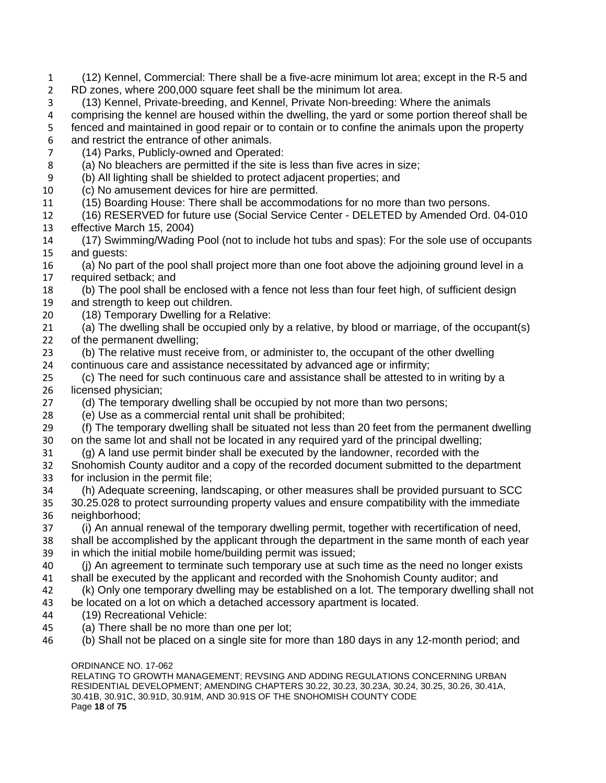ORDINANCE NO. 17-062 (12) Kennel, Commercial: There shall be a five-acre minimum lot area; except in the R-5 and RD zones, where 200,000 square feet shall be the minimum lot area. (13) Kennel, Private-breeding, and Kennel, Private Non-breeding: Where the animals comprising the kennel are housed within the dwelling, the yard or some portion thereof shall be fenced and maintained in good repair or to contain or to confine the animals upon the property and restrict the entrance of other animals. (14) Parks, Publicly-owned and Operated: (a) No bleachers are permitted if the site is less than five acres in size; (b) All lighting shall be shielded to protect adjacent properties; and (c) No amusement devices for hire are permitted. (15) Boarding House: There shall be accommodations for no more than two persons. (16) RESERVED for future use (Social Service Center - DELETED by Amended Ord. 04-010 effective March 15, 2004) (17) Swimming/Wading Pool (not to include hot tubs and spas): For the sole use of occupants and guests: (a) No part of the pool shall project more than one foot above the adjoining ground level in a required setback; and (b) The pool shall be enclosed with a fence not less than four feet high, of sufficient design and strength to keep out children. (18) Temporary Dwelling for a Relative: (a) The dwelling shall be occupied only by a relative, by blood or marriage, of the occupant(s) of the permanent dwelling; (b) The relative must receive from, or administer to, the occupant of the other dwelling continuous care and assistance necessitated by advanced age or infirmity; (c) The need for such continuous care and assistance shall be attested to in writing by a licensed physician; (d) The temporary dwelling shall be occupied by not more than two persons; (e) Use as a commercial rental unit shall be prohibited; (f) The temporary dwelling shall be situated not less than 20 feet from the permanent dwelling on the same lot and shall not be located in any required yard of the principal dwelling; (g) A land use permit binder shall be executed by the landowner, recorded with the Snohomish County auditor and a copy of the recorded document submitted to the department for inclusion in the permit file; (h) Adequate screening, landscaping, or other measures shall be provided pursuant to SCC 30.25.028 to protect surrounding property values and ensure compatibility with the immediate neighborhood; (i) An annual renewal of the temporary dwelling permit, together with recertification of need, shall be accomplished by the applicant through the department in the same month of each year in which the initial mobile home/building permit was issued; (j) An agreement to terminate such temporary use at such time as the need no longer exists shall be executed by the applicant and recorded with the Snohomish County auditor; and (k) Only one temporary dwelling may be established on a lot. The temporary dwelling shall not be located on a lot on which a detached accessory apartment is located. (19) Recreational Vehicle: (a) There shall be no more than one per lot; (b) Shall not be placed on a single site for more than 180 days in any 12-month period; and

RELATING TO GROWTH MANAGEMENT; REVSING AND ADDING REGULATIONS CONCERNING URBAN RESIDENTIAL DEVELOPMENT; AMENDING CHAPTERS 30.22, 30.23, 30.23A, 30.24, 30.25, 30.26, 30.41A, 30.41B, 30.91C, 30.91D, 30.91M, AND 30.91S OF THE SNOHOMISH COUNTY CODE Page **18** of **75**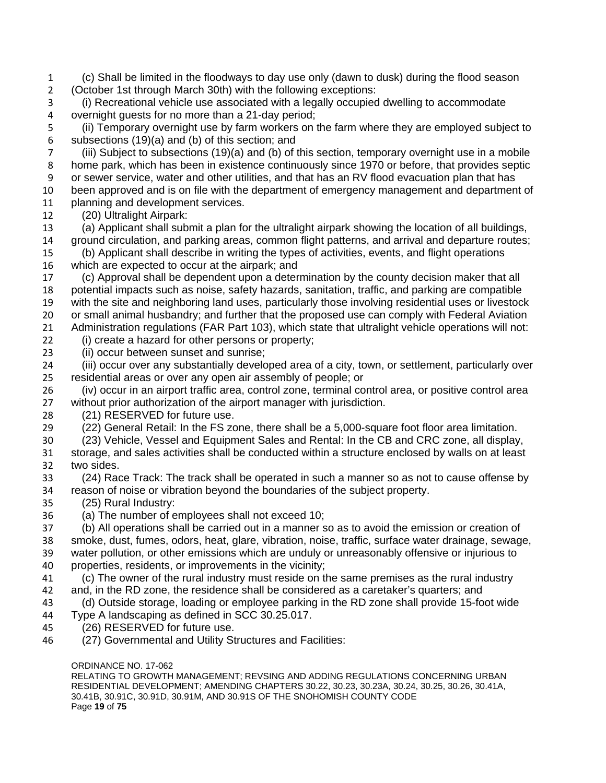ORDINANCE NO. 17-062 (c) Shall be limited in the floodways to day use only (dawn to dusk) during the flood season (October 1st through March 30th) with the following exceptions: (i) Recreational vehicle use associated with a legally occupied dwelling to accommodate overnight guests for no more than a 21-day period; (ii) Temporary overnight use by farm workers on the farm where they are employed subject to subsections (19)(a) and (b) of this section; and (iii) Subject to subsections (19)(a) and (b) of this section, temporary overnight use in a mobile home park, which has been in existence continuously since 1970 or before, that provides septic or sewer service, water and other utilities, and that has an RV flood evacuation plan that has been approved and is on file with the department of emergency management and department of 11 planning and development services. (20) Ultralight Airpark: (a) Applicant shall submit a plan for the ultralight airpark showing the location of all buildings, ground circulation, and parking areas, common flight patterns, and arrival and departure routes; (b) Applicant shall describe in writing the types of activities, events, and flight operations which are expected to occur at the airpark; and (c) Approval shall be dependent upon a determination by the county decision maker that all potential impacts such as noise, safety hazards, sanitation, traffic, and parking are compatible with the site and neighboring land uses, particularly those involving residential uses or livestock or small animal husbandry; and further that the proposed use can comply with Federal Aviation Administration regulations (FAR Part 103), which state that ultralight vehicle operations will not: (i) create a hazard for other persons or property; (ii) occur between sunset and sunrise; (iii) occur over any substantially developed area of a city, town, or settlement, particularly over residential areas or over any open air assembly of people; or (iv) occur in an airport traffic area, control zone, terminal control area, or positive control area without prior authorization of the airport manager with jurisdiction. (21) RESERVED for future use. (22) General Retail: In the FS zone, there shall be a 5,000-square foot floor area limitation. (23) Vehicle, Vessel and Equipment Sales and Rental: In the CB and CRC zone, all display, storage, and sales activities shall be conducted within a structure enclosed by walls on at least two sides. (24) Race Track: The track shall be operated in such a manner so as not to cause offense by reason of noise or vibration beyond the boundaries of the subject property. (25) Rural Industry: (a) The number of employees shall not exceed 10; (b) All operations shall be carried out in a manner so as to avoid the emission or creation of smoke, dust, fumes, odors, heat, glare, vibration, noise, traffic, surface water drainage, sewage, water pollution, or other emissions which are unduly or unreasonably offensive or injurious to properties, residents, or improvements in the vicinity; (c) The owner of the rural industry must reside on the same premises as the rural industry and, in the RD zone, the residence shall be considered as a caretaker's quarters; and (d) Outside storage, loading or employee parking in the RD zone shall provide 15-foot wide Type A landscaping as defined in SCC 30.25.017. (26) RESERVED for future use. (27) Governmental and Utility Structures and Facilities:

RELATING TO GROWTH MANAGEMENT; REVSING AND ADDING REGULATIONS CONCERNING URBAN RESIDENTIAL DEVELOPMENT; AMENDING CHAPTERS 30.22, 30.23, 30.23A, 30.24, 30.25, 30.26, 30.41A, 30.41B, 30.91C, 30.91D, 30.91M, AND 30.91S OF THE SNOHOMISH COUNTY CODE Page **19** of **75**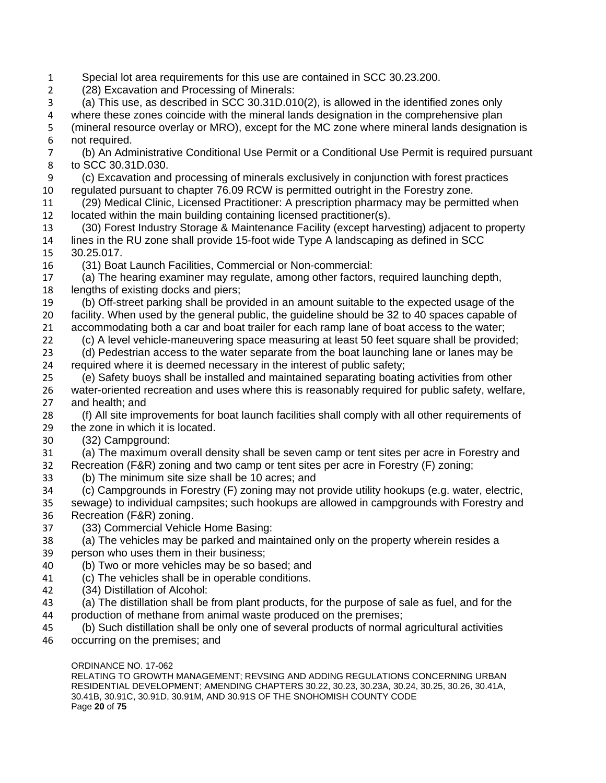Special lot area requirements for this use are contained in SCC 30.23.200. (28) Excavation and Processing of Minerals: (a) This use, as described in SCC 30.31D.010(2), is allowed in the identified zones only where these zones coincide with the mineral lands designation in the comprehensive plan (mineral resource overlay or MRO), except for the MC zone where mineral lands designation is not required. (b) An Administrative Conditional Use Permit or a Conditional Use Permit is required pursuant to SCC 30.31D.030. (c) Excavation and processing of minerals exclusively in conjunction with forest practices regulated pursuant to chapter 76.09 RCW is permitted outright in the Forestry zone. (29) Medical Clinic, Licensed Practitioner: A prescription pharmacy may be permitted when located within the main building containing licensed practitioner(s). (30) Forest Industry Storage & Maintenance Facility (except harvesting) adjacent to property lines in the RU zone shall provide 15-foot wide Type A landscaping as defined in SCC 30.25.017. (31) Boat Launch Facilities, Commercial or Non-commercial: (a) The hearing examiner may regulate, among other factors, required launching depth, lengths of existing docks and piers; (b) Off-street parking shall be provided in an amount suitable to the expected usage of the facility. When used by the general public, the guideline should be 32 to 40 spaces capable of accommodating both a car and boat trailer for each ramp lane of boat access to the water; (c) A level vehicle-maneuvering space measuring at least 50 feet square shall be provided; (d) Pedestrian access to the water separate from the boat launching lane or lanes may be required where it is deemed necessary in the interest of public safety; (e) Safety buoys shall be installed and maintained separating boating activities from other water-oriented recreation and uses where this is reasonably required for public safety, welfare, and health; and (f) All site improvements for boat launch facilities shall comply with all other requirements of the zone in which it is located. (32) Campground: (a) The maximum overall density shall be seven camp or tent sites per acre in Forestry and Recreation (F&R) zoning and two camp or tent sites per acre in Forestry (F) zoning; (b) The minimum site size shall be 10 acres; and (c) Campgrounds in Forestry (F) zoning may not provide utility hookups (e.g. water, electric, sewage) to individual campsites; such hookups are allowed in campgrounds with Forestry and Recreation (F&R) zoning. (33) Commercial Vehicle Home Basing: (a) The vehicles may be parked and maintained only on the property wherein resides a person who uses them in their business; (b) Two or more vehicles may be so based; and (c) The vehicles shall be in operable conditions. (34) Distillation of Alcohol: (a) The distillation shall be from plant products, for the purpose of sale as fuel, and for the production of methane from animal waste produced on the premises; (b) Such distillation shall be only one of several products of normal agricultural activities occurring on the premises; and

ORDINANCE NO. 17-062 RELATING TO GROWTH MANAGEMENT; REVSING AND ADDING REGULATIONS CONCERNING URBAN RESIDENTIAL DEVELOPMENT; AMENDING CHAPTERS 30.22, 30.23, 30.23A, 30.24, 30.25, 30.26, 30.41A, 30.41B, 30.91C, 30.91D, 30.91M, AND 30.91S OF THE SNOHOMISH COUNTY CODE Page **20** of **75**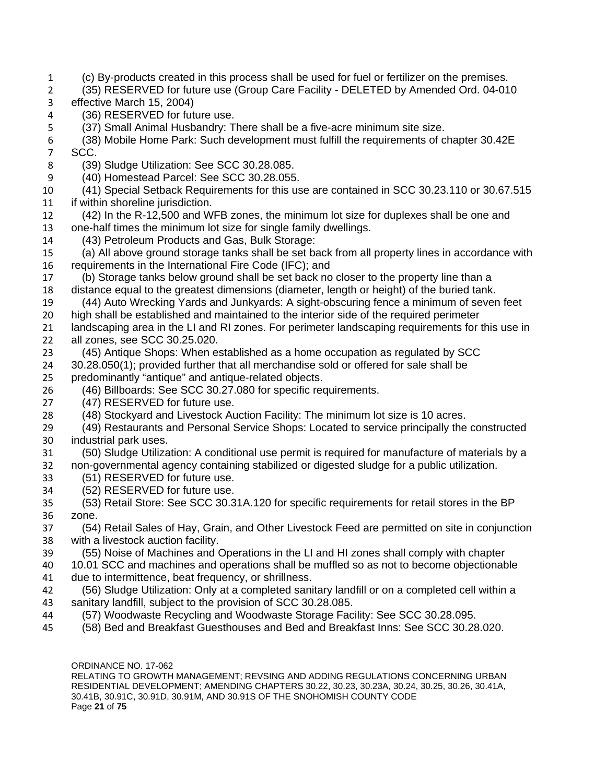- (c) By-products created in this process shall be used for fuel or fertilizer on the premises.
- (35) RESERVED for future use (Group Care Facility DELETED by Amended Ord. 04-010 effective March 15, 2004)
- (36) RESERVED for future use.
- (37) Small Animal Husbandry: There shall be a five-acre minimum site size.
- (38) Mobile Home Park: Such development must fulfill the requirements of chapter 30.42E SCC.
- (39) Sludge Utilization: See SCC 30.28.085.
- (40) Homestead Parcel: See SCC 30.28.055.
- (41) Special Setback Requirements for this use are contained in SCC 30.23.110 or 30.67.515 if within shoreline jurisdiction.
- (42) In the R-12,500 and WFB zones, the minimum lot size for duplexes shall be one and one-half times the minimum lot size for single family dwellings.
- (43) Petroleum Products and Gas, Bulk Storage:
- (a) All above ground storage tanks shall be set back from all property lines in accordance with 16 requirements in the International Fire Code (IFC); and<br>17 (b) Storage tanks below ground shall be set back no
- (b) Storage tanks below ground shall be set back no closer to the property line than a distance equal to the greatest dimensions (diameter, length or height) of the buried tank.
- (44) Auto Wrecking Yards and Junkyards: A sight-obscuring fence a minimum of seven feet
- high shall be established and maintained to the interior side of the required perimeter
- 21 landscaping area in the LI and RI zones. For perimeter landscaping requirements for this use in all zones, see SCC 30.25.020.
- (45) Antique Shops: When established as a home occupation as regulated by SCC
- 30.28.050(1); provided further that all merchandise sold or offered for sale shall be
- predominantly "antique" and antique-related objects.
- (46) Billboards: See SCC 30.27.080 for specific requirements.
- (47) RESERVED for future use.
- (48) Stockyard and Livestock Auction Facility: The minimum lot size is 10 acres.
- (49) Restaurants and Personal Service Shops: Located to service principally the constructed industrial park uses.
- (50) Sludge Utilization: A conditional use permit is required for manufacture of materials by a
- non-governmental agency containing stabilized or digested sludge for a public utilization.
- (51) RESERVED for future use.
- (52) RESERVED for future use.
- (53) Retail Store: See SCC 30.31A.120 for specific requirements for retail stores in the BP zone.
- (54) Retail Sales of Hay, Grain, and Other Livestock Feed are permitted on site in conjunction with a livestock auction facility.
- (55) Noise of Machines and Operations in the LI and HI zones shall comply with chapter
- 10.01 SCC and machines and operations shall be muffled so as not to become objectionable due to intermittence, beat frequency, or shrillness.
- (56) Sludge Utilization: Only at a completed sanitary landfill or on a completed cell within a sanitary landfill, subject to the provision of SCC 30.28.085.
- (57) Woodwaste Recycling and Woodwaste Storage Facility: See SCC 30.28.095.
- (58) Bed and Breakfast Guesthouses and Bed and Breakfast Inns: See SCC 30.28.020.

ORDINANCE NO. 17-062

RELATING TO GROWTH MANAGEMENT; REVSING AND ADDING REGULATIONS CONCERNING URBAN RESIDENTIAL DEVELOPMENT; AMENDING CHAPTERS 30.22, 30.23, 30.23A, 30.24, 30.25, 30.26, 30.41A, 30.41B, 30.91C, 30.91D, 30.91M, AND 30.91S OF THE SNOHOMISH COUNTY CODE Page **21** of **75**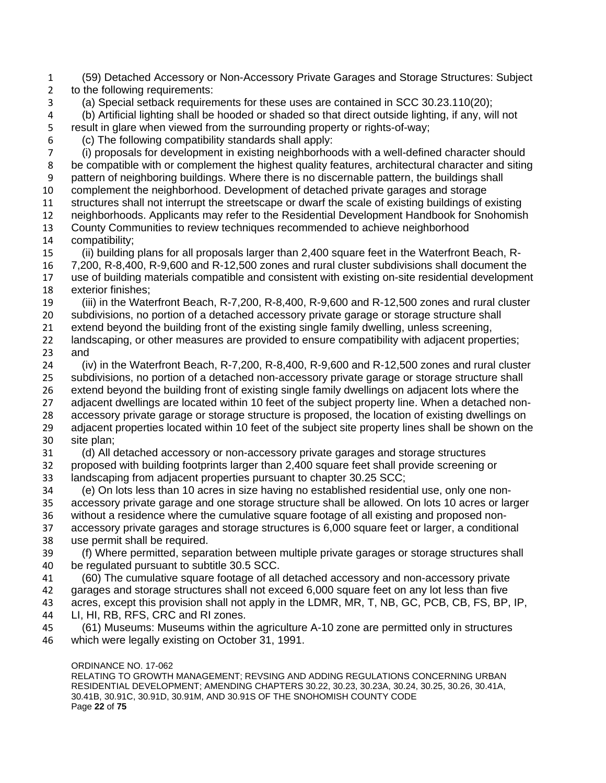(59) Detached Accessory or Non-Accessory Private Garages and Storage Structures: Subject to the following requirements: (a) Special setback requirements for these uses are contained in SCC 30.23.110(20); (b) Artificial lighting shall be hooded or shaded so that direct outside lighting, if any, will not result in glare when viewed from the surrounding property or rights-of-way; (c) The following compatibility standards shall apply: (i) proposals for development in existing neighborhoods with a well-defined character should be compatible with or complement the highest quality features, architectural character and siting pattern of neighboring buildings. Where there is no discernable pattern, the buildings shall complement the neighborhood. Development of detached private garages and storage structures shall not interrupt the streetscape or dwarf the scale of existing buildings of existing neighborhoods. Applicants may refer to the Residential Development Handbook for Snohomish County Communities to review techniques recommended to achieve neighborhood compatibility; (ii) building plans for all proposals larger than 2,400 square feet in the Waterfront Beach, R- 7,200, R-8,400, R-9,600 and R-12,500 zones and rural cluster subdivisions shall document the use of building materials compatible and consistent with existing on-site residential development exterior finishes; (iii) in the Waterfront Beach, R-7,200, R-8,400, R-9,600 and R-12,500 zones and rural cluster subdivisions, no portion of a detached accessory private garage or storage structure shall extend beyond the building front of the existing single family dwelling, unless screening, landscaping, or other measures are provided to ensure compatibility with adjacent properties; and (iv) in the Waterfront Beach, R-7,200, R-8,400, R-9,600 and R-12,500 zones and rural cluster subdivisions, no portion of a detached non-accessory private garage or storage structure shall extend beyond the building front of existing single family dwellings on adjacent lots where the adjacent dwellings are located within 10 feet of the subject property line. When a detached non- accessory private garage or storage structure is proposed, the location of existing dwellings on adjacent properties located within 10 feet of the subject site property lines shall be shown on the site plan; (d) All detached accessory or non-accessory private garages and storage structures proposed with building footprints larger than 2,400 square feet shall provide screening or landscaping from adjacent properties pursuant to chapter 30.25 SCC; (e) On lots less than 10 acres in size having no established residential use, only one non- accessory private garage and one storage structure shall be allowed. On lots 10 acres or larger without a residence where the cumulative square footage of all existing and proposed non- accessory private garages and storage structures is 6,000 square feet or larger, a conditional use permit shall be required. (f) Where permitted, separation between multiple private garages or storage structures shall be regulated pursuant to subtitle 30.5 SCC. (60) The cumulative square footage of all detached accessory and non-accessory private garages and storage structures shall not exceed 6,000 square feet on any lot less than five acres, except this provision shall not apply in the LDMR, MR, T, NB, GC, PCB, CB, FS, BP, IP, LI, HI, RB, RFS, CRC and RI zones. (61) Museums: Museums within the agriculture A-10 zone are permitted only in structures which were legally existing on October 31, 1991.

ORDINANCE NO. 17-062

RELATING TO GROWTH MANAGEMENT; REVSING AND ADDING REGULATIONS CONCERNING URBAN RESIDENTIAL DEVELOPMENT; AMENDING CHAPTERS 30.22, 30.23, 30.23A, 30.24, 30.25, 30.26, 30.41A, 30.41B, 30.91C, 30.91D, 30.91M, AND 30.91S OF THE SNOHOMISH COUNTY CODE Page **22** of **75**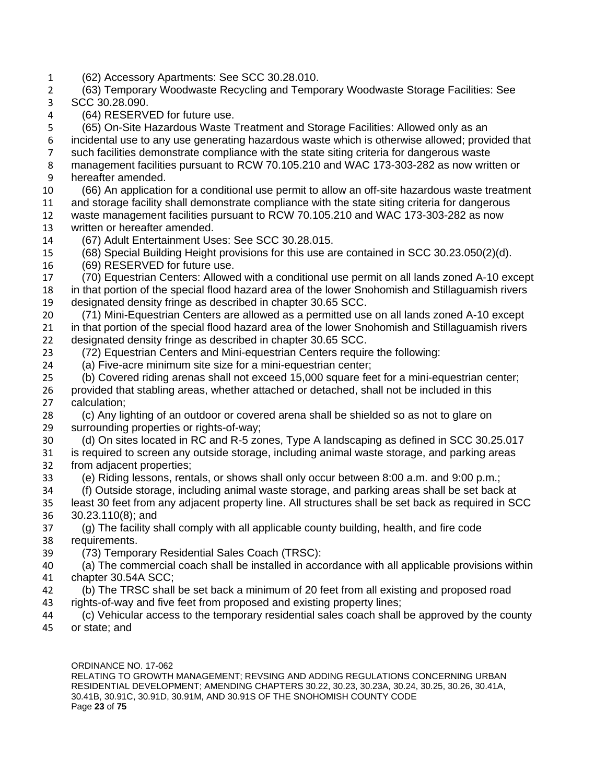(62) Accessory Apartments: See SCC 30.28.010.

 (63) Temporary Woodwaste Recycling and Temporary Woodwaste Storage Facilities: See SCC 30.28.090.

(64) RESERVED for future use.

(65) On-Site Hazardous Waste Treatment and Storage Facilities: Allowed only as an

 incidental use to any use generating hazardous waste which is otherwise allowed; provided that such facilities demonstrate compliance with the state siting criteria for dangerous waste management facilities pursuant to RCW 70.105.210 and WAC 173-303-282 as now written or hereafter amended.

 (66) An application for a conditional use permit to allow an off-site hazardous waste treatment and storage facility shall demonstrate compliance with the state siting criteria for dangerous waste management facilities pursuant to RCW 70.105.210 and WAC 173-303-282 as now

- written or hereafter amended.
- (67) Adult Entertainment Uses: See SCC 30.28.015.
- (68) Special Building Height provisions for this use are contained in SCC 30.23.050(2)(d).
- (69) RESERVED for future use.

 (70) Equestrian Centers: Allowed with a conditional use permit on all lands zoned A-10 except in that portion of the special flood hazard area of the lower Snohomish and Stillaguamish rivers designated density fringe as described in chapter 30.65 SCC.

 (71) Mini-Equestrian Centers are allowed as a permitted use on all lands zoned A-10 except in that portion of the special flood hazard area of the lower Snohomish and Stillaguamish rivers designated density fringe as described in chapter 30.65 SCC.

(72) Equestrian Centers and Mini-equestrian Centers require the following:

(a) Five-acre minimum site size for a mini-equestrian center;

 (b) Covered riding arenas shall not exceed 15,000 square feet for a mini-equestrian center; provided that stabling areas, whether attached or detached, shall not be included in this calculation;

 (c) Any lighting of an outdoor or covered arena shall be shielded so as not to glare on surrounding properties or rights-of-way;

- (d) On sites located in RC and R-5 zones, Type A landscaping as defined in SCC 30.25.017 is required to screen any outside storage, including animal waste storage, and parking areas
- from adjacent properties;
- (e) Riding lessons, rentals, or shows shall only occur between 8:00 a.m. and 9:00 p.m.;
- (f) Outside storage, including animal waste storage, and parking areas shall be set back at least 30 feet from any adjacent property line. All structures shall be set back as required in SCC 30.23.110(8); and

 (g) The facility shall comply with all applicable county building, health, and fire code requirements.

(73) Temporary Residential Sales Coach (TRSC):

 (a) The commercial coach shall be installed in accordance with all applicable provisions within chapter 30.54A SCC;

- (b) The TRSC shall be set back a minimum of 20 feet from all existing and proposed road
- rights-of-way and five feet from proposed and existing property lines;
- (c) Vehicular access to the temporary residential sales coach shall be approved by the county or state; and

ORDINANCE NO. 17-062 RELATING TO GROWTH MANAGEMENT; REVSING AND ADDING REGULATIONS CONCERNING URBAN RESIDENTIAL DEVELOPMENT; AMENDING CHAPTERS 30.22, 30.23, 30.23A, 30.24, 30.25, 30.26, 30.41A, 30.41B, 30.91C, 30.91D, 30.91M, AND 30.91S OF THE SNOHOMISH COUNTY CODE Page **23** of **75**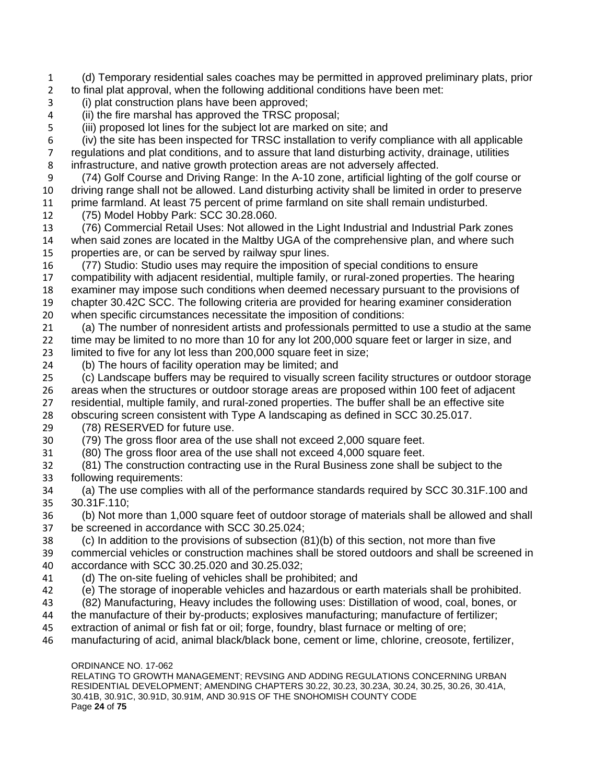(d) Temporary residential sales coaches may be permitted in approved preliminary plats, prior to final plat approval, when the following additional conditions have been met:

- (i) plat construction plans have been approved;
- (ii) the fire marshal has approved the TRSC proposal;
- (iii) proposed lot lines for the subject lot are marked on site; and

 (iv) the site has been inspected for TRSC installation to verify compliance with all applicable regulations and plat conditions, and to assure that land disturbing activity, drainage, utilities infrastructure, and native growth protection areas are not adversely affected.

 (74) Golf Course and Driving Range: In the A-10 zone, artificial lighting of the golf course or driving range shall not be allowed. Land disturbing activity shall be limited in order to preserve

prime farmland. At least 75 percent of prime farmland on site shall remain undisturbed.

(75) Model Hobby Park: SCC 30.28.060.

 (76) Commercial Retail Uses: Not allowed in the Light Industrial and Industrial Park zones when said zones are located in the Maltby UGA of the comprehensive plan, and where such properties are, or can be served by railway spur lines.

 (77) Studio: Studio uses may require the imposition of special conditions to ensure compatibility with adjacent residential, multiple family, or rural-zoned properties. The hearing examiner may impose such conditions when deemed necessary pursuant to the provisions of chapter 30.42C SCC. The following criteria are provided for hearing examiner consideration when specific circumstances necessitate the imposition of conditions:

 (a) The number of nonresident artists and professionals permitted to use a studio at the same time may be limited to no more than 10 for any lot 200,000 square feet or larger in size, and limited to five for any lot less than 200,000 square feet in size;

(b) The hours of facility operation may be limited; and

 (c) Landscape buffers may be required to visually screen facility structures or outdoor storage areas when the structures or outdoor storage areas are proposed within 100 feet of adjacent residential, multiple family, and rural-zoned properties. The buffer shall be an effective site obscuring screen consistent with Type A landscaping as defined in SCC 30.25.017.

(78) RESERVED for future use.

(79) The gross floor area of the use shall not exceed 2,000 square feet.

(80) The gross floor area of the use shall not exceed 4,000 square feet.

 (81) The construction contracting use in the Rural Business zone shall be subject to the following requirements:

 (a) The use complies with all of the performance standards required by SCC 30.31F.100 and 30.31F.110;

 (b) Not more than 1,000 square feet of outdoor storage of materials shall be allowed and shall be screened in accordance with SCC 30.25.024;

 (c) In addition to the provisions of subsection (81)(b) of this section, not more than five commercial vehicles or construction machines shall be stored outdoors and shall be screened in

accordance with SCC 30.25.020 and 30.25.032;

- (d) The on-site fueling of vehicles shall be prohibited; and
- (e) The storage of inoperable vehicles and hazardous or earth materials shall be prohibited.
- (82) Manufacturing, Heavy includes the following uses: Distillation of wood, coal, bones, or
- the manufacture of their by-products; explosives manufacturing; manufacture of fertilizer;
- extraction of animal or fish fat or oil; forge, foundry, blast furnace or melting of ore;
- manufacturing of acid, animal black/black bone, cement or lime, chlorine, creosote, fertilizer,

#### ORDINANCE NO. 17-062

RELATING TO GROWTH MANAGEMENT; REVSING AND ADDING REGULATIONS CONCERNING URBAN RESIDENTIAL DEVELOPMENT; AMENDING CHAPTERS 30.22, 30.23, 30.23A, 30.24, 30.25, 30.26, 30.41A, 30.41B, 30.91C, 30.91D, 30.91M, AND 30.91S OF THE SNOHOMISH COUNTY CODE Page **24** of **75**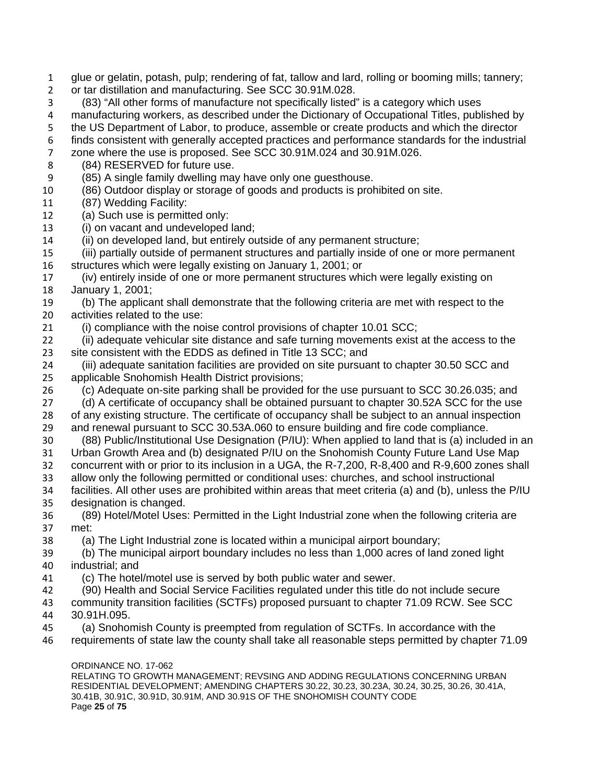- glue or gelatin, potash, pulp; rendering of fat, tallow and lard, rolling or booming mills; tannery;
- or tar distillation and manufacturing. See SCC 30.91M.028.
- (83) "All other forms of manufacture not specifically listed" is a category which uses

manufacturing workers, as described under the Dictionary of Occupational Titles, published by

- the US Department of Labor, to produce, assemble or create products and which the director
- finds consistent with generally accepted practices and performance standards for the industrial
- zone where the use is proposed. See SCC 30.91M.024 and 30.91M.026.
- (84) RESERVED for future use.
- (85) A single family dwelling may have only one guesthouse.
- (86) Outdoor display or storage of goods and products is prohibited on site.
- (87) Wedding Facility:
- (a) Such use is permitted only:
- (i) on vacant and undeveloped land;
- (ii) on developed land, but entirely outside of any permanent structure;
- (iii) partially outside of permanent structures and partially inside of one or more permanent structures which were legally existing on January 1, 2001; or
- (iv) entirely inside of one or more permanent structures which were legally existing on January 1, 2001;
- (b) The applicant shall demonstrate that the following criteria are met with respect to the activities related to the use:
- (i) compliance with the noise control provisions of chapter 10.01 SCC;
- (ii) adequate vehicular site distance and safe turning movements exist at the access to the site consistent with the EDDS as defined in Title 13 SCC; and
- (iii) adequate sanitation facilities are provided on site pursuant to chapter 30.50 SCC and applicable Snohomish Health District provisions;
- (c) Adequate on-site parking shall be provided for the use pursuant to SCC 30.26.035; and
- (d) A certificate of occupancy shall be obtained pursuant to chapter 30.52A SCC for the use of any existing structure. The certificate of occupancy shall be subject to an annual inspection and renewal pursuant to SCC 30.53A.060 to ensure building and fire code compliance.
- (88) Public/Institutional Use Designation (P/IU): When applied to land that is (a) included in an Urban Growth Area and (b) designated P/IU on the Snohomish County Future Land Use Map
- concurrent with or prior to its inclusion in a UGA, the R-7,200, R-8,400 and R-9,600 zones shall allow only the following permitted or conditional uses: churches, and school instructional
- facilities. All other uses are prohibited within areas that meet criteria (a) and (b), unless the P/IU designation is changed.
- (89) Hotel/Motel Uses: Permitted in the Light Industrial zone when the following criteria are met:
- (a) The Light Industrial zone is located within a municipal airport boundary;
- (b) The municipal airport boundary includes no less than 1,000 acres of land zoned light industrial; and
- (c) The hotel/motel use is served by both public water and sewer.
- (90) Health and Social Service Facilities regulated under this title do not include secure
- community transition facilities (SCTFs) proposed pursuant to chapter 71.09 RCW. See SCC 30.91H.095.
- (a) Snohomish County is preempted from regulation of SCTFs. In accordance with the
- requirements of state law the county shall take all reasonable steps permitted by chapter 71.09

#### ORDINANCE NO. 17-062

RELATING TO GROWTH MANAGEMENT; REVSING AND ADDING REGULATIONS CONCERNING URBAN RESIDENTIAL DEVELOPMENT; AMENDING CHAPTERS 30.22, 30.23, 30.23A, 30.24, 30.25, 30.26, 30.41A, 30.41B, 30.91C, 30.91D, 30.91M, AND 30.91S OF THE SNOHOMISH COUNTY CODE Page **25** of **75**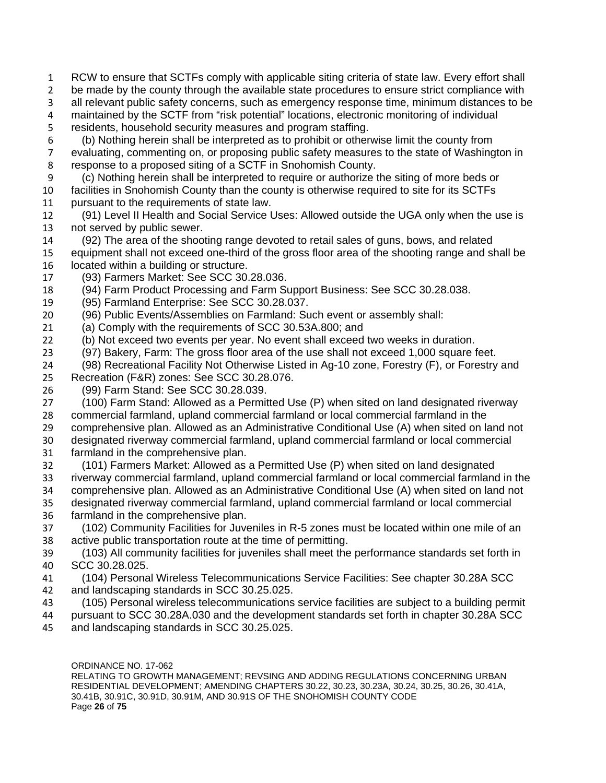RCW to ensure that SCTFs comply with applicable siting criteria of state law. Every effort shall

2 be made by the county through the available state procedures to ensure strict compliance with

all relevant public safety concerns, such as emergency response time, minimum distances to be

 maintained by the SCTF from "risk potential" locations, electronic monitoring of individual residents, household security measures and program staffing.

(b) Nothing herein shall be interpreted as to prohibit or otherwise limit the county from

 evaluating, commenting on, or proposing public safety measures to the state of Washington in response to a proposed siting of a SCTF in Snohomish County.

(c) Nothing herein shall be interpreted to require or authorize the siting of more beds or

 facilities in Snohomish County than the county is otherwise required to site for its SCTFs pursuant to the requirements of state law.

- (91) Level II Health and Social Service Uses: Allowed outside the UGA only when the use is
- not served by public sewer.
- (92) The area of the shooting range devoted to retail sales of guns, bows, and related
- equipment shall not exceed one-third of the gross floor area of the shooting range and shall be 16 located within a building or structure.
- (93) Farmers Market: See SCC 30.28.036.
- (94) Farm Product Processing and Farm Support Business: See SCC 30.28.038.
- (95) Farmland Enterprise: See SCC 30.28.037.
- (96) Public Events/Assemblies on Farmland: Such event or assembly shall:
- (a) Comply with the requirements of SCC 30.53A.800; and
- (b) Not exceed two events per year. No event shall exceed two weeks in duration.
- (97) Bakery, Farm: The gross floor area of the use shall not exceed 1,000 square feet.
- (98) Recreational Facility Not Otherwise Listed in Ag-10 zone, Forestry (F), or Forestry and Recreation (F&R) zones: See SCC 30.28.076.
- (99) Farm Stand: See SCC 30.28.039.
- (100) Farm Stand: Allowed as a Permitted Use (P) when sited on land designated riverway
- commercial farmland, upland commercial farmland or local commercial farmland in the
- comprehensive plan. Allowed as an Administrative Conditional Use (A) when sited on land not
- designated riverway commercial farmland, upland commercial farmland or local commercial farmland in the comprehensive plan.
- (101) Farmers Market: Allowed as a Permitted Use (P) when sited on land designated riverway commercial farmland, upland commercial farmland or local commercial farmland in the comprehensive plan. Allowed as an Administrative Conditional Use (A) when sited on land not designated riverway commercial farmland, upland commercial farmland or local commercial
- farmland in the comprehensive plan.
- (102) Community Facilities for Juveniles in R-5 zones must be located within one mile of an active public transportation route at the time of permitting.
- (103) All community facilities for juveniles shall meet the performance standards set forth in SCC 30.28.025.
- (104) Personal Wireless Telecommunications Service Facilities: See chapter 30.28A SCC and landscaping standards in SCC 30.25.025.
- (105) Personal wireless telecommunications service facilities are subject to a building permit
- pursuant to SCC 30.28A.030 and the development standards set forth in chapter 30.28A SCC and landscaping standards in SCC 30.25.025.

ORDINANCE NO. 17-062 RELATING TO GROWTH MANAGEMENT; REVSING AND ADDING REGULATIONS CONCERNING URBAN RESIDENTIAL DEVELOPMENT; AMENDING CHAPTERS 30.22, 30.23, 30.23A, 30.24, 30.25, 30.26, 30.41A, 30.41B, 30.91C, 30.91D, 30.91M, AND 30.91S OF THE SNOHOMISH COUNTY CODE Page **26** of **75**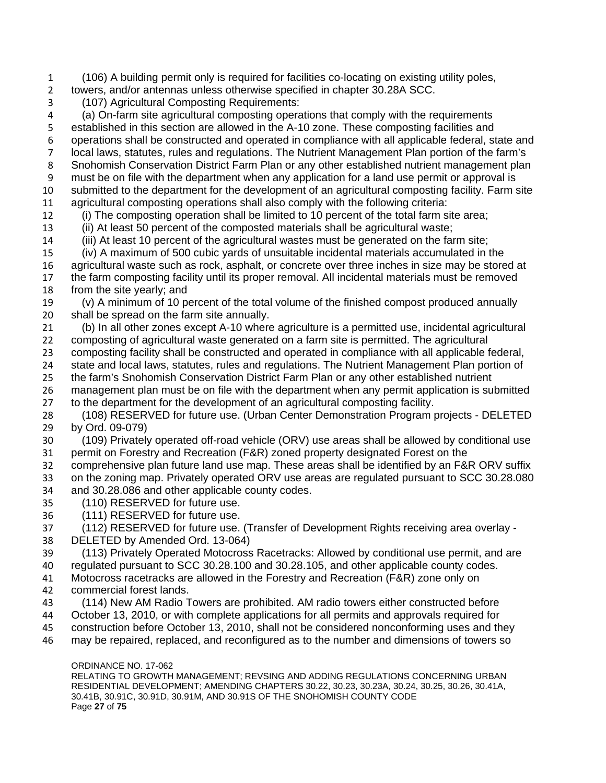(106) A building permit only is required for facilities co-locating on existing utility poles,

towers, and/or antennas unless otherwise specified in chapter 30.28A SCC.

(107) Agricultural Composting Requirements:

 (a) On-farm site agricultural composting operations that comply with the requirements established in this section are allowed in the A-10 zone. These composting facilities and operations shall be constructed and operated in compliance with all applicable federal, state and local laws, statutes, rules and regulations. The Nutrient Management Plan portion of the farm's Snohomish Conservation District Farm Plan or any other established nutrient management plan must be on file with the department when any application for a land use permit or approval is submitted to the department for the development of an agricultural composting facility. Farm site agricultural composting operations shall also comply with the following criteria:

(i) The composting operation shall be limited to 10 percent of the total farm site area;

(ii) At least 50 percent of the composted materials shall be agricultural waste;

 (iii) At least 10 percent of the agricultural wastes must be generated on the farm site; (iv) A maximum of 500 cubic yards of unsuitable incidental materials accumulated in the

 agricultural waste such as rock, asphalt, or concrete over three inches in size may be stored at the farm composting facility until its proper removal. All incidental materials must be removed

from the site yearly; and

 (v) A minimum of 10 percent of the total volume of the finished compost produced annually shall be spread on the farm site annually.

 (b) In all other zones except A-10 where agriculture is a permitted use, incidental agricultural composting of agricultural waste generated on a farm site is permitted. The agricultural

composting facility shall be constructed and operated in compliance with all applicable federal,

state and local laws, statutes, rules and regulations. The Nutrient Management Plan portion of

 the farm's Snohomish Conservation District Farm Plan or any other established nutrient management plan must be on file with the department when any permit application is submitted

to the department for the development of an agricultural composting facility.

 (108) RESERVED for future use. (Urban Center Demonstration Program projects - DELETED by Ord. 09-079)

 (109) Privately operated off-road vehicle (ORV) use areas shall be allowed by conditional use permit on Forestry and Recreation (F&R) zoned property designated Forest on the

 comprehensive plan future land use map. These areas shall be identified by an F&R ORV suffix on the zoning map. Privately operated ORV use areas are regulated pursuant to SCC 30.28.080 and 30.28.086 and other applicable county codes.

- (110) RESERVED for future use.
- (111) RESERVED for future use.

 (112) RESERVED for future use. (Transfer of Development Rights receiving area overlay - DELETED by Amended Ord. 13-064)

 (113) Privately Operated Motocross Racetracks: Allowed by conditional use permit, and are regulated pursuant to SCC 30.28.100 and 30.28.105, and other applicable county codes.

 Motocross racetracks are allowed in the Forestry and Recreation (F&R) zone only on commercial forest lands.

(114) New AM Radio Towers are prohibited. AM radio towers either constructed before

October 13, 2010, or with complete applications for all permits and approvals required for

construction before October 13, 2010, shall not be considered nonconforming uses and they

may be repaired, replaced, and reconfigured as to the number and dimensions of towers so

#### ORDINANCE NO. 17-062

RELATING TO GROWTH MANAGEMENT; REVSING AND ADDING REGULATIONS CONCERNING URBAN RESIDENTIAL DEVELOPMENT; AMENDING CHAPTERS 30.22, 30.23, 30.23A, 30.24, 30.25, 30.26, 30.41A, 30.41B, 30.91C, 30.91D, 30.91M, AND 30.91S OF THE SNOHOMISH COUNTY CODE Page **27** of **75**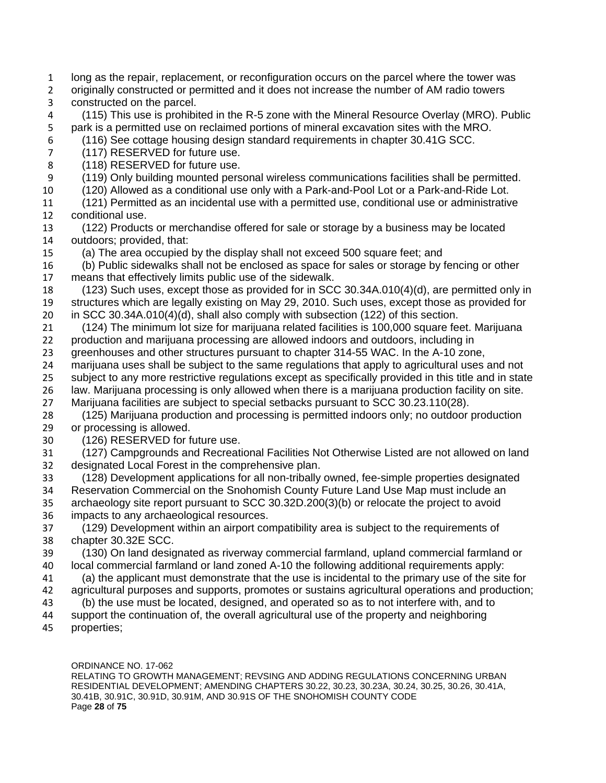- long as the repair, replacement, or reconfiguration occurs on the parcel where the tower was
- originally constructed or permitted and it does not increase the number of AM radio towers constructed on the parcel.
- (115) This use is prohibited in the R-5 zone with the Mineral Resource Overlay (MRO). Public park is a permitted use on reclaimed portions of mineral excavation sites with the MRO. (116) See cottage housing design standard requirements in chapter 30.41G SCC.
- (117) RESERVED for future use.
- (118) RESERVED for future use.
- (119) Only building mounted personal wireless communications facilities shall be permitted.
- (120) Allowed as a conditional use only with a Park-and-Pool Lot or a Park-and-Ride Lot.
- (121) Permitted as an incidental use with a permitted use, conditional use or administrative conditional use.
- (122) Products or merchandise offered for sale or storage by a business may be located outdoors; provided, that:
- (a) The area occupied by the display shall not exceed 500 square feet; and
- (b) Public sidewalks shall not be enclosed as space for sales or storage by fencing or other means that effectively limits public use of the sidewalk.
- (123) Such uses, except those as provided for in SCC 30.34A.010(4)(d), are permitted only in structures which are legally existing on May 29, 2010. Such uses, except those as provided for in SCC 30.34A.010(4)(d), shall also comply with subsection (122) of this section.
- (124) The minimum lot size for marijuana related facilities is 100,000 square feet. Marijuana production and marijuana processing are allowed indoors and outdoors, including in
- greenhouses and other structures pursuant to chapter 314-55 WAC. In the A-10 zone,
- marijuana uses shall be subject to the same regulations that apply to agricultural uses and not
- 25 subject to any more restrictive regulations except as specifically provided in this title and in state law. Marijuana processing is only allowed when there is a marijuana production facility on site.
- Marijuana facilities are subject to special setbacks pursuant to SCC 30.23.110(28).
- (125) Marijuana production and processing is permitted indoors only; no outdoor production or processing is allowed.
- (126) RESERVED for future use.
- (127) Campgrounds and Recreational Facilities Not Otherwise Listed are not allowed on land designated Local Forest in the comprehensive plan.
- (128) Development applications for all non-tribally owned, fee-simple properties designated Reservation Commercial on the Snohomish County Future Land Use Map must include an archaeology site report pursuant to SCC 30.32D.200(3)(b) or relocate the project to avoid impacts to any archaeological resources.
- (129) Development within an airport compatibility area is subject to the requirements of chapter 30.32E SCC.
- (130) On land designated as riverway commercial farmland, upland commercial farmland or local commercial farmland or land zoned A-10 the following additional requirements apply:
- (a) the applicant must demonstrate that the use is incidental to the primary use of the site for agricultural purposes and supports, promotes or sustains agricultural operations and production;
- (b) the use must be located, designed, and operated so as to not interfere with, and to
- support the continuation of, the overall agricultural use of the property and neighboring
- properties;

#### ORDINANCE NO. 17-062 RELATING TO GROWTH MANAGEMENT; REVSING AND ADDING REGULATIONS CONCERNING URBAN RESIDENTIAL DEVELOPMENT; AMENDING CHAPTERS 30.22, 30.23, 30.23A, 30.24, 30.25, 30.26, 30.41A, 30.41B, 30.91C, 30.91D, 30.91M, AND 30.91S OF THE SNOHOMISH COUNTY CODE Page **28** of **75**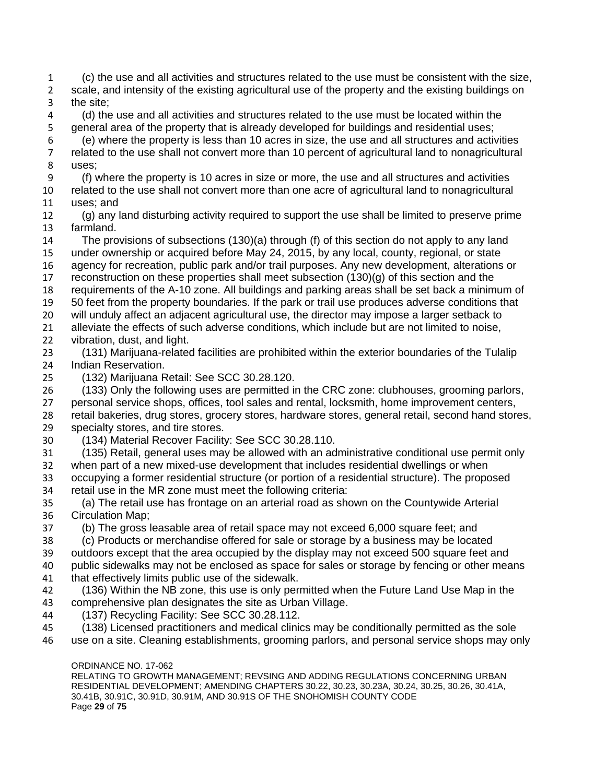ORDINANCE NO. 17-062 RELATING TO GROWTH MANAGEMENT; REVSING AND ADDING REGULATIONS CONCERNING URBAN (c) the use and all activities and structures related to the use must be consistent with the size, 2 scale, and intensity of the existing agricultural use of the property and the existing buildings on the site; (d) the use and all activities and structures related to the use must be located within the general area of the property that is already developed for buildings and residential uses; (e) where the property is less than 10 acres in size, the use and all structures and activities related to the use shall not convert more than 10 percent of agricultural land to nonagricultural uses; (f) where the property is 10 acres in size or more, the use and all structures and activities related to the use shall not convert more than one acre of agricultural land to nonagricultural uses; and (g) any land disturbing activity required to support the use shall be limited to preserve prime farmland. The provisions of subsections (130)(a) through (f) of this section do not apply to any land under ownership or acquired before May 24, 2015, by any local, county, regional, or state agency for recreation, public park and/or trail purposes. Any new development, alterations or reconstruction on these properties shall meet subsection (130)(g) of this section and the requirements of the A-10 zone. All buildings and parking areas shall be set back a minimum of 50 feet from the property boundaries. If the park or trail use produces adverse conditions that will unduly affect an adjacent agricultural use, the director may impose a larger setback to alleviate the effects of such adverse conditions, which include but are not limited to noise, vibration, dust, and light. (131) Marijuana-related facilities are prohibited within the exterior boundaries of the Tulalip Indian Reservation. (132) Marijuana Retail: See SCC 30.28.120. (133) Only the following uses are permitted in the CRC zone: clubhouses, grooming parlors, personal service shops, offices, tool sales and rental, locksmith, home improvement centers, retail bakeries, drug stores, grocery stores, hardware stores, general retail, second hand stores, specialty stores, and tire stores. (134) Material Recover Facility: See SCC 30.28.110. (135) Retail, general uses may be allowed with an administrative conditional use permit only when part of a new mixed-use development that includes residential dwellings or when occupying a former residential structure (or portion of a residential structure). The proposed retail use in the MR zone must meet the following criteria: (a) The retail use has frontage on an arterial road as shown on the Countywide Arterial Circulation Map; (b) The gross leasable area of retail space may not exceed 6,000 square feet; and (c) Products or merchandise offered for sale or storage by a business may be located outdoors except that the area occupied by the display may not exceed 500 square feet and public sidewalks may not be enclosed as space for sales or storage by fencing or other means that effectively limits public use of the sidewalk. (136) Within the NB zone, this use is only permitted when the Future Land Use Map in the comprehensive plan designates the site as Urban Village. (137) Recycling Facility: See SCC 30.28.112. (138) Licensed practitioners and medical clinics may be conditionally permitted as the sole use on a site. Cleaning establishments, grooming parlors, and personal service shops may only

RESIDENTIAL DEVELOPMENT; AMENDING CHAPTERS 30.22, 30.23, 30.23A, 30.24, 30.25, 30.26, 30.41A, 30.41B, 30.91C, 30.91D, 30.91M, AND 30.91S OF THE SNOHOMISH COUNTY CODE Page **29** of **75**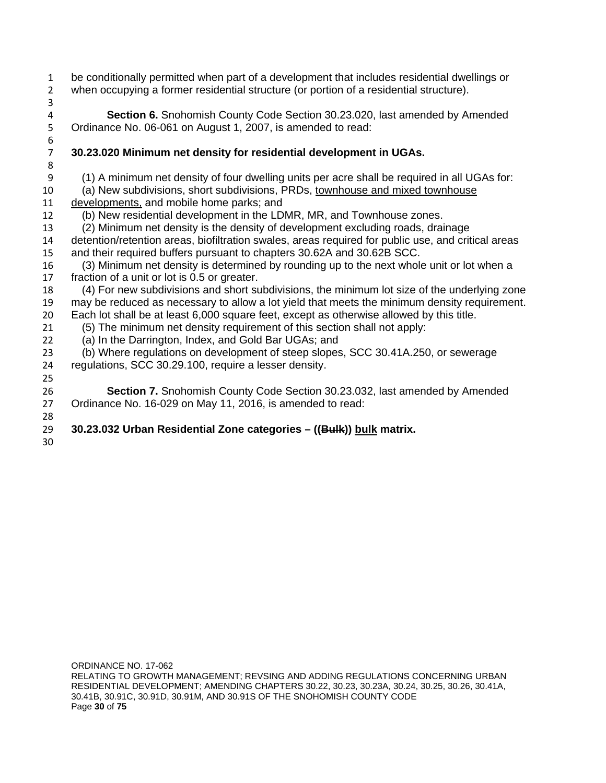- be conditionally permitted when part of a development that includes residential dwellings or when occupying a former residential structure (or portion of a residential structure).
- 

**Section 6.** Snohomish County Code Section 30.23.020, last amended by Amended 5 Ordinance No. 06-061 on August 1, 2007, is amended to read: Ordinance No. 06-061 on August 1, 2007, is amended to read:

# **30.23.020 Minimum net density for residential development in UGAs.**

(1) A minimum net density of four dwelling units per acre shall be required in all UGAs for:

(a) New subdivisions, short subdivisions, PRDs, townhouse and mixed townhouse

- developments, and mobile home parks; and
- (b) New residential development in the LDMR, MR, and Townhouse zones.
- (2) Minimum net density is the density of development excluding roads, drainage
- detention/retention areas, biofiltration swales, areas required for public use, and critical areas and their required buffers pursuant to chapters 30.62A and 30.62B SCC.
- 16 (3) Minimum net density is determined by rounding up to the next whole unit or lot when a<br>17 fraction of a unit or lot is 0.5 or greater. fraction of a unit or lot is 0.5 or greater.
- (4) For new subdivisions and short subdivisions, the minimum lot size of the underlying zone may be reduced as necessary to allow a lot yield that meets the minimum density requirement.
- Each lot shall be at least 6,000 square feet, except as otherwise allowed by this title.
- (5) The minimum net density requirement of this section shall not apply:
- (a) In the Darrington, Index, and Gold Bar UGAs; and

 (b) Where regulations on development of steep slopes, SCC 30.41A.250, or sewerage regulations, SCC 30.29.100, require a lesser density.

### **Section 7.** Snohomish County Code Section 30.23.032, last amended by Amended Ordinance No. 16-029 on May 11, 2016, is amended to read:

#### **30.23.032 Urban Residential Zone categories – ((Bulk)) bulk matrix.**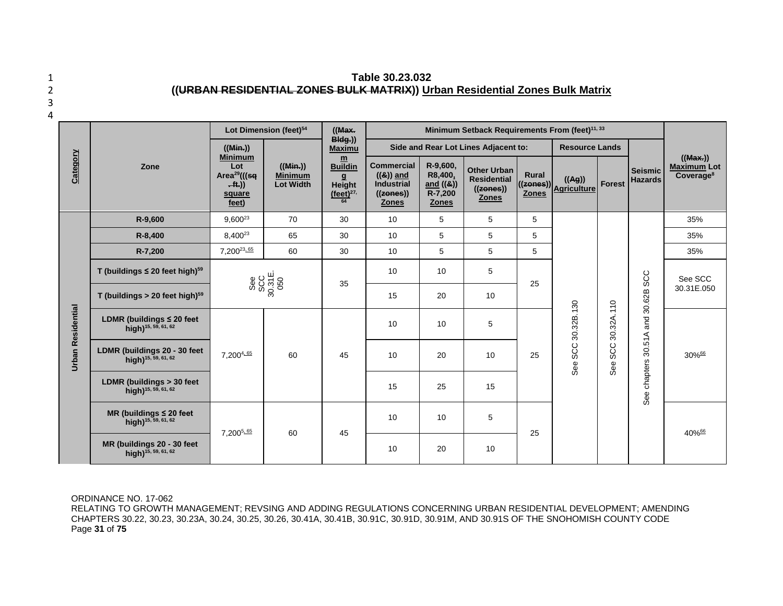1 **Table 30.23.032** 2 **((URBAN RESIDENTIAL ZONES BULK MATRIX)) Urban Residential Zones Bulk Matrix**  $\overline{a}$ 

| I<br>I<br>۰.<br>M. |
|--------------------|
|                    |
|                    |
|                    |

#### Lot Dimension (feet)<sup>54</sup> | ((Max. **Minimum Setback Requirements From (feet)<sup>11, 33</sup> Bldg.)) ((Min.))**  Side and Rear Lot Lines Adjacent to: **Resource Lands Maximu Category Minimum m ((Max.)) Lot ((Min.)) Buildin Commercial R-9,600, Maximum Lot Zone Other Urban Seismic Area29(((sq Minimum ((&)) and R8,400, Rural Coverage8 g Residential ((Ag)) Hazards . ft.)) Lot Width Height Industrial and ((&)) ((zones)) Agriculture Forest ((zones)) (feet)27, ((zones)) R-7,200 Zones square Zones Zones feet) 64 Zones R-9,600** | 9,600<sup>23</sup> | 70 | 30 | 10 | 5 | 5 | 5 35% **R-8,400** | 8,400<sup>23</sup> | 65 | 30 | 10 | 5 | 5 | 5 | | | | 35% **R-7,200** 7,20023, 65 60 30 10 5 5 5 35% **T (buildings ≤ 20 feet high)59** 10 10 5 **LDMR (buildings > 20 feet high)<sup>58</sup> 30 feet bigh)<sup>59</sup> 30 31E.0<br>
<b>LDMR (buildings > 20 feet high)**<sup>58</sup> 30.31E.0<br> **LDMR (buildings 20 - 30 feet**<br>
high)<sup>15, 88, 61, 62<br> **LDMR (buildings 20 - 30 feet**<br>
high)<sup>15, 88, 61, 62<br> </sup></sup> See SCC 30.31E. 050 See chapters 30.51A and 30.62B SCC 25 | C | C | See SCC<br>
( C | C | 30.31E.050 35 **T** (buildings > 20 feet high)<sup>59</sup> 15 20 10 30.32B.130 See SCC 30.32B.130 See SCC 30.32A.110 **Urban Residential Urban Residential LDMR (buildings ≤ 20 feet**  10 10 5 **high)15, 59, 61, 62**  $7.200^{4.65}$  60 45 **high)**<sup>15, 59, 61, 62</sup> **LDMR (buildings > 30 feet high)15, 59, 61, 62** <sup>15</sup> <sup>25</sup> <sup>15</sup> **MR (buildings ≤ 20 feet**  10 10 5 **high)15, 59, 61, 62**  $7.200^{5.65}$  60 45  $25$  40% $\frac{66}{5}$ **MR (buildings 20 - 30 feet | the set of the set of the set of the set of the set of the set of the set of the set of t<br>
<b>high**)<sup>15, 59, 61, 62 **10** 20 10 20 10</sup>

ORDINANCE NO. 17-062

RELATING TO GROWTH MANAGEMENT; REVSING AND ADDING REGULATIONS CONCERNING URBAN RESIDENTIAL DEVELOPMENT; AMENDING CHAPTERS 30.22, 30.23, 30.23A, 30.24, 30.25, 30.26, 30.41A, 30.41B, 30.91C, 30.91D, 30.91M, AND 30.91S OF THE SNOHOMISH COUNTY CODE Page **31** of **75**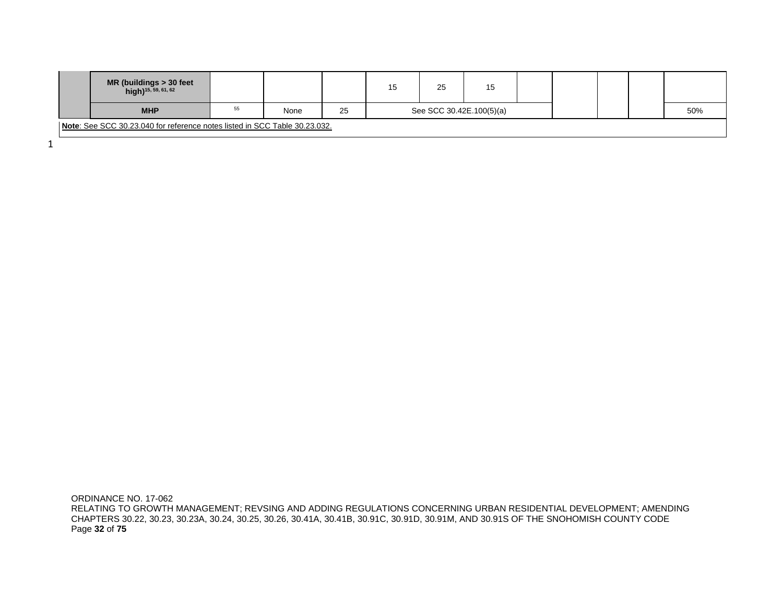| MR (buildings > 30 feet<br>high) <sup>15, 59, 61, 62</sup>                 |    |      |    | 15 | 25                       | 15 |  |  |  |     |
|----------------------------------------------------------------------------|----|------|----|----|--------------------------|----|--|--|--|-----|
| <b>MHP</b>                                                                 | 55 | None | 25 |    | See SCC 30.42E.100(5)(a) |    |  |  |  | 50% |
| Note: See SCC 30.23.040 for reference notes listed in SCC Table 30.23.032. |    |      |    |    |                          |    |  |  |  |     |

1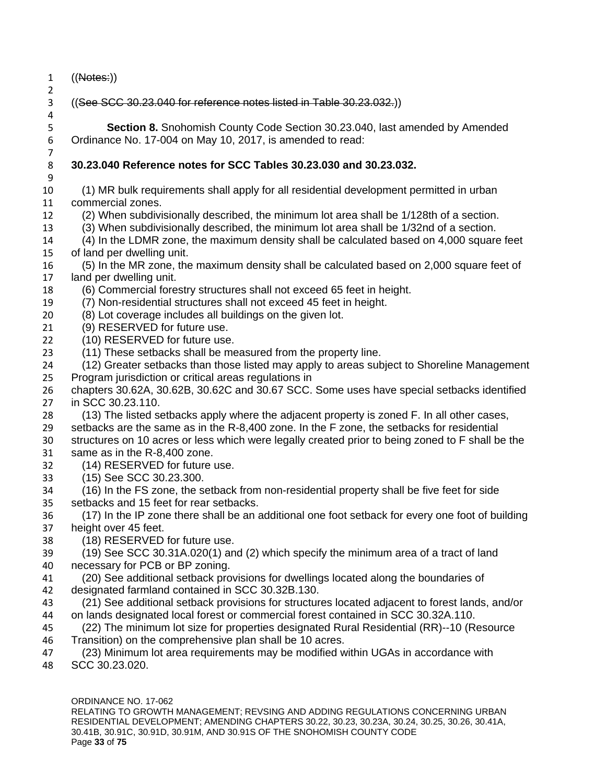- ((Notes:))
- ((See SCC 30.23.040 for reference notes listed in Table 30.23.032.))

 **Section 8.** Snohomish County Code Section 30.23.040, last amended by Amended Ordinance No. 17-004 on May 10, 2017, is amended to read:

## **30.23.040 Reference notes for SCC Tables 30.23.030 and 30.23.032.**

 (1) MR bulk requirements shall apply for all residential development permitted in urban commercial zones.

- (2) When subdivisionally described, the minimum lot area shall be 1/128th of a section.
- (3) When subdivisionally described, the minimum lot area shall be 1/32nd of a section.
- (4) In the LDMR zone, the maximum density shall be calculated based on 4,000 square feet of land per dwelling unit.
- (5) In the MR zone, the maximum density shall be calculated based on 2,000 square feet of land per dwelling unit.
- (6) Commercial forestry structures shall not exceed 65 feet in height.
- (7) Non-residential structures shall not exceed 45 feet in height.
- (8) Lot coverage includes all buildings on the given lot.
- (9) RESERVED for future use.
- (10) RESERVED for future use.
- (11) These setbacks shall be measured from the property line.
- (12) Greater setbacks than those listed may apply to areas subject to Shoreline Management Program jurisdiction or critical areas regulations in
- chapters 30.62A, 30.62B, 30.62C and 30.67 SCC. Some uses have special setbacks identified in SCC 30.23.110.
- (13) The listed setbacks apply where the adjacent property is zoned F. In all other cases,
- setbacks are the same as in the R-8,400 zone. In the F zone, the setbacks for residential
- structures on 10 acres or less which were legally created prior to being zoned to F shall be the
- same as in the R-8,400 zone.
- (14) RESERVED for future use.
- (15) See SCC 30.23.300.
- (16) In the FS zone, the setback from non-residential property shall be five feet for side setbacks and 15 feet for rear setbacks.
- (17) In the IP zone there shall be an additional one foot setback for every one foot of building height over 45 feet.
- (18) RESERVED for future use.
- (19) See SCC 30.31A.020(1) and (2) which specify the minimum area of a tract of land necessary for PCB or BP zoning.
- (20) See additional setback provisions for dwellings located along the boundaries of designated farmland contained in SCC 30.32B.130.
- (21) See additional setback provisions for structures located adjacent to forest lands, and/or on lands designated local forest or commercial forest contained in SCC 30.32A.110.
- (22) The minimum lot size for properties designated Rural Residential (RR)--10 (Resource Transition) on the comprehensive plan shall be 10 acres.
- (23) Minimum lot area requirements may be modified within UGAs in accordance with
- SCC 30.23.020.

RELATING TO GROWTH MANAGEMENT; REVSING AND ADDING REGULATIONS CONCERNING URBAN RESIDENTIAL DEVELOPMENT; AMENDING CHAPTERS 30.22, 30.23, 30.23A, 30.24, 30.25, 30.26, 30.41A, 30.41B, 30.91C, 30.91D, 30.91M, AND 30.91S OF THE SNOHOMISH COUNTY CODE Page **33** of **75**

 

ORDINANCE NO. 17-062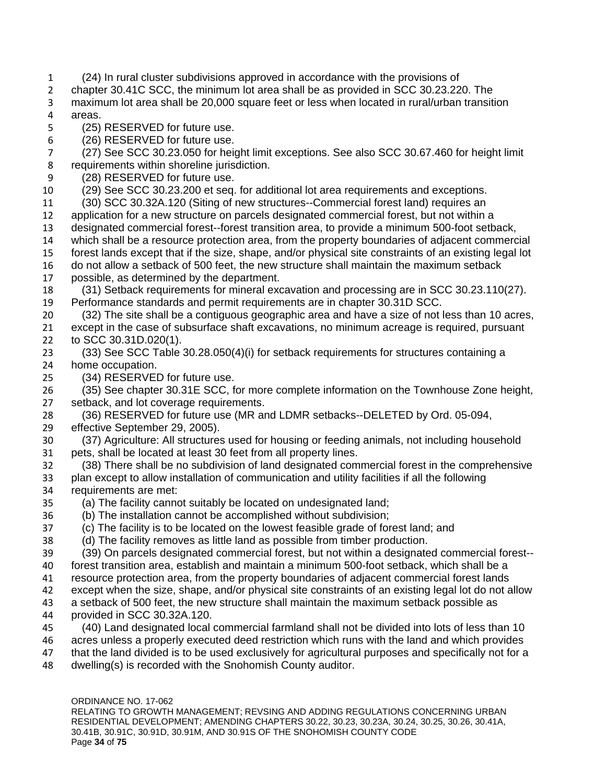- (24) In rural cluster subdivisions approved in accordance with the provisions of
- chapter 30.41C SCC, the minimum lot area shall be as provided in SCC 30.23.220. The
- maximum lot area shall be 20,000 square feet or less when located in rural/urban transition areas.
- (25) RESERVED for future use.
- (26) RESERVED for future use.
- (27) See SCC 30.23.050 for height limit exceptions. See also SCC 30.67.460 for height limit requirements within shoreline jurisdiction.
- (28) RESERVED for future use.
- (29) See SCC 30.23.200 et seq. for additional lot area requirements and exceptions.
- (30) SCC 30.32A.120 (Siting of new structures--Commercial forest land) requires an application for a new structure on parcels designated commercial forest, but not within a designated commercial forest--forest transition area, to provide a minimum 500-foot setback, which shall be a resource protection area, from the property boundaries of adjacent commercial forest lands except that if the size, shape, and/or physical site constraints of an existing legal lot do not allow a setback of 500 feet, the new structure shall maintain the maximum setback
- possible, as determined by the department.
- (31) Setback requirements for mineral excavation and processing are in SCC 30.23.110(27). Performance standards and permit requirements are in chapter 30.31D SCC.
- (32) The site shall be a contiguous geographic area and have a size of not less than 10 acres, except in the case of subsurface shaft excavations, no minimum acreage is required, pursuant to SCC 30.31D.020(1).
- (33) See SCC Table 30.28.050(4)(i) for setback requirements for structures containing a home occupation.
- (34) RESERVED for future use.
- (35) See chapter 30.31E SCC, for more complete information on the Townhouse Zone height, setback, and lot coverage requirements.
- (36) RESERVED for future use (MR and LDMR setbacks--DELETED by Ord. 05-094, effective September 29, 2005).
- (37) Agriculture: All structures used for housing or feeding animals, not including household pets, shall be located at least 30 feet from all property lines.
- (38) There shall be no subdivision of land designated commercial forest in the comprehensive plan except to allow installation of communication and utility facilities if all the following requirements are met:
- (a) The facility cannot suitably be located on undesignated land;
- (b) The installation cannot be accomplished without subdivision;
- (c) The facility is to be located on the lowest feasible grade of forest land; and
- (d) The facility removes as little land as possible from timber production.
- (39) On parcels designated commercial forest, but not within a designated commercial forest-- forest transition area, establish and maintain a minimum 500-foot setback, which shall be a
- resource protection area, from the property boundaries of adjacent commercial forest lands
- except when the size, shape, and/or physical site constraints of an existing legal lot do not allow
- a setback of 500 feet, the new structure shall maintain the maximum setback possible as provided in SCC 30.32A.120.
- (40) Land designated local commercial farmland shall not be divided into lots of less than 10
- acres unless a properly executed deed restriction which runs with the land and which provides 47 that the land divided is to be used exclusively for agricultural purposes and specifically not for a
- dwelling(s) is recorded with the Snohomish County auditor.

ORDINANCE NO. 17-062 RELATING TO GROWTH MANAGEMENT; REVSING AND ADDING REGULATIONS CONCERNING URBAN RESIDENTIAL DEVELOPMENT; AMENDING CHAPTERS 30.22, 30.23, 30.23A, 30.24, 30.25, 30.26, 30.41A, 30.41B, 30.91C, 30.91D, 30.91M, AND 30.91S OF THE SNOHOMISH COUNTY CODE Page **34** of **75**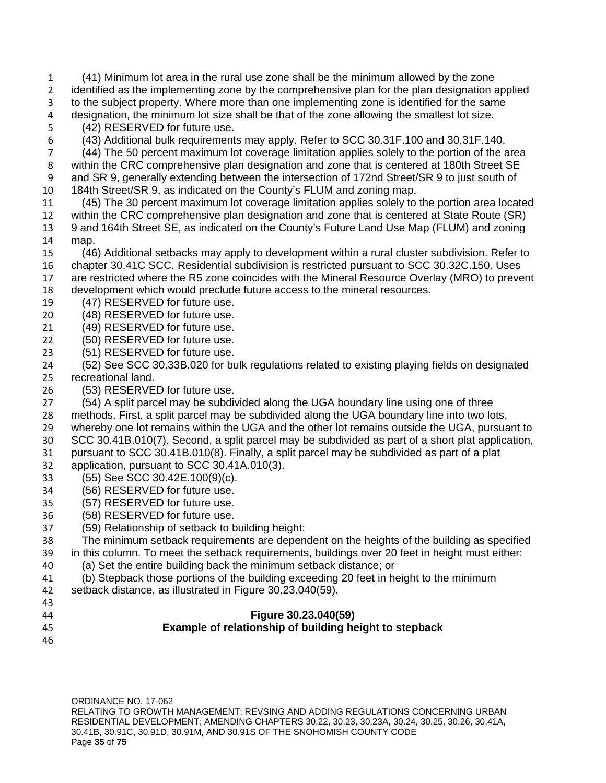(41) Minimum lot area in the rural use zone shall be the minimum allowed by the zone identified as the implementing zone by the comprehensive plan for the plan designation applied to the subject property. Where more than one implementing zone is identified for the same designation, the minimum lot size shall be that of the zone allowing the smallest lot size.

- (42) RESERVED for future use.
- (43) Additional bulk requirements may apply. Refer to SCC 30.31F.100 and 30.31F.140.

 (44) The 50 percent maximum lot coverage limitation applies solely to the portion of the area within the CRC comprehensive plan designation and zone that is centered at 180th Street SE and SR 9, generally extending between the intersection of 172nd Street/SR 9 to just south of 184th Street/SR 9, as indicated on the County's FLUM and zoning map.

- (45) The 30 percent maximum lot coverage limitation applies solely to the portion area located within the CRC comprehensive plan designation and zone that is centered at State Route (SR) 9 and 164th Street SE, as indicated on the County's Future Land Use Map (FLUM) and zoning map.
- (46) Additional setbacks may apply to development within a rural cluster subdivision. Refer to chapter 30.41C SCC*.* Residential subdivision is restricted pursuant to SCC 30.32C.150. Uses are restricted where the R5 zone coincides with the Mineral Resource Overlay (MRO) to prevent
- development which would preclude future access to the mineral resources.
- (47) RESERVED for future use.
- (48) RESERVED for future use.
- (49) RESERVED for future use.
- (50) RESERVED for future use.
- (51) RESERVED for future use.
- (52) See SCC 30.33B.020 for bulk regulations related to existing playing fields on designated recreational land.
- (53) RESERVED for future use.
- (54) A split parcel may be subdivided along the UGA boundary line using one of three
- methods. First, a split parcel may be subdivided along the UGA boundary line into two lots,
- whereby one lot remains within the UGA and the other lot remains outside the UGA, pursuant to
- SCC 30.41B.010(7). Second, a split parcel may be subdivided as part of a short plat application, pursuant to SCC 30.41B.010(8). Finally, a split parcel may be subdivided as part of a plat
- 
- application, pursuant to SCC 30.41A.010(3).
- (55) See SCC 30.42E.100(9)(c).
- (56) RESERVED for future use.
- (57) RESERVED for future use.
- (58) RESERVED for future use.
- (59) Relationship of setback to building height:
- The minimum setback requirements are dependent on the heights of the building as specified
- in this column. To meet the setback requirements, buildings over 20 feet in height must either:
- (a) Set the entire building back the minimum setback distance; or
- (b) Stepback those portions of the building exceeding 20 feet in height to the minimum
- setback distance, as illustrated in Figure 30.23.040(59).
- 

#### **Figure 30.23.040(59)**

- 
- **Example of relationship of building height to stepback**
	- ORDINANCE NO. 17-062 RELATING TO GROWTH MANAGEMENT; REVSING AND ADDING REGULATIONS CONCERNING URBAN RESIDENTIAL DEVELOPMENT; AMENDING CHAPTERS 30.22, 30.23, 30.23A, 30.24, 30.25, 30.26, 30.41A, 30.41B, 30.91C, 30.91D, 30.91M, AND 30.91S OF THE SNOHOMISH COUNTY CODE Page **35** of **75**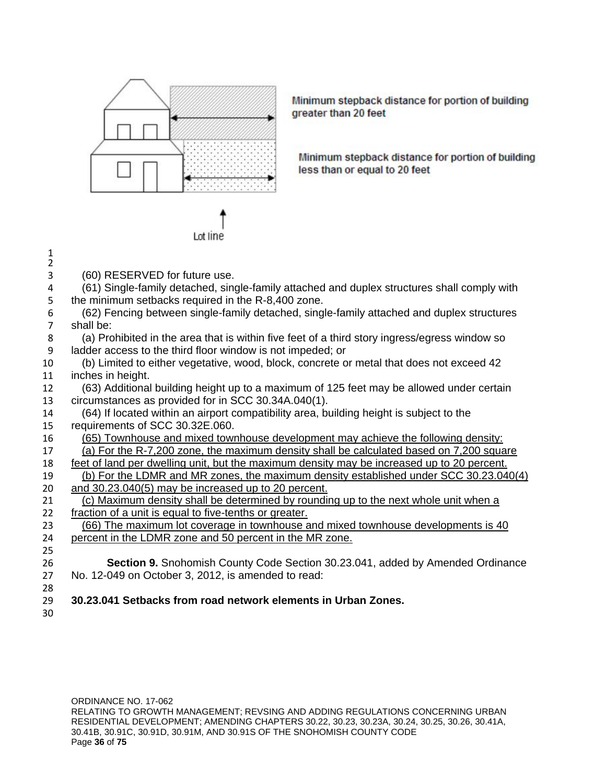

Lot line

Minimum stepback distance for portion of building greater than 20 feet

Minimum stepback distance for portion of building less than or equal to 20 feet

| $\mathbf{1}$<br>$\overline{2}$ |                                                                                               |
|--------------------------------|-----------------------------------------------------------------------------------------------|
| 3                              | (60) RESERVED for future use.                                                                 |
| 4                              | (61) Single-family detached, single-family attached and duplex structures shall comply with   |
| 5                              | the minimum setbacks required in the R-8,400 zone.                                            |
| 6                              | (62) Fencing between single-family detached, single-family attached and duplex structures     |
| $\overline{7}$                 | shall be:                                                                                     |
| 8                              | (a) Prohibited in the area that is within five feet of a third story ingress/egress window so |
| 9                              | ladder access to the third floor window is not impeded; or                                    |
| 10                             | (b) Limited to either vegetative, wood, block, concrete or metal that does not exceed 42      |
| 11                             | inches in height.                                                                             |
| 12                             | (63) Additional building height up to a maximum of 125 feet may be allowed under certain      |
| 13                             | circumstances as provided for in SCC 30.34A.040(1).                                           |
| 14                             | (64) If located within an airport compatibility area, building height is subject to the       |
| 15                             | requirements of SCC 30.32E.060.                                                               |
| 16                             | (65) Townhouse and mixed townhouse development may achieve the following density:             |
| 17                             | (a) For the R-7,200 zone, the maximum density shall be calculated based on 7,200 square       |
| 18                             | feet of land per dwelling unit, but the maximum density may be increased up to 20 percent.    |
| 19                             | (b) For the LDMR and MR zones, the maximum density established under SCC 30.23.040(4)         |
| 20                             | and 30.23.040(5) may be increased up to 20 percent.                                           |
| 21                             | (c) Maximum density shall be determined by rounding up to the next whole unit when a          |
| 22                             | fraction of a unit is equal to five-tenths or greater.                                        |
| 23                             | (66) The maximum lot coverage in townhouse and mixed townhouse developments is 40             |
| 24                             | percent in the LDMR zone and 50 percent in the MR zone.                                       |
| 25                             |                                                                                               |
| 26                             | <b>Section 9.</b> Snohomish County Code Section 30.23.041, added by Amended Ordinance         |
| 27                             | No. 12-049 on October 3, 2012, is amended to read:                                            |
| 28                             |                                                                                               |
| 29                             | 30.23.041 Setbacks from road network elements in Urban Zones.                                 |
| 30                             |                                                                                               |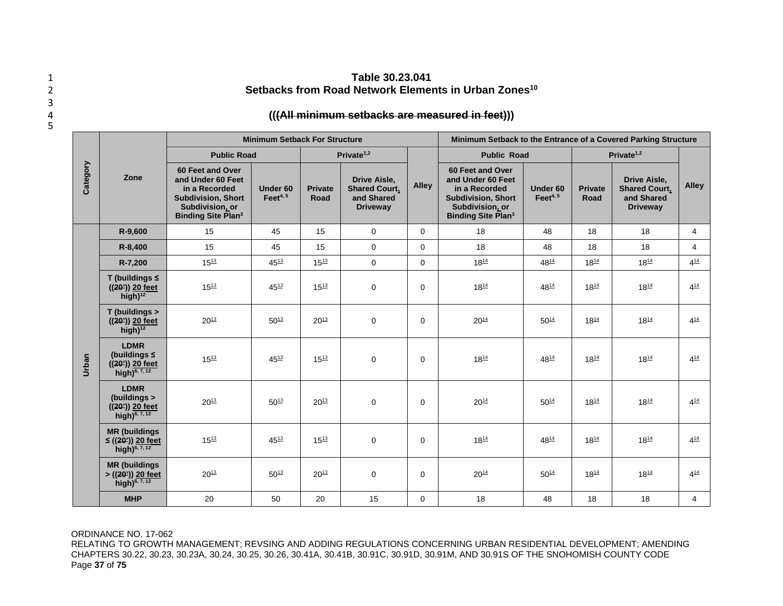## 1 **Table 30.23.041 Setbacks from Road Network Elements in Urban Zones<sup>10</sup>** 2

### 4 **(((All minimum setbacks are measured in feet)))**

|          |                                                                                   |                                                                                                                                     | <b>Minimum Setback For Structure</b> |                        |                                                                              | Minimum Setback to the Entrance of a Covered Parking Structure |                                                                                                                                     |                                                                                                                                                                                                                                                                                                                                                                                                                                                                                                                                          |           |           |                |
|----------|-----------------------------------------------------------------------------------|-------------------------------------------------------------------------------------------------------------------------------------|--------------------------------------|------------------------|------------------------------------------------------------------------------|----------------------------------------------------------------|-------------------------------------------------------------------------------------------------------------------------------------|------------------------------------------------------------------------------------------------------------------------------------------------------------------------------------------------------------------------------------------------------------------------------------------------------------------------------------------------------------------------------------------------------------------------------------------------------------------------------------------------------------------------------------------|-----------|-----------|----------------|
| Category |                                                                                   | <b>Public Road</b>                                                                                                                  |                                      |                        | Private $1,2$                                                                |                                                                | <b>Public Road</b>                                                                                                                  | Private $1,2$<br><b>Drive Aisle,</b><br><b>Alley</b><br><b>Shared Court,</b><br>Under 60<br><b>Private</b><br>Feet $4, 5$<br>and Shared<br>Road<br><b>Driveway</b><br>48<br>18<br>$\overline{4}$<br>18<br>18<br>48<br>18<br>$\overline{4}$<br>$4^{14}$<br>4814<br>$18^{14}$<br>$18^{14}$<br>$18^{14}$<br>$4^{14}$<br>4814<br>$18^{14}$<br>$50^{14}$<br>$18^{14}$<br>$18^{14}$<br>$4^{14}$<br>4814<br>$18^{14}$<br>$18^{14}$<br>$4^{14}$<br>$50^{14}$<br>$18^{14}$<br>$18^{14}$<br>$4^{14}$<br>4814<br>$18^{14}$<br>$4^{14}$<br>$18^{14}$ |           |           |                |
|          | Zone                                                                              | 60 Feet and Over<br>and Under 60 Feet<br>in a Recorded<br><b>Subdivision, Short</b><br>Subdivision, or<br><b>Binding Site Plan3</b> | Under 60<br>Feet $4, 5$              | <b>Private</b><br>Road | <b>Drive Aisle,</b><br><b>Shared Court,</b><br>and Shared<br><b>Driveway</b> | <b>Alley</b>                                                   | 60 Feet and Over<br>and Under 60 Feet<br>in a Recorded<br><b>Subdivision, Short</b><br>Subdivision, or<br><b>Binding Site Plan3</b> |                                                                                                                                                                                                                                                                                                                                                                                                                                                                                                                                          |           |           |                |
|          | R-9,600                                                                           | 15                                                                                                                                  | 45                                   | 15                     | 0                                                                            | 0                                                              | 18                                                                                                                                  |                                                                                                                                                                                                                                                                                                                                                                                                                                                                                                                                          |           |           |                |
|          | R-8,400                                                                           | 15                                                                                                                                  | 45                                   | 15                     | $\mathbf 0$                                                                  | $\Omega$                                                       | 18                                                                                                                                  |                                                                                                                                                                                                                                                                                                                                                                                                                                                                                                                                          |           |           |                |
|          | R-7,200                                                                           | $15^{13}$                                                                                                                           | $45^{13}$                            | $15^{13}$              | $\mathbf 0$                                                                  | $\mathbf 0$                                                    | $18^{14}$                                                                                                                           |                                                                                                                                                                                                                                                                                                                                                                                                                                                                                                                                          |           |           |                |
| Urban    | T (buildings $\leq$<br>$((20))$ 20 feet<br>$high)^{12}$                           | $15^{13}$                                                                                                                           | $45^{13}$                            | $15^{13}$              | $\Omega$                                                                     | $\Omega$                                                       | $18^{14}$                                                                                                                           |                                                                                                                                                                                                                                                                                                                                                                                                                                                                                                                                          |           |           |                |
|          | $T$ (buildings $>$<br>$((20))$ 20 feet<br>high) $12$                              | $20^{13}$                                                                                                                           | $50^{13}$                            | $20^{13}$              | 0                                                                            | $\mathbf 0$                                                    | $20^{14}$                                                                                                                           |                                                                                                                                                                                                                                                                                                                                                                                                                                                                                                                                          |           |           |                |
|          | <b>LDMR</b><br>(buildings $\leq$<br>$((20))$ 20 feet<br>high) <sup>6, 7, 12</sup> | $15^{13}$                                                                                                                           | $45^{13}$                            | $15^{13}$              | $\mathbf 0$                                                                  | $\mathbf{0}$                                                   | $18^{14}$                                                                                                                           |                                                                                                                                                                                                                                                                                                                                                                                                                                                                                                                                          |           |           |                |
|          | <b>LDMR</b><br>(buildings ><br>$((20))$ 20 feet<br>high) <sup>6, 7, 12</sup>      | $20^{13}$                                                                                                                           | $50^{13}$                            | $20^{13}$              | $\mathbf 0$                                                                  | $\mathbf{0}$                                                   | 20 <sup>14</sup>                                                                                                                    |                                                                                                                                                                                                                                                                                                                                                                                                                                                                                                                                          |           |           |                |
|          | <b>MR</b> (buildings<br>$\leq$ ((20')) 20 feet<br>high) <sup>6, 7, 12</sup>       | $15^{13}$                                                                                                                           | $45^{13}$                            | $15^{13}$              | 0                                                                            | $\mathbf 0$                                                    | $18^{14}$                                                                                                                           |                                                                                                                                                                                                                                                                                                                                                                                                                                                                                                                                          |           |           |                |
|          | <b>MR (buildings)</b><br>> ((20')) 20 feet<br>high) $^{6, 7, 12}$                 | $20^{13}$                                                                                                                           | $50^{13}$                            | $20^{13}$              | $\mathbf 0$                                                                  | $\Omega$                                                       | $20^{14}$                                                                                                                           | $50^{14}$                                                                                                                                                                                                                                                                                                                                                                                                                                                                                                                                | $18^{14}$ | $18^{14}$ | $4^{14}$       |
|          | <b>MHP</b>                                                                        | 20                                                                                                                                  | 50                                   | 20                     | 15                                                                           | $\Omega$                                                       | 18                                                                                                                                  | 48                                                                                                                                                                                                                                                                                                                                                                                                                                                                                                                                       | 18        | 18        | $\overline{4}$ |

#### ORDINANCE NO. 17-062

RELATING TO GROWTH MANAGEMENT; REVSING AND ADDING REGULATIONS CONCERNING URBAN RESIDENTIAL DEVELOPMENT; AMENDING CHAPTERS 30.22, 30.23, 30.23A, 30.24, 30.25, 30.26, 30.41A, 30.41B, 30.91C, 30.91D, 30.91M, AND 30.91S OF THE SNOHOMISH COUNTY CODE Page **37** of **75**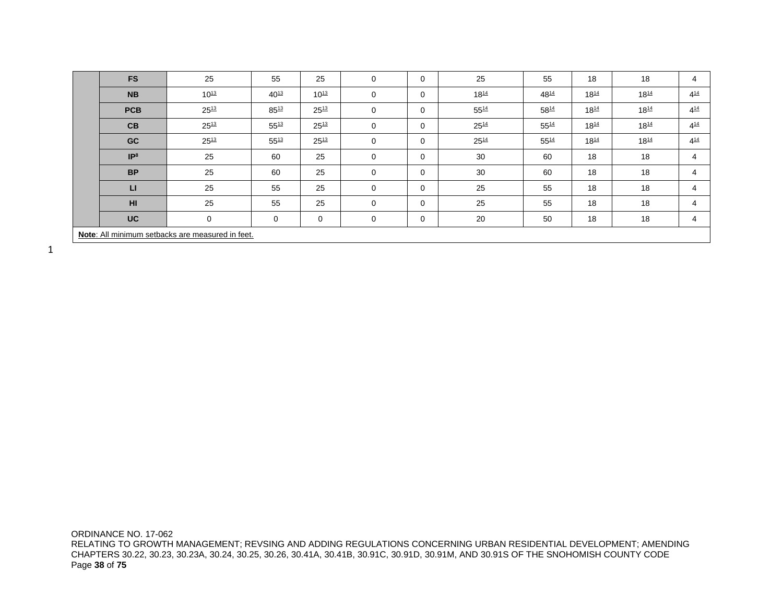| <b>FS</b>       | 25                                               | 55          | 25        | $\mathbf 0$    | $\mathbf 0$ | 25        | 55        | 18        | 18        | 4        |
|-----------------|--------------------------------------------------|-------------|-----------|----------------|-------------|-----------|-----------|-----------|-----------|----------|
| <b>NB</b>       | $10^{13}$                                        | $40^{13}$   | $10^{13}$ | $\mathbf 0$    | $\mathbf 0$ | $18^{14}$ | 4814      | $18^{14}$ | $18^{14}$ | $4^{14}$ |
| <b>PCB</b>      | $25^{13}$                                        | $85^{13}$   | $25^{13}$ | $\mathbf 0$    | $\mathbf 0$ | $55^{14}$ | 5814      | $18^{14}$ | $18^{14}$ | $4^{14}$ |
| CB              | $25^{13}$                                        | $55^{13}$   | $25^{13}$ | $\mathbf 0$    | $\mathbf 0$ | $25^{14}$ | $55^{14}$ | $18^{14}$ | $18^{14}$ | $4^{14}$ |
| <b>GC</b>       | $25^{13}$                                        | $55^{13}$   | $25^{13}$ | $\mathbf 0$    | $\mathbf 0$ | $25^{14}$ | $55^{14}$ | $18^{14}$ | $18^{14}$ | $4^{14}$ |
| IP <sup>8</sup> | 25                                               | 60          | 25        | $\Omega$       | $\mathbf 0$ | 30        | 60        | 18        | 18        | 4        |
| <b>BP</b>       | 25                                               | 60          | 25        | $\mathbf 0$    | 0           | 30        | 60        | 18        | 18        | 4        |
| $\mathsf{L}$    | 25                                               | 55          | 25        | $\Omega$       | $\mathbf 0$ | 25        | 55        | 18        | 18        | 4        |
| HI              | 25                                               | 55          | 25        | $\overline{0}$ | $\mathbf 0$ | 25        | 55        | 18        | 18        | 4        |
| <b>UC</b>       | $\Omega$                                         | $\mathbf 0$ | 0         | $\Omega$       | $\mathbf 0$ | 20        | 50        | 18        | 18        | 4        |
|                 | Note: All minimum setbacks are measured in feet. |             |           |                |             |           |           |           |           |          |

ORDINANCE NO. 17-062 RELATING TO GROWTH MANAGEMENT; REVSING AND ADDING REGULATIONS CONCERNING URBAN RESIDENTIAL DEVELOPMENT; AMENDING CHAPTERS 30.22, 30.23, 30.23A, 30.24, 30.25, 30.26, 30.41A, 30.41B, 30.91C, 30.91D, 30.91M, AND 30.91S OF THE SNOHOMISH COUNTY CODE Page **38** of **75**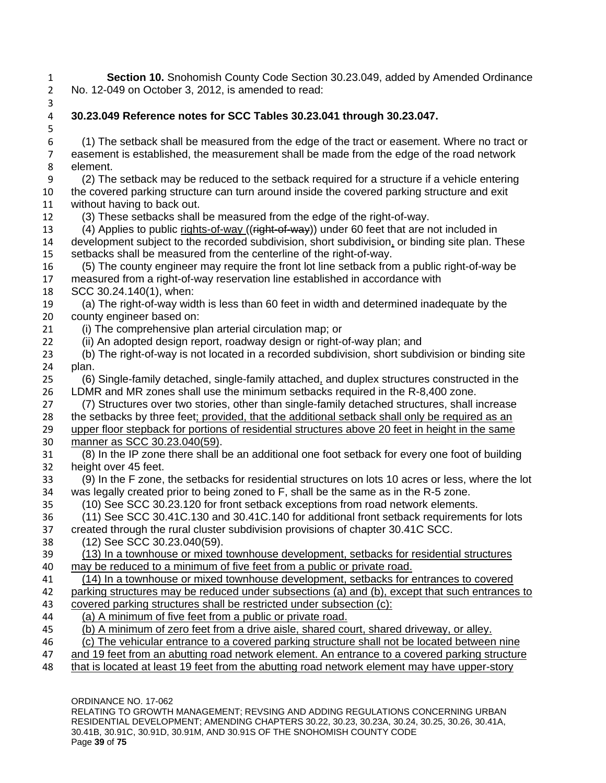**Section 10.** Snohomish County Code Section 30.23.049, added by Amended Ordinance No. 12-049 on October 3, 2012, is amended to read:

- 
- **30.23.049 Reference notes for SCC Tables 30.23.041 through 30.23.047.** (1) The setback shall be measured from the edge of the tract or easement. Where no tract or easement is established, the measurement shall be made from the edge of the road network element. (2) The setback may be reduced to the setback required for a structure if a vehicle entering the covered parking structure can turn around inside the covered parking structure and exit without having to back out. (3) These setbacks shall be measured from the edge of the right-of-way. 13 (4) Applies to public rights-of-way ((right-of-way)) under 60 feet that are not included in development subject to the recorded subdivision, short subdivision, or binding site plan. These setbacks shall be measured from the centerline of the right-of-way. (5) The county engineer may require the front lot line setback from a public right-of-way be measured from a right-of-way reservation line established in accordance with SCC [30.24.140\(](http://www.codepublishing.com/WA/SnohomishCounty/html/SnohomishCounty30/SnohomishCounty3024.html)1), when: (a) The right-of-way width is less than 60 feet in width and determined inadequate by the county engineer based on: (i) The comprehensive plan arterial circulation map; or (ii) An adopted design report, roadway design or right-of-way plan; and (b) The right-of-way is not located in a recorded subdivision, short subdivision or binding site plan. (6) Single-family detached, single-family attached, and duplex structures constructed in the LDMR and MR zones shall use the minimum setbacks required in the R-8,400 zone. (7) Structures over two stories, other than single-family detached structures, shall increase the setbacks by three feet; provided, that the additional setback shall only be required as an upper floor stepback for portions of residential structures above 20 feet in height in the same manner as SCC 30.23.040(59). (8) In the IP zone there shall be an additional one foot setback for every one foot of building height over 45 feet. (9) In the F zone, the setbacks for residential structures on lots 10 acres or less, where the lot was legally created prior to being zoned to F, shall be the same as in the R-5 zone. (10) See SCC [30.23.120](http://www.codepublishing.com/WA/SnohomishCounty/html/SnohomishCounty30/SnohomishCounty3023.html) for front setback exceptions from road network elements. (11) See SCC [30.41C.130](http://www.codepublishing.com/WA/SnohomishCounty/html/SnohomishCounty30/SnohomishCounty3041C.html) and [30.41C.140](http://www.codepublishing.com/WA/SnohomishCounty/html/SnohomishCounty30/SnohomishCounty3041C.html) for additional front setback requirements for lots created through the rural cluster subdivision provisions of chapter [30.41C](http://www.codepublishing.com/WA/SnohomishCounty/html/SnohomishCounty30/SnohomishCounty3041C.html) SCC. (12) See SCC [30.23.040\(](http://www.codepublishing.com/WA/SnohomishCounty/html/SnohomishCounty30/SnohomishCounty3023.html)59). (13) In a townhouse or mixed townhouse development, setbacks for residential structures may be reduced to a minimum of five feet from a public or private road. (14) In a townhouse or mixed townhouse development, setbacks for entrances to covered parking structures may be reduced under subsections (a) and (b), except that such entrances to covered parking structures shall be restricted under subsection (c): (a) A minimum of five feet from a public or private road. (b) A minimum of zero feet from a drive aisle, shared court, shared driveway, or alley. (c) The vehicular entrance to a covered parking structure shall not be located between nine and 19 feet from an abutting road network element. An entrance to a covered parking structure that is located at least 19 feet from the abutting road network element may have upper-story

ORDINANCE NO. 17-062

RELATING TO GROWTH MANAGEMENT; REVSING AND ADDING REGULATIONS CONCERNING URBAN RESIDENTIAL DEVELOPMENT; AMENDING CHAPTERS 30.22, 30.23, 30.23A, 30.24, 30.25, 30.26, 30.41A, 30.41B, 30.91C, 30.91D, 30.91M, AND 30.91S OF THE SNOHOMISH COUNTY CODE Page **39** of **75**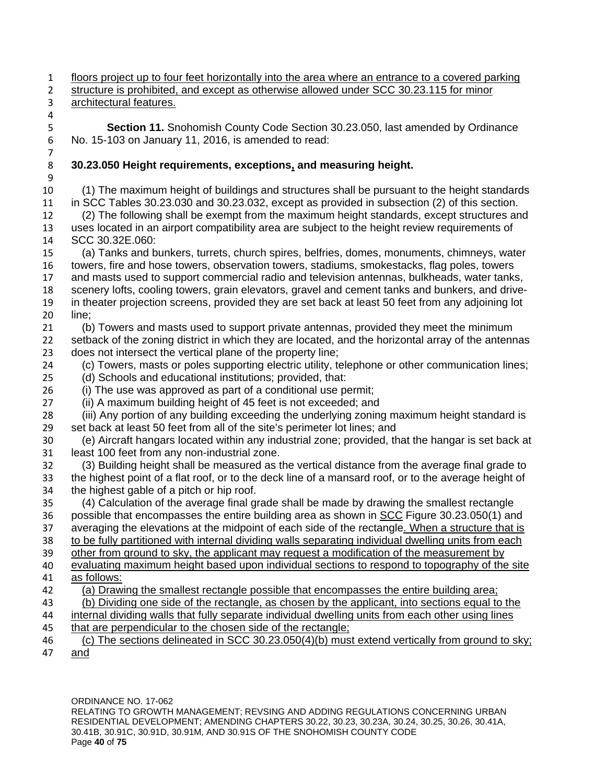floors project up to four feet horizontally into the area where an entrance to a covered parking structure is prohibited, and except as otherwise allowed under SCC 30.23.115 for minor

#### architectural features.

 **Section 11.** Snohomish County Code Section 30.23.050, last amended by Ordinance No. 15-103 on January 11, 2016, is amended to read:

# **30.23.050 Height requirements, exceptions, and measuring height.**

 (1) The maximum height of buildings and structures shall be pursuant to the height standards in SCC Tables 30.23.030 and 30.23.032, except as provided in subsection (2) of this section. (2) The following shall be exempt from the maximum height standards, except structures and uses located in an airport compatibility area are subject to the height review requirements of SCC 30.32E.060: (a) Tanks and bunkers, turrets, church spires, belfries, domes, monuments, chimneys, water towers, fire and hose towers, observation towers, stadiums, smokestacks, flag poles, towers and masts used to support commercial radio and television antennas, bulkheads, water tanks, scenery lofts, cooling towers, grain elevators, gravel and cement tanks and bunkers, and drive- in theater projection screens, provided they are set back at least 50 feet from any adjoining lot line; (b) Towers and masts used to support private antennas, provided they meet the minimum setback of the zoning district in which they are located, and the horizontal array of the antennas does not intersect the vertical plane of the property line; (c) Towers, masts or poles supporting electric utility, telephone or other communication lines; (d) Schools and educational institutions; provided, that: (i) The use was approved as part of a conditional use permit; (ii) A maximum building height of 45 feet is not exceeded; and (iii) Any portion of any building exceeding the underlying zoning maximum height standard is set back at least 50 feet from all of the site's perimeter lot lines; and (e) Aircraft hangars located within any industrial zone; provided, that the hangar is set back at least 100 feet from any non-industrial zone. (3) Building height shall be measured as the vertical distance from the average final grade to the highest point of a flat roof, or to the deck line of a mansard roof, or to the average height of the highest gable of a pitch or hip roof. (4) Calculation of the average final grade shall be made by drawing the smallest rectangle 36 possible that encompasses the entire building area as shown in SCC Figure 30.23.050(1) and averaging the elevations at the midpoint of each side of the rectangle. When a structure that is to be fully partitioned with internal dividing walls separating individual dwelling units from each other from ground to sky, the applicant may request a modification of the measurement by 40 evaluating maximum height based upon individual sections to respond to topography of the site as follows: (a) Drawing the smallest rectangle possible that encompasses the entire building area; (b) Dividing one side of the rectangle, as chosen by the applicant, into sections equal to the internal dividing walls that fully separate individual dwelling units from each other using lines that are perpendicular to the chosen side of the rectangle;

 (c) The sections delineated in SCC 30.23.050(4)(b) must extend vertically from ground to sky; and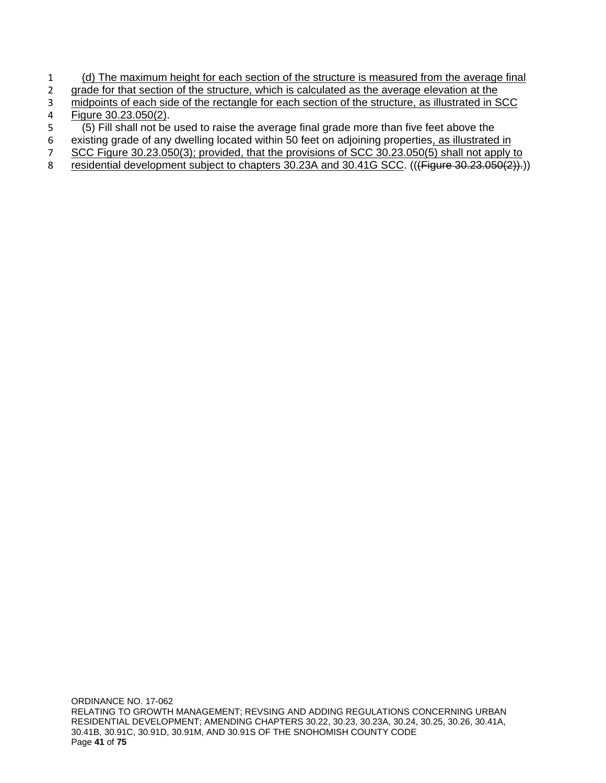- 1 (d) The maximum height for each section of the structure is measured from the average final<br>2 qrade for that section of the structure, which is calculated as the average elevation at the
- grade for that section of the structure, which is calculated as the average elevation at the
- 3 midpoints of each side of the rectangle for each section of the structure, as illustrated in SCC 4 Figure 30.23.050(2).
- 5 (5) Fill shall not be used to raise the average final grade more than five feet above the
- 6 existing grade of any dwelling located within 50 feet on adjoining properties, as illustrated in
- 7 SCC Figure 30.23.050(3); provided, that the provisions of SCC 30.23.050(5) shall not apply to
- 8 residential development subject to chapters 30.23A and 30.41G SCC. (((Figure 30.23.050(2)).))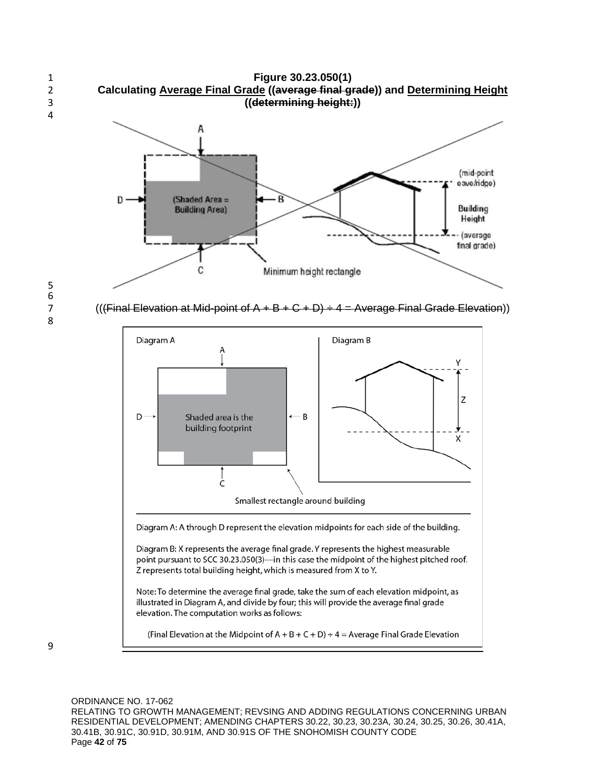



7 ((*(Final Elevation at Mid-point of A + B + C + D)*  $\div$  *4 = Average Final Grade Elevation*))



(Final Elevation at the Midpoint of  $A + B + C + D$ ) ÷ 4 = Average Final Grade Elevation

ORDINANCE NO. 17-062 RELATING TO GROWTH MANAGEMENT; REVSING AND ADDING REGULATIONS CONCERNING URBAN RESIDENTIAL DEVELOPMENT; AMENDING CHAPTERS 30.22, 30.23, 30.23A, 30.24, 30.25, 30.26, 30.41A, 30.41B, 30.91C, 30.91D, 30.91M, AND 30.91S OF THE SNOHOMISH COUNTY CODE Page **42** of **75**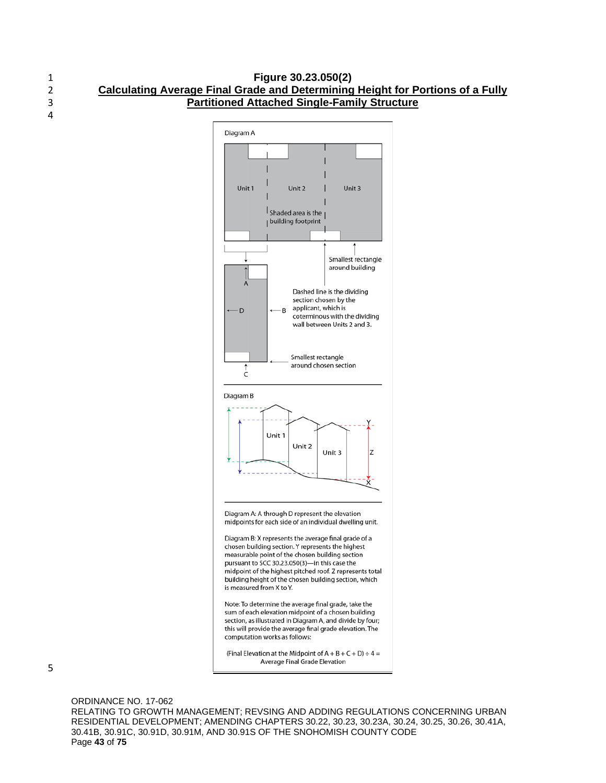#### 1 **Figure 30.23.050(2)** 2 **Calculating Average Final Grade and Determining Height for Portions of a Fully**  3 **Partitioned Attached Single-Family Structure**



(Final Elevation at the Midpoint of  $A + B + C + D$ ) ÷ 4 = Average Final Grade Elevation

ORDINANCE NO. 17-062 RELATING TO GROWTH MANAGEMENT; REVSING AND ADDING REGULATIONS CONCERNING URBAN RESIDENTIAL DEVELOPMENT; AMENDING CHAPTERS 30.22, 30.23, 30.23A, 30.24, 30.25, 30.26, 30.41A, 30.41B, 30.91C, 30.91D, 30.91M, AND 30.91S OF THE SNOHOMISH COUNTY CODE Page **43** of **75**

4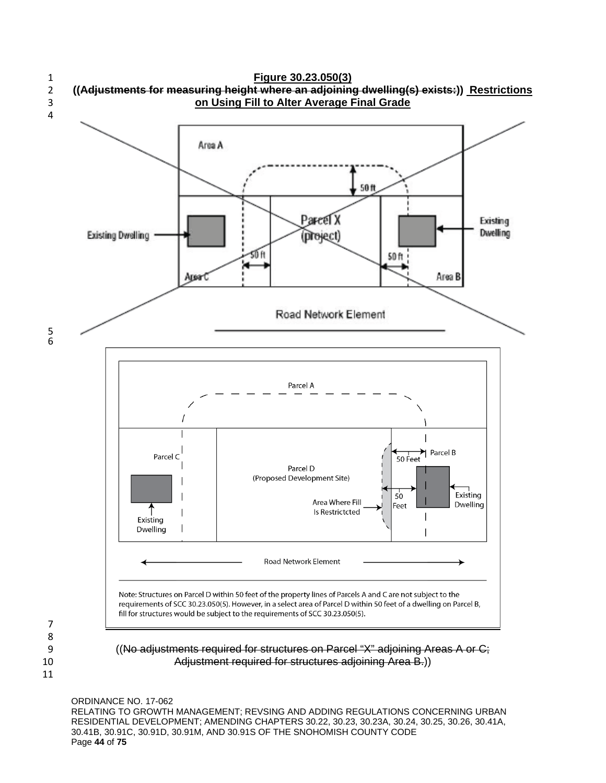

ORDINANCE NO. 17-062

RELATING TO GROWTH MANAGEMENT; REVSING AND ADDING REGULATIONS CONCERNING URBAN RESIDENTIAL DEVELOPMENT; AMENDING CHAPTERS 30.22, 30.23, 30.23A, 30.24, 30.25, 30.26, 30.41A, 30.41B, 30.91C, 30.91D, 30.91M, AND 30.91S OF THE SNOHOMISH COUNTY CODE Page **44** of **75**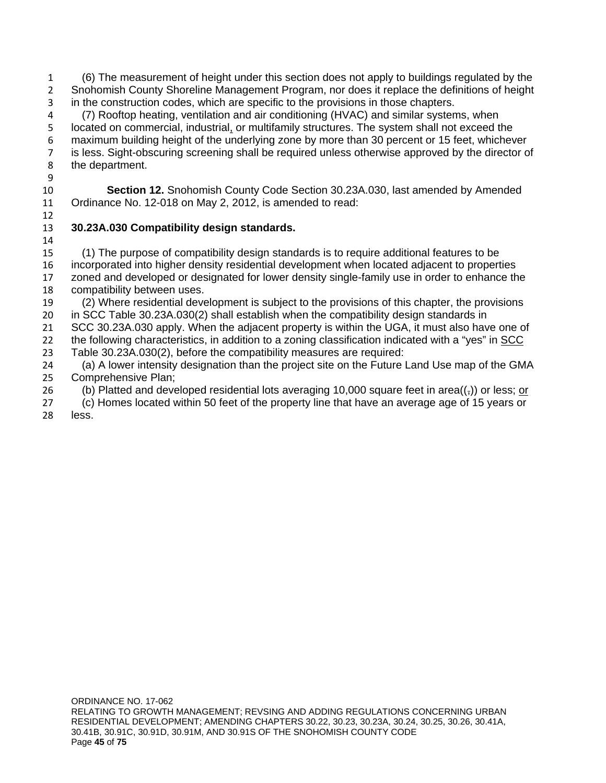(6) The measurement of height under this section does not apply to buildings regulated by the Snohomish County Shoreline Management Program, nor does it replace the definitions of height in the construction codes, which are specific to the provisions in those chapters.

 (7) Rooftop heating, ventilation and air conditioning (HVAC) and similar systems, when located on commercial, industrial, or multifamily structures. The system shall not exceed the maximum building height of the underlying zone by more than 30 percent or 15 feet, whichever is less. Sight-obscuring screening shall be required unless otherwise approved by the director of the department.

 **Section 12.** Snohomish County Code Section 30.23A.030, last amended by Amended Ordinance No. 12-018 on May 2, 2012, is amended to read:

# **30.23A.030 Compatibility design standards.**

 (1) The purpose of compatibility design standards is to require additional features to be incorporated into higher density residential development when located adjacent to properties zoned and developed or designated for lower density single-family use in order to enhance the compatibility between uses.

 (2) Where residential development is subject to the provisions of this chapter, the provisions in SCC Table 30.23A.030(2) shall establish when the compatibility design standards in

 SCC 30.23A.030 apply. When the adjacent property is within the UGA, it must also have one of the following characteristics, in addition to a zoning classification indicated with a "yes" in SCC Table 30.23A.030(2), before the compatibility measures are required:

 (a) A lower intensity designation than the project site on the Future Land Use map of the GMA Comprehensive Plan;

26 (b) Platted and developed residential lots averaging 10,000 square feet in area( $\left(\frac{1}{2}\right)$ ) or less; or

 (c) Homes located within 50 feet of the property line that have an average age of 15 years or less.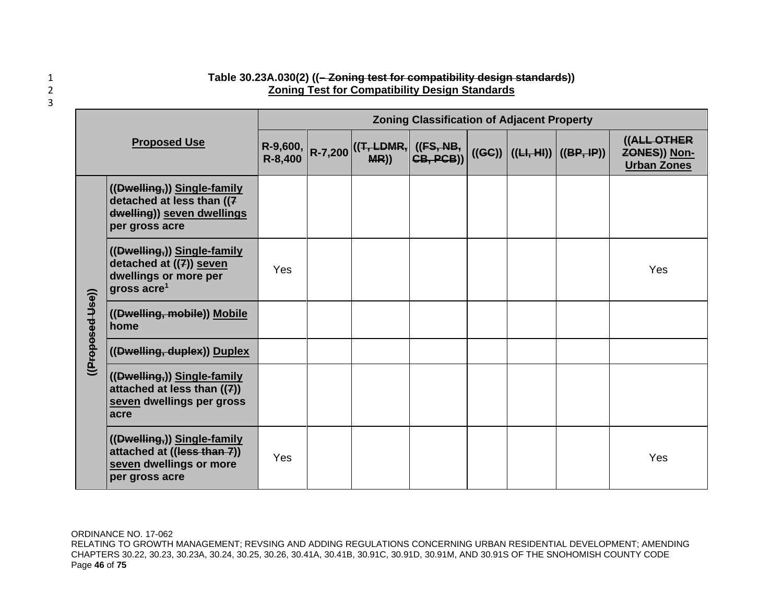| Table 30.23A.030(2) ((-Zoning test for compatibility design standards)) |
|-------------------------------------------------------------------------|
| <b>Zoning Test for Compatibility Design Standards</b>                   |

| <b>Proposed Use</b> |                                                                                                          | <b>Zoning Classification of Adjacent Property</b> |  |                                                            |  |  |  |                                 |                                                          |  |  |
|---------------------|----------------------------------------------------------------------------------------------------------|---------------------------------------------------|--|------------------------------------------------------------|--|--|--|---------------------------------|----------------------------------------------------------|--|--|
|                     |                                                                                                          | R-8,400                                           |  | R-9,600, R-7,200 ((T, LDMR, ((FS, NB, R-8.400 R-7,200 MR)) |  |  |  | ((GC))   ((H, HI))   ((BP, IP)) | ((ALL OTHER<br><b>ZONES)) Non-</b><br><b>Urban Zones</b> |  |  |
|                     | ((Dwelling,)) Single-family<br>detached at less than ((7<br>dwelling)) seven dwellings<br>per gross acre |                                                   |  |                                                            |  |  |  |                                 |                                                          |  |  |
| ((Proposed Use))    | ((Dwelling,)) Single-family<br>detached at ((7)) seven<br>dwellings or more per<br>gross $\arccos 1$     | Yes                                               |  |                                                            |  |  |  |                                 | Yes                                                      |  |  |
|                     | ((Dwelling, mobile)) Mobile<br>home                                                                      |                                                   |  |                                                            |  |  |  |                                 |                                                          |  |  |
|                     | ((Dwelling, duplex)) Duplex                                                                              |                                                   |  |                                                            |  |  |  |                                 |                                                          |  |  |
|                     | ((Dwelling,)) Single-family<br>attached at less than $((7))$<br>seven dwellings per gross<br>acre        |                                                   |  |                                                            |  |  |  |                                 |                                                          |  |  |
|                     | ((Dwelling,)) Single-family<br>attached at ((less than 7))<br>seven dwellings or more<br>per gross acre  | Yes                                               |  |                                                            |  |  |  |                                 | Yes                                                      |  |  |

ORDINANCE NO. 17-062

RELATING TO GROWTH MANAGEMENT; REVSING AND ADDING REGULATIONS CONCERNING URBAN RESIDENTIAL DEVELOPMENT; AMENDING CHAPTERS 30.22, 30.23, 30.23A, 30.24, 30.25, 30.26, 30.41A, 30.41B, 30.91C, 30.91D, 30.91M, AND 30.91S OF THE SNOHOMISH COUNTY CODE Page **46** of **75**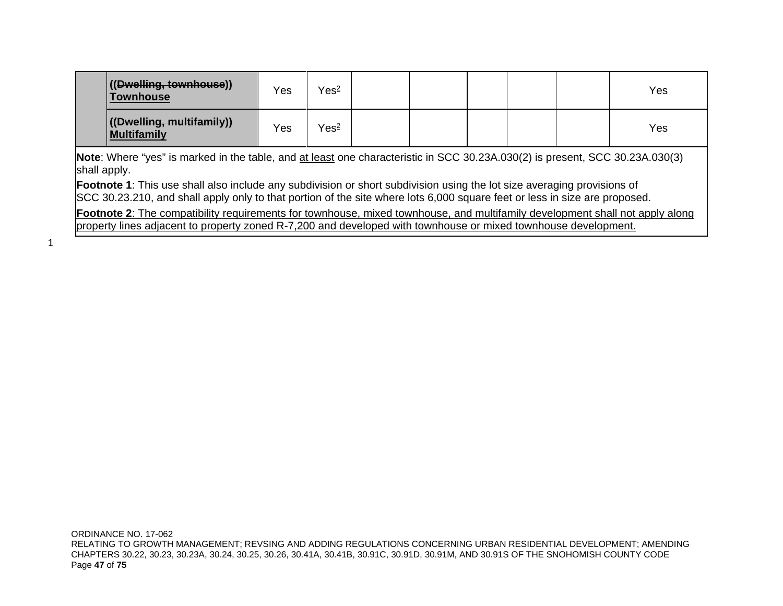| ((Dwelling, townhouse))<br><b>Townhouse</b> | Yes | Yes <sup>2</sup> |  |  | Yes |
|---------------------------------------------|-----|------------------|--|--|-----|
| ((Dwelling, multifamily))<br>Multifamily    | Yes | Yes <sup>2</sup> |  |  | Yes |

**Note**: Where "yes" is marked in the table, and at least one characteristic in SCC [30.23A.030\(](http://www.codepublishing.com/WA/SnohomishCounty/html/SnohomishCounty30/SnohomishCounty3023A.html)2) is present, SCC [30.23A.030\(](http://www.codepublishing.com/WA/SnohomishCounty/html/SnohomishCounty30/SnohomishCounty3023A.html)3) shall apply.

**Footnote 1**: This use shall also include any subdivision or short subdivision using the lot size averaging provisions of SCC [30.23.210,](http://www.codepublishing.com/WA/SnohomishCounty/html/SnohomishCounty30/SnohomishCounty3023.html) and shall apply only to that portion of the site where lots 6,000 square feet or less in size are proposed.

**Footnote 2**: The compatibility requirements for townhouse, mixed townhouse, and multifamily development shall not apply along property lines adjacent to property zoned R-7,200 and developed with townhouse or mixed townhouse development.

1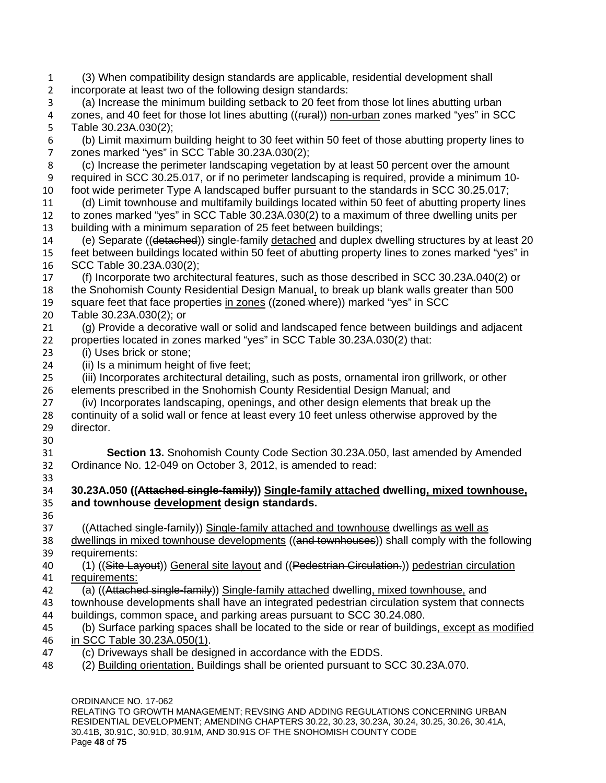ORDINANCE NO. 17-062 RELATING TO GROWTH MANAGEMENT; REVSING AND ADDING REGULATIONS CONCERNING URBAN RESIDENTIAL DEVELOPMENT; AMENDING CHAPTERS 30.22, 30.23, 30.23A, 30.24, 30.25, 30.26, 30.41A, (3) When compatibility design standards are applicable, residential development shall incorporate at least two of the following design standards: (a) Increase the minimum building setback to 20 feet from those lot lines abutting urban 4 zones, and 40 feet for those lot lines abutting ((rural)) non-urban zones marked "yes" in SCC Table 30.23A.030(2); (b) Limit maximum building height to 30 feet within 50 feet of those abutting property lines to zones marked "yes" in SCC Table 30.23A.030(2); (c) Increase the perimeter landscaping vegetation by at least 50 percent over the amount required in SCC 30.25.017, or if no perimeter landscaping is required, provide a minimum 10- foot wide perimeter Type A landscaped buffer pursuant to the standards in SCC 30.25.017; (d) Limit townhouse and multifamily buildings located within 50 feet of abutting property lines to zones marked "yes" in SCC Table 30.23A.030(2) to a maximum of three dwelling units per building with a minimum separation of 25 feet between buildings; 14 (e) Separate ((detached)) single-family detached and duplex dwelling structures by at least 20 feet between buildings located within 50 feet of abutting property lines to zones marked "yes" in SCC Table 30.23A.030(2); (f) Incorporate two architectural features, such as those described in SCC 30.23A.040(2) or the Snohomish County Residential Design Manual, to break up blank walls greater than 500 19 square feet that face properties in zones ((zoned where)) marked "yes" in SCC Table 30.23A.030(2); or (g) Provide a decorative wall or solid and landscaped fence between buildings and adjacent properties located in zones marked "yes" in SCC Table 30.23A.030(2) that: (i) Uses brick or stone; (ii) Is a minimum height of five feet; (iii) Incorporates architectural detailing, such as posts, ornamental iron grillwork, or other elements prescribed in the Snohomish County Residential Design Manual; and (iv) Incorporates landscaping, openings, and other design elements that break up the continuity of a solid wall or fence at least every 10 feet unless otherwise approved by the director. **Section 13.** Snohomish County Code Section 30.23A.050, last amended by Amended Ordinance No. 12-049 on October 3, 2012, is amended to read: **30.23A.050 ((Attached single-family)) Single-family attached dwelling, mixed townhouse, and townhouse development design standards.** 37 ((Attached single-family)) Single-family attached and townhouse dwellings as well as 38 dwellings in mixed townhouse developments ((and townhouses)) shall comply with the following requirements: 40 (1) ((Site Layout)) General site layout and ((Pedestrian Circulation.)) pedestrian circulation requirements: 42 (a) ((Attached single-family)) Single-family attached dwelling, mixed townhouse, and townhouse developments shall have an integrated pedestrian circulation system that connects buildings, common space, and parking areas pursuant to SCC 30.24.080. (b) Surface parking spaces shall be located to the side or rear of buildings, except as modified in SCC Table 30.23A.050(1). (c) Driveways shall be designed in accordance with the EDDS. (2) Building orientation. Buildings shall be oriented pursuant to SCC 30.23A.070.

30.41B, 30.91C, 30.91D, 30.91M, AND 30.91S OF THE SNOHOMISH COUNTY CODE Page **48** of **75**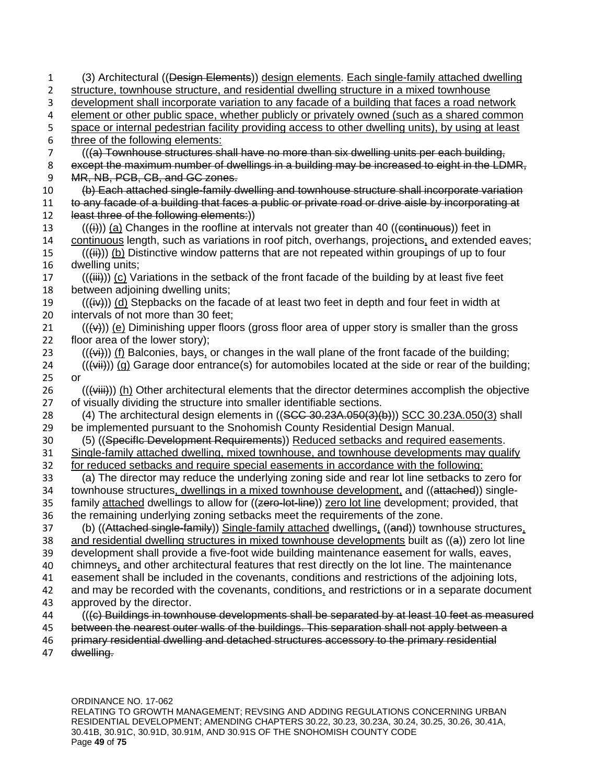| 1  | (3) Architectural ((Design Elements)) design elements. Each single-family attached dwelling                                      |
|----|----------------------------------------------------------------------------------------------------------------------------------|
| 2  | structure, townhouse structure, and residential dwelling structure in a mixed townhouse                                          |
| 3  | development shall incorporate variation to any facade of a building that faces a road network                                    |
| 4  | element or other public space, whether publicly or privately owned (such as a shared common                                      |
| 5  | space or internal pedestrian facility providing access to other dwelling units), by using at least                               |
| 6  | three of the following elements:                                                                                                 |
| 7  | (((a) Townhouse structures shall have no more than six dwelling units per each building,                                         |
| 8  | except the maximum number of dwellings in a building may be increased to eight in the LDMR,                                      |
| 9  | MR, NB, PCB, CB, and GC zones.                                                                                                   |
| 10 | (b) Each attached single-family dwelling and townhouse structure shall incorporate variation                                     |
| 11 | to any facade of a building that faces a public or private road or drive aisle by incorporating at                               |
| 12 | least three of the following elements:))                                                                                         |
| 13 | $((\nleftrightarrow)(a)$ Changes in the roofline at intervals not greater than 40 ((continuous)) feet in                         |
| 14 | continuous length, such as variations in roof pitch, overhangs, projections, and extended eaves;                                 |
| 15 | $((\ddot{H}))$ (b) Distinctive window patterns that are not repeated within groupings of up to four                              |
| 16 | dwelling units;                                                                                                                  |
| 17 | $((\n{iii}))(c)$ Variations in the setback of the front facade of the building by at least five feet                             |
| 18 | between adjoining dwelling units;                                                                                                |
| 19 | $((\nleftrightarrow))$ (d) Stepbacks on the facade of at least two feet in depth and four feet in width at                       |
| 20 | intervals of not more than 30 feet;                                                                                              |
| 21 | $((\leftrightarrow))$ (e) Diminishing upper floors (gross floor area of upper story is smaller than the gross                    |
| 22 | floor area of the lower story);                                                                                                  |
| 23 | (((vi))) (f) Balconies, bays, or changes in the wall plane of the front facade of the building;                                  |
| 24 | $((\overleftrightarrow{\rightarrow})))$ (g) Garage door entrance(s) for automobiles located at the side or rear of the building; |
| 25 | <b>or</b>                                                                                                                        |
| 26 | $((\overline{\text{viii}}))$ (h) Other architectural elements that the director determines accomplish the objective              |
| 27 | of visually dividing the structure into smaller identifiable sections.                                                           |
| 28 | (4) The architectural design elements in ((SCC 30.23A.050(3)(b))) SCC 30.23A.050(3) shall                                        |
| 29 | be implemented pursuant to the Snohomish County Residential Design Manual.                                                       |
| 30 | (5) ((Specific Development Requirements)) Reduced setbacks and required easements.                                               |
| 31 | Single-family attached dwelling, mixed townhouse, and townhouse developments may qualify                                         |
| 32 | for reduced setbacks and require special easements in accordance with the following:                                             |
| 33 | (a) The director may reduce the underlying zoning side and rear lot line setbacks to zero for                                    |
| 34 | townhouse structures, dwellings in a mixed townhouse development, and ((attached)) single-                                       |
| 35 | family attached dwellings to allow for ((zero-lot-line)) zero lot line development; provided, that                               |
| 36 | the remaining underlying zoning setbacks meet the requirements of the zone.                                                      |
| 37 | (b) ((Attached single-family)) Single-family attached dwellings, ((and)) townhouse structures,                                   |
| 38 | and residential dwelling structures in mixed townhouse developments built as $((a))$ zero lot line                               |
| 39 | development shall provide a five-foot wide building maintenance easement for walls, eaves,                                       |
| 40 | chimneys, and other architectural features that rest directly on the lot line. The maintenance                                   |
| 41 | easement shall be included in the covenants, conditions and restrictions of the adjoining lots,                                  |
| 42 | and may be recorded with the covenants, conditions, and restrictions or in a separate document                                   |
| 43 | approved by the director.                                                                                                        |
| 44 | (((e) Buildings in townhouse developments shall be separated by at least 10 feet as measured                                     |
| 45 | between the nearest outer walls of the buildings. This separation shall not apply between a                                      |
| 46 | primary residential dwelling and detached structures accessory to the primary residential                                        |
| 47 | dwelling.                                                                                                                        |

ORDINANCE NO. 17-062 RELATING TO GROWTH MANAGEMENT; REVSING AND ADDING REGULATIONS CONCERNING URBAN RESIDENTIAL DEVELOPMENT; AMENDING CHAPTERS 30.22, 30.23, 30.23A, 30.24, 30.25, 30.26, 30.41A, 30.41B, 30.91C, 30.91D, 30.91M, AND 30.91S OF THE SNOHOMISH COUNTY CODE Page **49** of **75**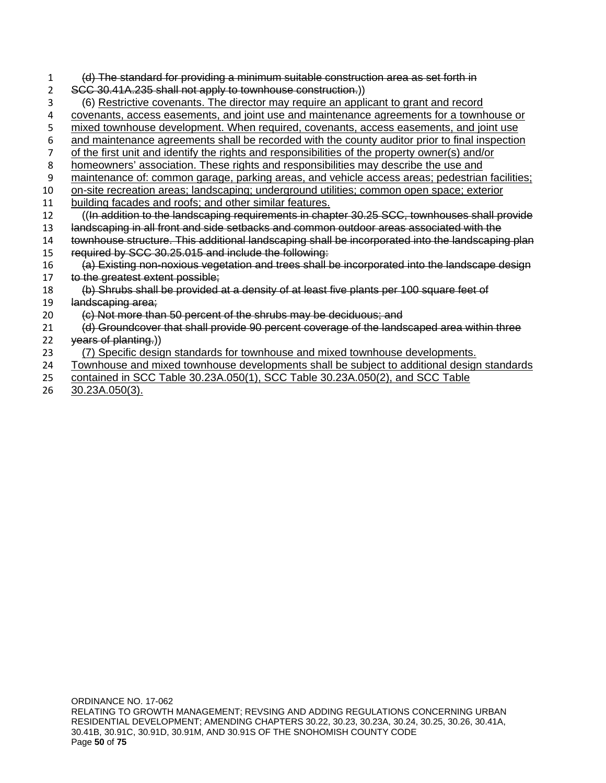|    | (d) The standard for providing a minimum suitable construction area as set forth in              |
|----|--------------------------------------------------------------------------------------------------|
|    | SCC 30.41A.235 shall not apply to townhouse construction.))                                      |
| 3  | (6) Restrictive covenants. The director may require an applicant to grant and record             |
| 4  | covenants, access easements, and joint use and maintenance agreements for a townhouse or         |
| 5  | mixed townhouse development. When required, covenants, access easements, and joint use           |
| 6  | and maintenance agreements shall be recorded with the county auditor prior to final inspection   |
| 7  | of the first unit and identify the rights and responsibilities of the property owner(s) and/or   |
| 8  | homeowners' association. These rights and responsibilities may describe the use and              |
| 9  | maintenance of: common garage, parking areas, and vehicle access areas; pedestrian facilities;   |
| 10 | on-site recreation areas; landscaping; underground utilities; common open space; exterior        |
| 11 | building facades and roofs; and other similar features.                                          |
| 12 | ((In addition to the landscaping requirements in chapter 30.25 SCC, townhouses shall provide     |
| 13 | landscaping in all front and side setbacks and common outdoor areas associated with the          |
| 14 | townhouse structure. This additional landscaping shall be incorporated into the landscaping plan |
| 15 | required by SCC 30.25.015 and include the following:                                             |
| 16 | (a) Existing non-noxious vegetation and trees shall be incorporated into the landscape design    |
| 17 | to the greatest extent possible;                                                                 |
| 18 | (b) Shrubs shall be provided at a density of at least five plants per 100 square feet of         |
| 19 | landscaping area;                                                                                |
| 20 | (c) Not more than 50 percent of the shrubs may be deciduous; and                                 |
| 21 | (d) Groundcover that shall provide 90 percent coverage of the landscaped area within three       |
| 22 | years of planting.))                                                                             |
| 23 | (7) Specific design standards for townhouse and mixed townhouse developments.                    |
| 24 | Townhouse and mixed townhouse developments shall be subject to additional design standards       |
| 25 | contained in SCC Table 30.23A.050(1), SCC Table 30.23A.050(2), and SCC Table                     |

26 30.23A.050(3).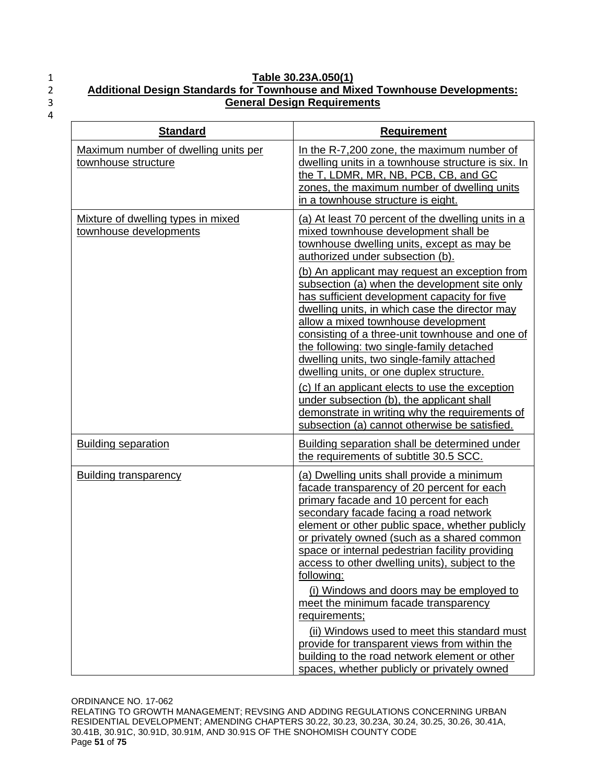## 1 **Table 30.23A.050(1)** 2 **Additional Design Standards for Townhouse and Mixed Townhouse Developments:**  3 **General Design Requirements**

| <b>Standard</b>                                              | <b>Requirement</b>                                                                                                                                                                                                                                                                                                                                                                                                                                                                                                                                                                                                                                                                                       |
|--------------------------------------------------------------|----------------------------------------------------------------------------------------------------------------------------------------------------------------------------------------------------------------------------------------------------------------------------------------------------------------------------------------------------------------------------------------------------------------------------------------------------------------------------------------------------------------------------------------------------------------------------------------------------------------------------------------------------------------------------------------------------------|
| Maximum number of dwelling units per<br>townhouse structure  | In the R-7,200 zone, the maximum number of<br>dwelling units in a townhouse structure is six. In<br>the T, LDMR, MR, NB, PCB, CB, and GC<br>zones, the maximum number of dwelling units<br>in a townhouse structure is eight.                                                                                                                                                                                                                                                                                                                                                                                                                                                                            |
| Mixture of dwelling types in mixed<br>townhouse developments | (a) At least 70 percent of the dwelling units in a<br>mixed townhouse development shall be<br>townhouse dwelling units, except as may be<br>authorized under subsection (b).                                                                                                                                                                                                                                                                                                                                                                                                                                                                                                                             |
|                                                              | (b) An applicant may request an exception from<br>subsection (a) when the development site only<br>has sufficient development capacity for five<br>dwelling units, in which case the director may<br>allow a mixed townhouse development<br>consisting of a three-unit townhouse and one of<br>the following: two single-family detached<br>dwelling units, two single-family attached<br>dwelling units, or one duplex structure.<br>(c) If an applicant elects to use the exception<br>under subsection (b), the applicant shall<br>demonstrate in writing why the requirements of<br>subsection (a) cannot otherwise be satisfied.                                                                    |
| <b>Building separation</b>                                   | Building separation shall be determined under<br>the requirements of subtitle 30.5 SCC.                                                                                                                                                                                                                                                                                                                                                                                                                                                                                                                                                                                                                  |
| <b>Building transparency</b>                                 | (a) Dwelling units shall provide a minimum<br>facade transparency of 20 percent for each<br>primary facade and 10 percent for each<br>secondary facade facing a road network<br>element or other public space, whether publicly<br>or privately owned (such as a shared common<br>space or internal pedestrian facility providing<br>access to other dwelling units), subject to the<br>following:<br>(i) Windows and doors may be employed to<br>meet the minimum facade transparency<br>requirements;<br>(ii) Windows used to meet this standard must<br>provide for transparent views from within the<br>building to the road network element or other<br>spaces, whether publicly or privately owned |

ORDINANCE NO. 17-062 RELATING TO GROWTH MANAGEMENT; REVSING AND ADDING REGULATIONS CONCERNING URBAN RESIDENTIAL DEVELOPMENT; AMENDING CHAPTERS 30.22, 30.23, 30.23A, 30.24, 30.25, 30.26, 30.41A, 30.41B, 30.91C, 30.91D, 30.91M, AND 30.91S OF THE SNOHOMISH COUNTY CODE Page **51** of **75**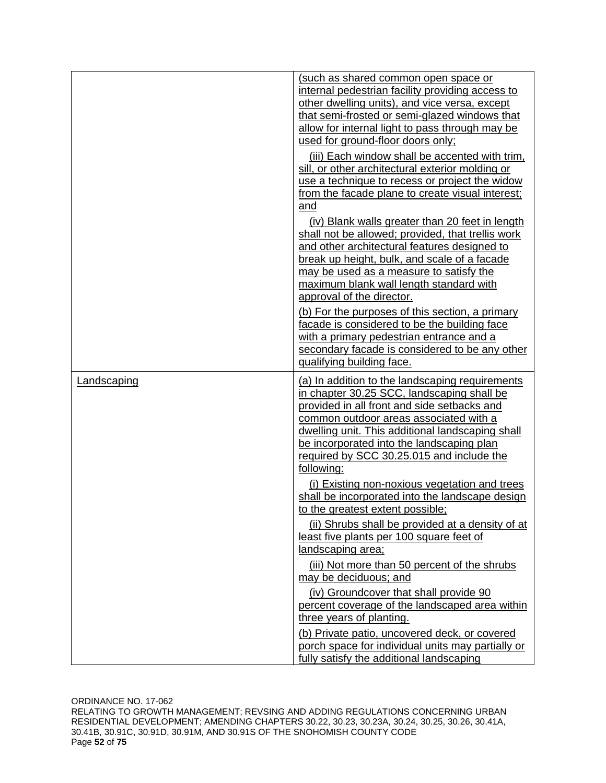|             | (such as shared common open space or<br>internal pedestrian facility providing access to<br>other dwelling units), and vice versa, except<br>that semi-frosted or semi-glazed windows that<br>allow for internal light to pass through may be<br>used for ground-floor doors only;                                                                 |
|-------------|----------------------------------------------------------------------------------------------------------------------------------------------------------------------------------------------------------------------------------------------------------------------------------------------------------------------------------------------------|
|             | (iii) Each window shall be accented with trim.<br>sill, or other architectural exterior molding or<br>use a technique to recess or project the widow<br>from the facade plane to create visual interest;<br>and                                                                                                                                    |
|             | (iv) Blank walls greater than 20 feet in length<br>shall not be allowed; provided, that trellis work<br>and other architectural features designed to<br>break up height, bulk, and scale of a facade<br>may be used as a measure to satisfy the<br>maximum blank wall length standard with<br>approval of the director.                            |
|             | (b) For the purposes of this section, a primary<br>facade is considered to be the building face<br>with a primary pedestrian entrance and a<br>secondary facade is considered to be any other<br>qualifying building face.                                                                                                                         |
| Landscaping | (a) In addition to the landscaping requirements<br>in chapter 30.25 SCC, landscaping shall be<br>provided in all front and side setbacks and<br>common outdoor areas associated with a<br>dwelling unit. This additional landscaping shall<br>be incorporated into the landscaping plan<br>required by SCC 30.25.015 and include the<br>following: |
|             | (i) Existing non-noxious vegetation and trees<br>shall be incorporated into the landscape design<br>to the greatest extent possible;<br>(ii) Shrubs shall be provided at a density of at<br>least five plants per 100 square feet of<br>landscaping area;                                                                                          |
|             | (iii) Not more than 50 percent of the shrubs<br>may be deciduous; and<br>(iv) Groundcover that shall provide 90<br>percent coverage of the landscaped area within<br>three years of planting.                                                                                                                                                      |
|             | (b) Private patio, uncovered deck, or covered<br>porch space for individual units may partially or<br>fully satisfy the additional landscaping                                                                                                                                                                                                     |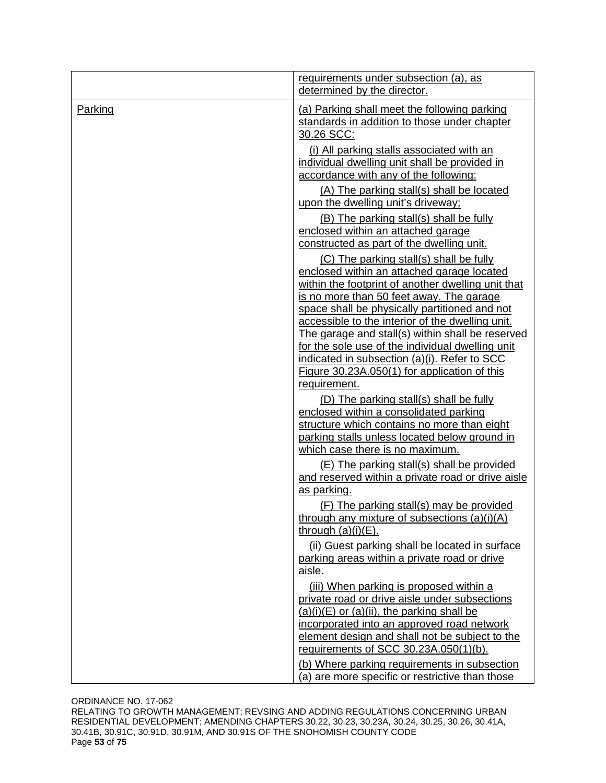|         | requirements under subsection (a), as<br>determined by the director.                                                                                                                                                                                    |
|---------|---------------------------------------------------------------------------------------------------------------------------------------------------------------------------------------------------------------------------------------------------------|
| Parking | (a) Parking shall meet the following parking<br>standards in addition to those under chapter<br>30.26 SCC:                                                                                                                                              |
|         | (i) All parking stalls associated with an<br>individual dwelling unit shall be provided in<br>accordance with any of the following:                                                                                                                     |
|         | (A) The parking stall(s) shall be located<br>upon the dwelling unit's driveway;                                                                                                                                                                         |
|         | (B) The parking stall(s) shall be fully<br>enclosed within an attached garage<br>constructed as part of the dwelling unit.                                                                                                                              |
|         | (C) The parking stall(s) shall be fully<br>enclosed within an attached garage located                                                                                                                                                                   |
|         | within the footprint of another dwelling unit that<br>is no more than 50 feet away. The garage<br>space shall be physically partitioned and not<br>accessible to the interior of the dwelling unit.<br>The garage and stall(s) within shall be reserved |
|         | for the sole use of the individual dwelling unit<br>indicated in subsection (a)(i). Refer to SCC<br>Figure 30.23A.050(1) for application of this<br>requirement.                                                                                        |
|         | (D) The parking stall(s) shall be fully<br>enclosed within a consolidated parking<br>structure which contains no more than eight<br>parking stalls unless located below ground in<br>which case there is no maximum.                                    |
|         | (E) The parking stall(s) shall be provided<br>and reserved within a private road or drive aisle<br>as parking.                                                                                                                                          |
|         | (F) The parking stall(s) may be provided<br>through any mixture of subsections $(a)(i)(A)$<br>through $(a)(i)(E)$ .                                                                                                                                     |
|         | (ii) Guest parking shall be located in surface<br>parking areas within a private road or drive<br>aisle.                                                                                                                                                |
|         | (iii) When parking is proposed within a<br>private road or drive aisle under subsections<br>$(a)(i)(E)$ or $(a)(ii)$ , the parking shall be                                                                                                             |
|         | incorporated into an approved road network<br>element design and shall not be subject to the<br>requirements of SCC 30.23A.050(1)(b).                                                                                                                   |
|         | (b) Where parking requirements in subsection<br>(a) are more specific or restrictive than those                                                                                                                                                         |

ORDINANCE NO. 17-062

RELATING TO GROWTH MANAGEMENT; REVSING AND ADDING REGULATIONS CONCERNING URBAN RESIDENTIAL DEVELOPMENT; AMENDING CHAPTERS 30.22, 30.23, 30.23A, 30.24, 30.25, 30.26, 30.41A, 30.41B, 30.91C, 30.91D, 30.91M, AND 30.91S OF THE SNOHOMISH COUNTY CODE Page **53** of **75**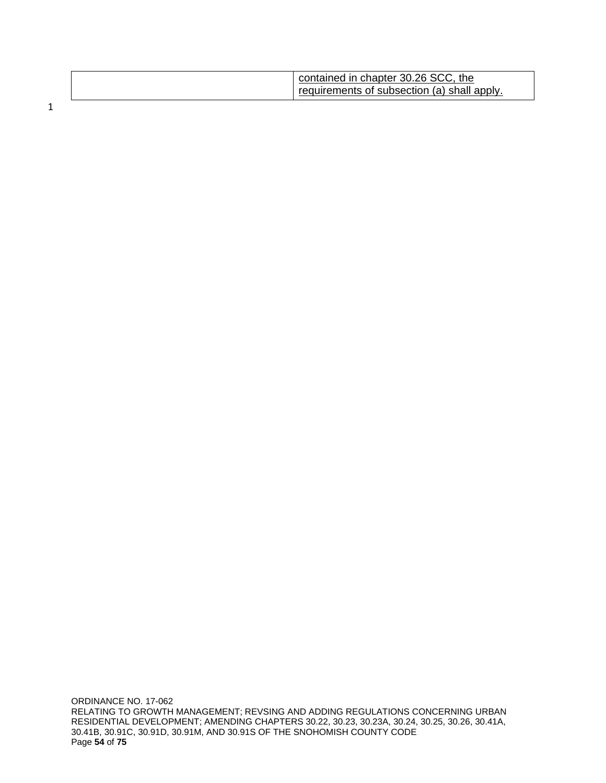| contained in chapter 30.26 SCC, the<br>requirements of subsection (a) shall apply. |
|------------------------------------------------------------------------------------|
|------------------------------------------------------------------------------------|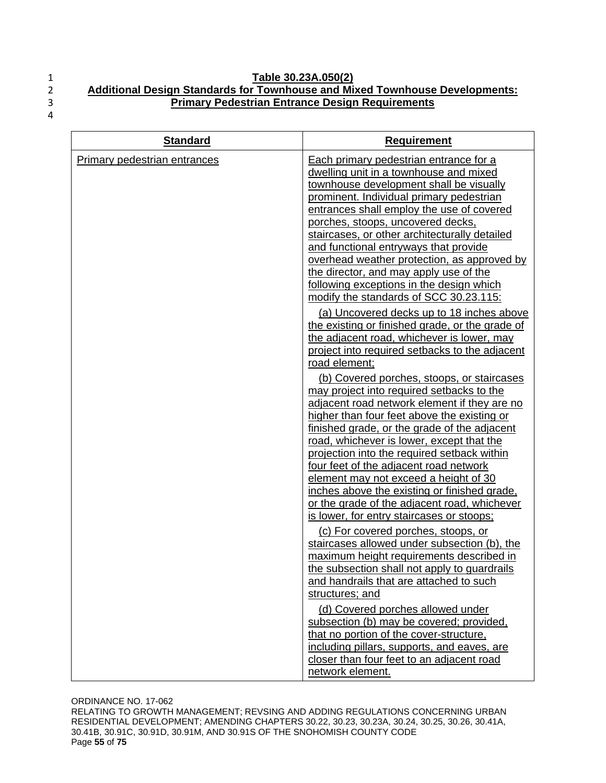#### 1 **Table 30.23A.050(2)** 2 **Additional Design Standards for Townhouse and Mixed Townhouse Developments:**  3 **Primary Pedestrian Entrance Design Requirements**

4

| <b>Standard</b>                     | <b>Requirement</b>                                                                                                                                                                                                                                                                                                                                                                                                                                                                                                                                  |
|-------------------------------------|-----------------------------------------------------------------------------------------------------------------------------------------------------------------------------------------------------------------------------------------------------------------------------------------------------------------------------------------------------------------------------------------------------------------------------------------------------------------------------------------------------------------------------------------------------|
| <b>Primary pedestrian entrances</b> | Each primary pedestrian entrance for a<br>dwelling unit in a townhouse and mixed<br>townhouse development shall be visually<br>prominent. Individual primary pedestrian<br>entrances shall employ the use of covered<br>porches, stoops, uncovered decks,<br>staircases, or other architecturally detailed<br>and functional entryways that provide<br>overhead weather protection, as approved by<br>the director, and may apply use of the<br>following exceptions in the design which<br>modify the standards of SCC 30.23.115:                  |
|                                     | (a) Uncovered decks up to 18 inches above<br>the existing or finished grade, or the grade of<br>the adjacent road, whichever is lower, may<br>project into required setbacks to the adjacent<br>road element;<br>(b) Covered porches, stoops, or staircases<br>may project into required setbacks to the<br>adjacent road network element if they are no<br>higher than four feet above the existing or<br>finished grade, or the grade of the adjacent<br>road, whichever is lower, except that the<br>projection into the required setback within |
|                                     | four feet of the adjacent road network<br>element may not exceed a height of 30<br>inches above the existing or finished grade.<br>or the grade of the adjacent road, whichever<br>is lower, for entry staircases or stoops;<br>(c) For covered porches, stoops, or                                                                                                                                                                                                                                                                                 |
|                                     | staircases allowed under subsection (b), the<br>maximum height requirements described in<br>the subsection shall not apply to guardrails<br>and handrails that are attached to such<br>structures; and                                                                                                                                                                                                                                                                                                                                              |
|                                     | (d) Covered porches allowed under<br>subsection (b) may be covered; provided,<br>that no portion of the cover-structure.<br>including pillars, supports, and eaves, are<br>closer than four feet to an adjacent road<br>network element.                                                                                                                                                                                                                                                                                                            |

ORDINANCE NO. 17-062 RELATING TO GROWTH MANAGEMENT; REVSING AND ADDING REGULATIONS CONCERNING URBAN RESIDENTIAL DEVELOPMENT; AMENDING CHAPTERS 30.22, 30.23, 30.23A, 30.24, 30.25, 30.26, 30.41A, 30.41B, 30.91C, 30.91D, 30.91M, AND 30.91S OF THE SNOHOMISH COUNTY CODE Page **55** of **75**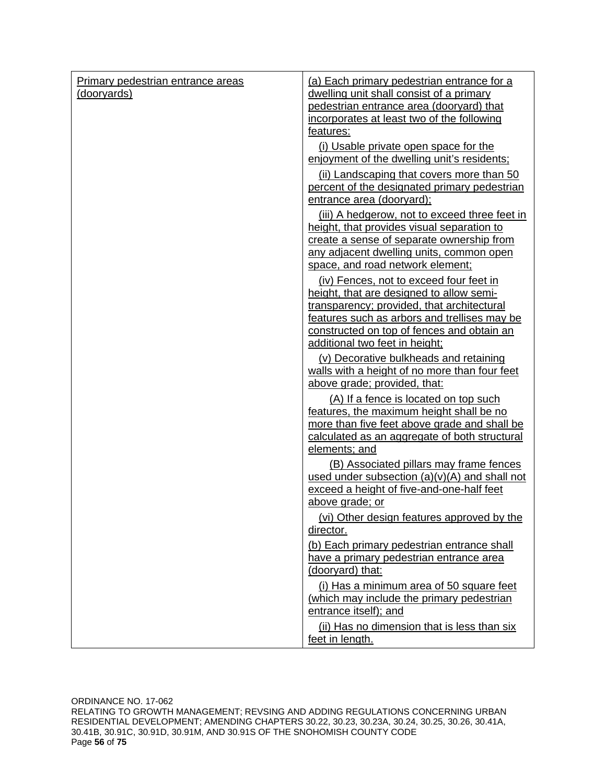| Primary pedestrian entrance areas | (a) Each primary pedestrian entrance for a                                                                             |  |  |  |  |  |  |  |  |
|-----------------------------------|------------------------------------------------------------------------------------------------------------------------|--|--|--|--|--|--|--|--|
| (dooryards)                       | dwelling unit shall consist of a primary                                                                               |  |  |  |  |  |  |  |  |
|                                   | pedestrian entrance area (dooryard) that                                                                               |  |  |  |  |  |  |  |  |
|                                   | incorporates at least two of the following                                                                             |  |  |  |  |  |  |  |  |
|                                   | features:                                                                                                              |  |  |  |  |  |  |  |  |
|                                   | (i) Usable private open space for the<br>enjoyment of the dwelling unit's residents;                                   |  |  |  |  |  |  |  |  |
|                                   | (ii) Landscaping that covers more than 50<br>percent of the designated primary pedestrian<br>entrance area (dooryard); |  |  |  |  |  |  |  |  |
|                                   | (iii) A hedgerow, not to exceed three feet in                                                                          |  |  |  |  |  |  |  |  |
|                                   | height, that provides visual separation to                                                                             |  |  |  |  |  |  |  |  |
|                                   | create a sense of separate ownership from                                                                              |  |  |  |  |  |  |  |  |
|                                   | any adjacent dwelling units, common open                                                                               |  |  |  |  |  |  |  |  |
|                                   | space, and road network element;                                                                                       |  |  |  |  |  |  |  |  |
|                                   | (iv) Fences, not to exceed four feet in                                                                                |  |  |  |  |  |  |  |  |
|                                   | height, that are designed to allow semi-                                                                               |  |  |  |  |  |  |  |  |
|                                   | transparency; provided, that architectural                                                                             |  |  |  |  |  |  |  |  |
|                                   | features such as arbors and trellises may be<br>constructed on top of fences and obtain an                             |  |  |  |  |  |  |  |  |
|                                   | additional two feet in height;                                                                                         |  |  |  |  |  |  |  |  |
|                                   | (v) Decorative bulkheads and retaining                                                                                 |  |  |  |  |  |  |  |  |
|                                   | walls with a height of no more than four feet                                                                          |  |  |  |  |  |  |  |  |
|                                   | above grade; provided, that:                                                                                           |  |  |  |  |  |  |  |  |
|                                   | (A) If a fence is located on top such                                                                                  |  |  |  |  |  |  |  |  |
|                                   | features, the maximum height shall be no                                                                               |  |  |  |  |  |  |  |  |
|                                   | more than five feet above grade and shall be                                                                           |  |  |  |  |  |  |  |  |
|                                   | calculated as an aggregate of both structural                                                                          |  |  |  |  |  |  |  |  |
|                                   | elements; and                                                                                                          |  |  |  |  |  |  |  |  |
|                                   | (B) Associated pillars may frame fences                                                                                |  |  |  |  |  |  |  |  |
|                                   | used under subsection $(a)(v)(A)$ and shall not<br>exceed a height of five-and-one-half feet                           |  |  |  |  |  |  |  |  |
|                                   | above grade; or                                                                                                        |  |  |  |  |  |  |  |  |
|                                   | (vi) Other design features approved by the                                                                             |  |  |  |  |  |  |  |  |
|                                   | director.                                                                                                              |  |  |  |  |  |  |  |  |
|                                   | (b) Each primary pedestrian entrance shall                                                                             |  |  |  |  |  |  |  |  |
|                                   | have a primary pedestrian entrance area                                                                                |  |  |  |  |  |  |  |  |
|                                   | (dooryard) that:                                                                                                       |  |  |  |  |  |  |  |  |
|                                   | (i) Has a minimum area of 50 square feet                                                                               |  |  |  |  |  |  |  |  |
|                                   | (which may include the primary pedestrian                                                                              |  |  |  |  |  |  |  |  |
|                                   | entrance itself); and                                                                                                  |  |  |  |  |  |  |  |  |
|                                   | (ii) Has no dimension that is less than six<br>feet in length.                                                         |  |  |  |  |  |  |  |  |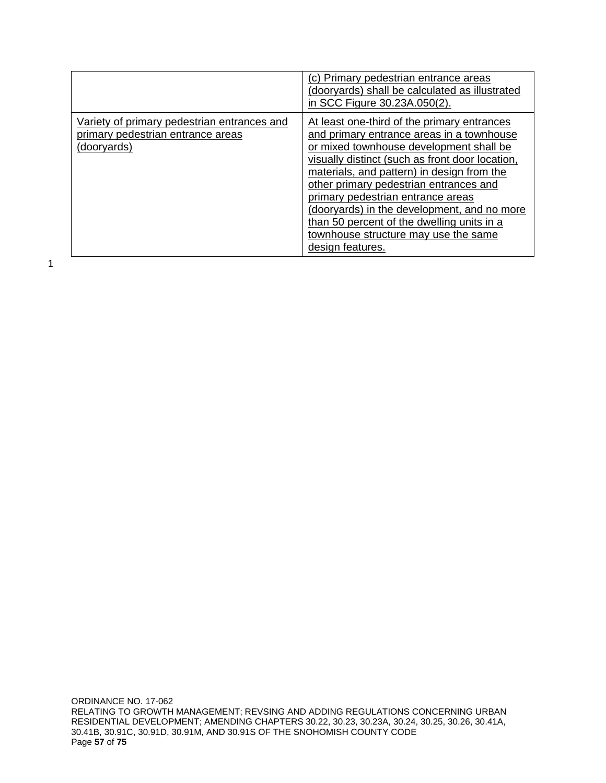|                                                                                                 | (c) Primary pedestrian entrance areas<br>(dooryards) shall be calculated as illustrated<br>in SCC Figure 30.23A.050(2).                                                                                                                                                                                                                                                                                                                                                      |
|-------------------------------------------------------------------------------------------------|------------------------------------------------------------------------------------------------------------------------------------------------------------------------------------------------------------------------------------------------------------------------------------------------------------------------------------------------------------------------------------------------------------------------------------------------------------------------------|
| Variety of primary pedestrian entrances and<br>primary pedestrian entrance areas<br>(dooryards) | At least one-third of the primary entrances<br>and primary entrance areas in a townhouse<br>or mixed townhouse development shall be<br>visually distinct (such as front door location,<br>materials, and pattern) in design from the<br>other primary pedestrian entrances and<br>primary pedestrian entrance areas<br>(dooryards) in the development, and no more<br>than 50 percent of the dwelling units in a<br>townhouse structure may use the same<br>design features. |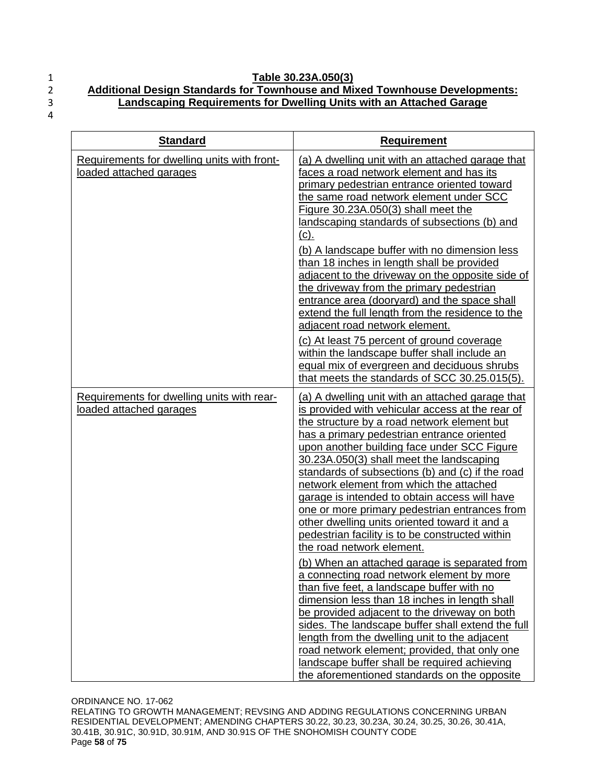#### 1 **Table 30.23A.050(3)** 2 **Additional Design Standards for Townhouse and Mixed Townhouse Developments:**  3 **Landscaping Requirements for Dwelling Units with an Attached Garage**

| <b>Standard</b>                                                        | <b>Requirement</b>                                                                                                                                                                                                                                                                                                                                                                                                                                                                                                                                                                                                                                                                                                                                                                                                                                                                                                                                                                                                                                                                                                                 |
|------------------------------------------------------------------------|------------------------------------------------------------------------------------------------------------------------------------------------------------------------------------------------------------------------------------------------------------------------------------------------------------------------------------------------------------------------------------------------------------------------------------------------------------------------------------------------------------------------------------------------------------------------------------------------------------------------------------------------------------------------------------------------------------------------------------------------------------------------------------------------------------------------------------------------------------------------------------------------------------------------------------------------------------------------------------------------------------------------------------------------------------------------------------------------------------------------------------|
| Requirements for dwelling units with front-<br>loaded attached garages | (a) A dwelling unit with an attached garage that<br>faces a road network element and has its<br>primary pedestrian entrance oriented toward<br>the same road network element under SCC<br>Figure 30.23A.050(3) shall meet the<br>landscaping standards of subsections (b) and<br><u>(c).</u><br>(b) A landscape buffer with no dimension less<br>than 18 inches in length shall be provided<br>adjacent to the driveway on the opposite side of<br>the driveway from the primary pedestrian<br>entrance area (dooryard) and the space shall<br>extend the full length from the residence to the<br>adjacent road network element.<br>(c) At least 75 percent of ground coverage<br>within the landscape buffer shall include an<br>equal mix of evergreen and deciduous shrubs<br>that meets the standards of SCC 30.25.015(5).                                                                                                                                                                                                                                                                                                    |
| Requirements for dwelling units with rear-<br>loaded attached garages  | (a) A dwelling unit with an attached garage that<br>is provided with vehicular access at the rear of<br>the structure by a road network element but<br>has a primary pedestrian entrance oriented<br>upon another building face under SCC Figure<br>30.23A.050(3) shall meet the landscaping<br>standards of subsections (b) and (c) if the road<br>network element from which the attached<br>garage is intended to obtain access will have<br>one or more primary pedestrian entrances from<br>other dwelling units oriented toward it and a<br>pedestrian facility is to be constructed within<br>the road network element.<br>(b) When an attached garage is separated from<br>a connecting road network element by more<br>than five feet, a landscape buffer with no<br>dimension less than 18 inches in length shall<br>be provided adjacent to the driveway on both<br>sides. The landscape buffer shall extend the full<br>length from the dwelling unit to the adjacent<br>road network element; provided, that only one<br>landscape buffer shall be required achieving<br>the aforementioned standards on the opposite |

ORDINANCE NO. 17-062 RELATING TO GROWTH MANAGEMENT; REVSING AND ADDING REGULATIONS CONCERNING URBAN RESIDENTIAL DEVELOPMENT; AMENDING CHAPTERS 30.22, 30.23, 30.23A, 30.24, 30.25, 30.26, 30.41A, 30.41B, 30.91C, 30.91D, 30.91M, AND 30.91S OF THE SNOHOMISH COUNTY CODE Page **58** of **75**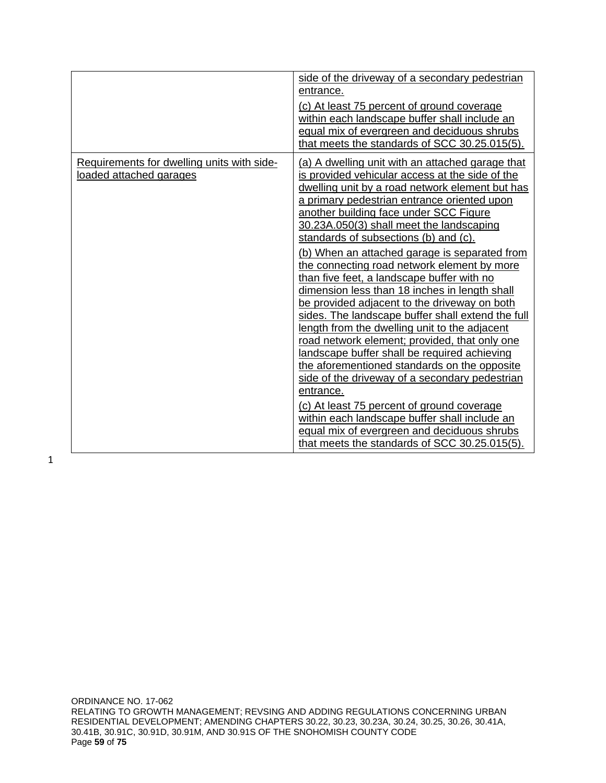|                                                                       | side of the driveway of a secondary pedestrian<br>entrance.<br>(c) At least 75 percent of ground coverage<br>within each landscape buffer shall include an<br>equal mix of evergreen and deciduous shrubs<br>that meets the standards of SCC 30.25.015(5).                                                                                                                                                                                                                                                                                                                                                                                                                                                                                                                                                                                                                                                                                                                                                                                                                                               |
|-----------------------------------------------------------------------|----------------------------------------------------------------------------------------------------------------------------------------------------------------------------------------------------------------------------------------------------------------------------------------------------------------------------------------------------------------------------------------------------------------------------------------------------------------------------------------------------------------------------------------------------------------------------------------------------------------------------------------------------------------------------------------------------------------------------------------------------------------------------------------------------------------------------------------------------------------------------------------------------------------------------------------------------------------------------------------------------------------------------------------------------------------------------------------------------------|
| Requirements for dwelling units with side-<br>loaded attached garages | (a) A dwelling unit with an attached garage that<br>is provided vehicular access at the side of the<br>dwelling unit by a road network element but has<br>a primary pedestrian entrance oriented upon<br>another building face under SCC Figure<br>30.23A.050(3) shall meet the landscaping<br>standards of subsections (b) and (c).<br>(b) When an attached garage is separated from<br>the connecting road network element by more<br>than five feet, a landscape buffer with no<br>dimension less than 18 inches in length shall<br>be provided adjacent to the driveway on both<br>sides. The landscape buffer shall extend the full<br>length from the dwelling unit to the adjacent<br>road network element; provided, that only one<br>landscape buffer shall be required achieving<br>the aforementioned standards on the opposite<br>side of the driveway of a secondary pedestrian<br>entrance.<br>(c) At least 75 percent of ground coverage<br>within each landscape buffer shall include an<br>equal mix of evergreen and deciduous shrubs<br>that meets the standards of SCC 30.25.015(5). |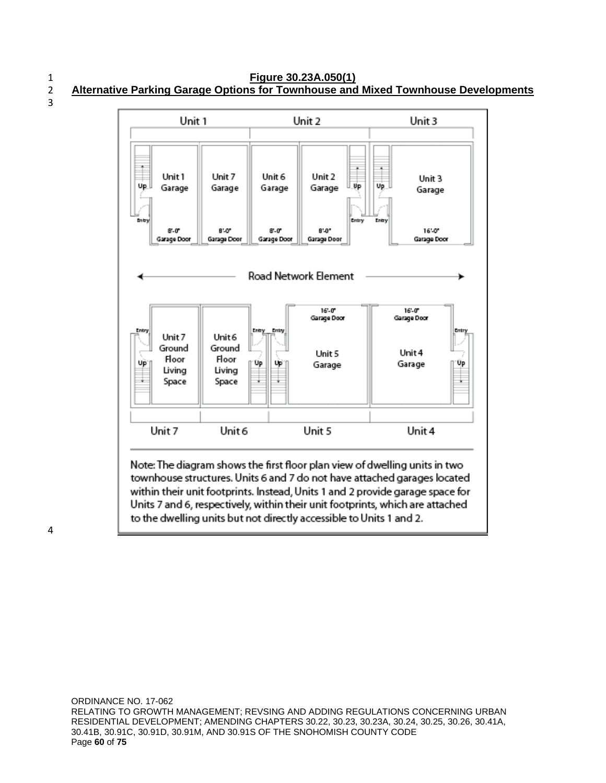1 **Figure 30.23A.050(1)** 2 **Alternative Parking Garage Options for Townhouse and Mixed Townhouse Developments**



4

to the dwelling units but not directly accessible to Units 1 and 2.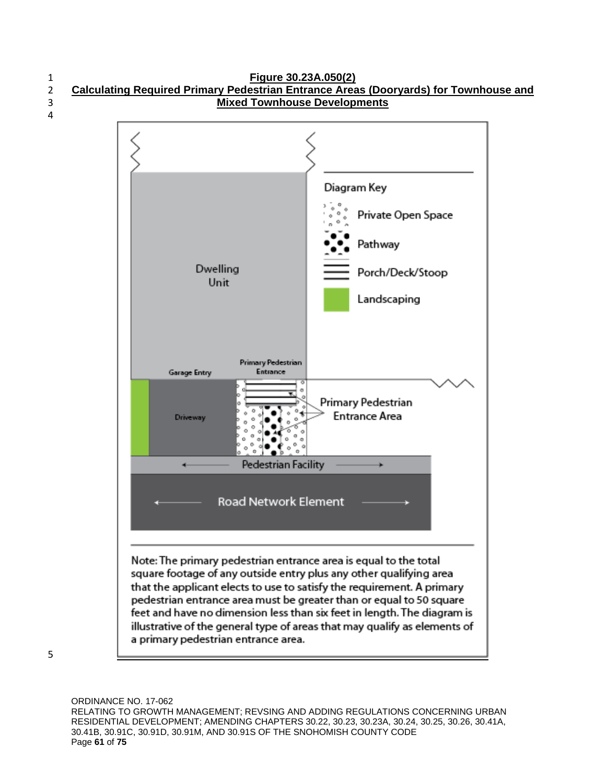

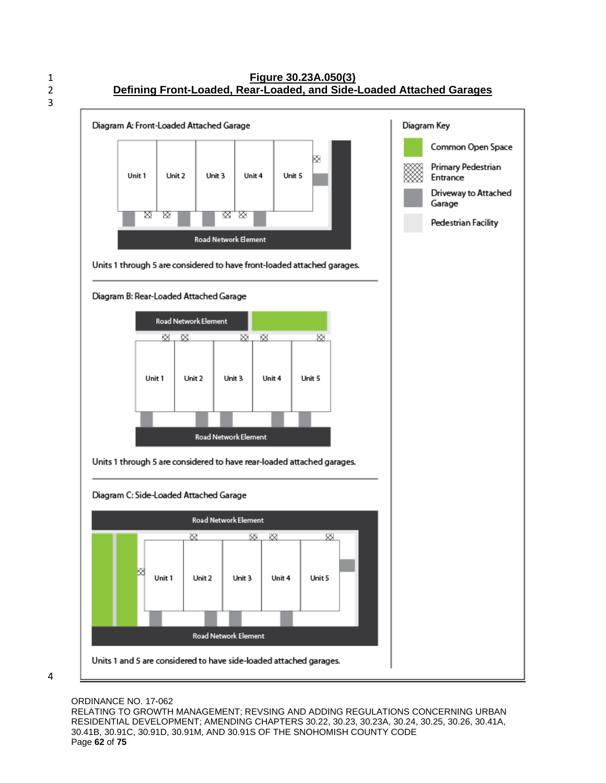



## ORDINANCE NO. 17-062

RELATING TO GROWTH MANAGEMENT; REVSING AND ADDING REGULATIONS CONCERNING URBAN RESIDENTIAL DEVELOPMENT; AMENDING CHAPTERS 30.22, 30.23, 30.23A, 30.24, 30.25, 30.26, 30.41A, 30.41B, 30.91C, 30.91D, 30.91M, AND 30.91S OF THE SNOHOMISH COUNTY CODE Page **62** of **75**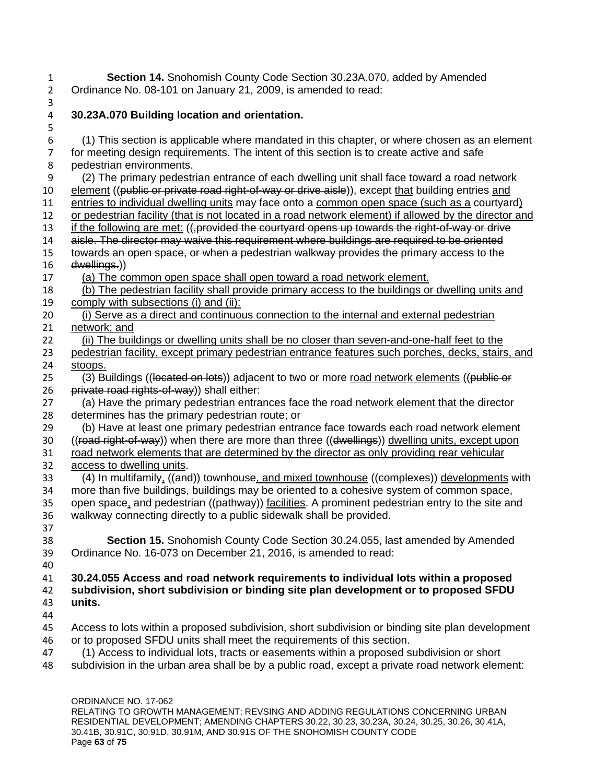1 **Section 14.** Snohomish County Code Section 30.23A.070, added by Amended 2 Ordinance No. 08-101 on January 21, 2009, is amended to read:

3

5

# 4 **30.23A.070 Building location and orientation.**

| 6              | (1) This section is applicable where mandated in this chapter, or where chosen as an element                                                                        |
|----------------|---------------------------------------------------------------------------------------------------------------------------------------------------------------------|
| $\overline{7}$ | for meeting design requirements. The intent of this section is to create active and safe                                                                            |
| 8              | pedestrian environments.                                                                                                                                            |
| 9              | (2) The primary pedestrian entrance of each dwelling unit shall face toward a road network                                                                          |
| 10             | element ((public or private road right-of-way or drive aisle)), except that building entries and                                                                    |
| 11             | entries to individual dwelling units may face onto a common open space (such as a courtyard)                                                                        |
| 12             | or pedestrian facility (that is not located in a road network element) if allowed by the director and                                                               |
| 13             | if the following are met: ((,provided the courtyard opens up towards the right-of-way or drive                                                                      |
| 14             | aisle. The director may waive this requirement where buildings are required to be oriented                                                                          |
| 15             | towards an open space, or when a pedestrian walkway provides the primary access to the                                                                              |
| 16             | dwellings.))                                                                                                                                                        |
| 17             | (a) The common open space shall open toward a road network element.                                                                                                 |
| 18             | (b) The pedestrian facility shall provide primary access to the buildings or dwelling units and                                                                     |
| 19             | comply with subsections (i) and (ii):                                                                                                                               |
| 20             | (i) Serve as a direct and continuous connection to the internal and external pedestrian                                                                             |
| 21             | network; and                                                                                                                                                        |
| 22             | (ii) The buildings or dwelling units shall be no closer than seven-and-one-half feet to the                                                                         |
| 23             | pedestrian facility, except primary pedestrian entrance features such porches, decks, stairs, and                                                                   |
| 24             | stoops.                                                                                                                                                             |
| 25             | (3) Buildings ((located on lots)) adjacent to two or more road network elements ((public or                                                                         |
| 26             | private road rights-of-way)) shall either:                                                                                                                          |
| 27             | (a) Have the primary pedestrian entrances face the road network element that the director                                                                           |
| 28             | determines has the primary pedestrian route; or                                                                                                                     |
| 29             | (b) Have at least one primary pedestrian entrance face towards each road network element                                                                            |
| 30             | ((road right-of-way)) when there are more than three ((dwellings)) dwelling units, except upon                                                                      |
| 31             | road network elements that are determined by the director as only providing rear vehicular                                                                          |
| 32             | access to dwelling units.                                                                                                                                           |
| 33             | (4) In multifamily. ((and)) townhouse, and mixed townhouse ((complexes)) developments with                                                                          |
| 34             | more than five buildings, buildings may be oriented to a cohesive system of common space,                                                                           |
| 35             | open space, and pedestrian ((pathway)) facilities. A prominent pedestrian entry to the site and                                                                     |
| 36             | walkway connecting directly to a public sidewalk shall be provided.                                                                                                 |
| 37             |                                                                                                                                                                     |
| 38             | Section 15. Snohomish County Code Section 30.24.055, last amended by Amended                                                                                        |
| 39             | Ordinance No. 16-073 on December 21, 2016, is amended to read:                                                                                                      |
| 40             |                                                                                                                                                                     |
| 41             | 30.24.055 Access and road network requirements to individual lots within a proposed                                                                                 |
| 42             | subdivision, short subdivision or binding site plan development or to proposed SFDU                                                                                 |
| 43             | units.                                                                                                                                                              |
| 44<br>45       | Access to lots within a proposed subdivision, short subdivision or binding site plan development                                                                    |
|                |                                                                                                                                                                     |
| 46<br>47       | or to proposed SFDU units shall meet the requirements of this section.<br>(1) Access to individual lots, tracts or easements within a proposed subdivision or short |
|                | subdivision in the urban area shall be by a public road, except a private road network element:                                                                     |
| 48             |                                                                                                                                                                     |
|                |                                                                                                                                                                     |
|                | ORDINANCE NO 17-062                                                                                                                                                 |

ORDINANCE NO. 17-062 RELATING TO GROWTH MANAGEMENT; REVSING AND ADDING REGULATIONS CONCERNING URBAN RESIDENTIAL DEVELOPMENT; AMENDING CHAPTERS 30.22, 30.23, 30.23A, 30.24, 30.25, 30.26, 30.41A, 30.41B, 30.91C, 30.91D, 30.91M, AND 30.91S OF THE SNOHOMISH COUNTY CODE Page **63** of **75**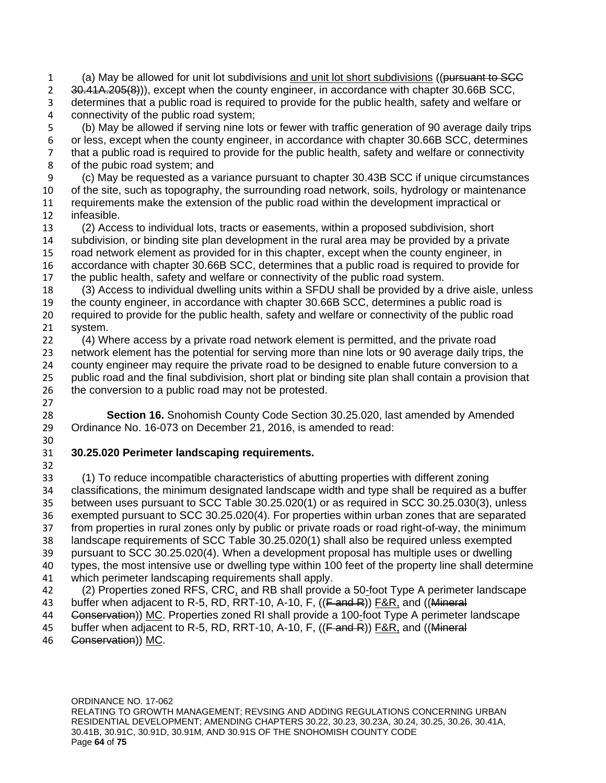1 (a) May be allowed for unit lot subdivisions and unit lot short subdivisions ((pursuant to SCC 2 30.41A. 205(8)), except when the county engineer, in accordance with chapter 30.66B SCC, determines that a public road is required to provide for the public health, safety and welfare or connectivity of the public road system;

 (b) May be allowed if serving nine lots or fewer with traffic generation of 90 average daily trips or less, except when the county engineer, in accordance with chapter 30.66B SCC, determines that a public road is required to provide for the public health, safety and welfare or connectivity of the pubic road system; and

 (c) May be requested as a variance pursuant to chapter 30.43B SCC if unique circumstances of the site, such as topography, the surrounding road network, soils, hydrology or maintenance requirements make the extension of the public road within the development impractical or infeasible.

 (2) Access to individual lots, tracts or easements, within a proposed subdivision, short subdivision, or binding site plan development in the rural area may be provided by a private road network element as provided for in this chapter, except when the county engineer, in accordance with chapter 30.66B SCC, determines that a public road is required to provide for the public health, safety and welfare or connectivity of the public road system.

 (3) Access to individual dwelling units within a SFDU shall be provided by a drive aisle, unless the county engineer, in accordance with chapter 30.66B SCC, determines a public road is required to provide for the public health, safety and welfare or connectivity of the public road system.

 (4) Where access by a private road network element is permitted, and the private road network element has the potential for serving more than nine lots or 90 average daily trips, the county engineer may require the private road to be designed to enable future conversion to a public road and the final subdivision, short plat or binding site plan shall contain a provision that 26 the conversion to a public road may not be protested.

 **Section 16.** Snohomish County Code Section 30.25.020, last amended by Amended Ordinance No. 16-073 on December 21, 2016, is amended to read: 

## **30.25.020 Perimeter landscaping requirements.**

 (1) To reduce incompatible characteristics of abutting properties with different zoning classifications, the minimum designated landscape width and type shall be required as a buffer between uses pursuant to SCC Table 30.25.020(1) or as required in SCC 30.25.030(3), unless exempted pursuant to SCC 30.25.020(4). For properties within urban zones that are separated from properties in rural zones only by public or private roads or road right-of-way, the minimum landscape requirements of SCC Table 30.25.020(1) shall also be required unless exempted pursuant to SCC 30.25.020(4). When a development proposal has multiple uses or dwelling types, the most intensive use or dwelling type within 100 feet of the property line shall determine which perimeter landscaping requirements shall apply. 42 (2) Properties zoned RFS, CRC, and RB shall provide a 50-foot Type A perimeter landscape

- 43 buffer when adjacent to R-5, RD, RRT-10, A-10, F, ((F and R)) F&R, and ((Mineral
- 44 Gonservation)) MC. Properties zoned RI shall provide a 100-foot Type A perimeter landscape
- 45 buffer when adjacent to R-5, RD, RRT-10, A-10, F, ((Fand R)) F&R, and ((Mineral
- Conservation)) MC.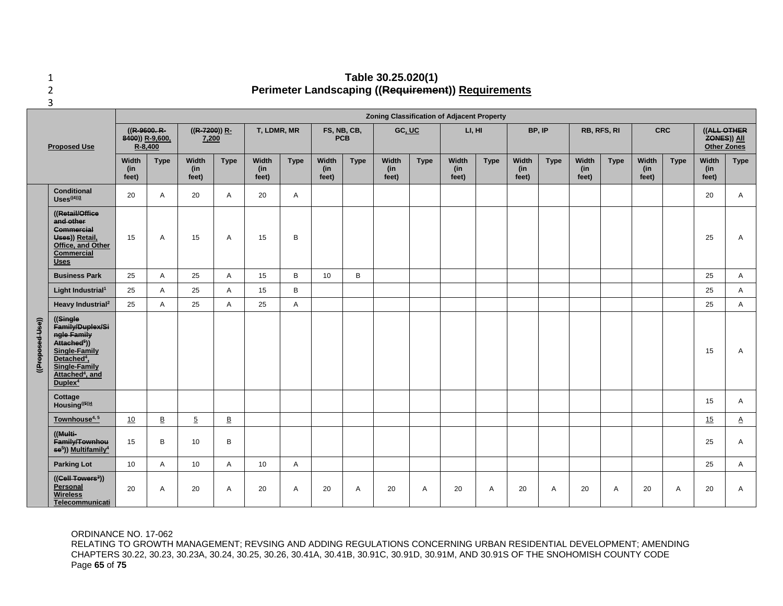#### 1 **Table 30.25.020(1)** 2 **Perimeter Landscaping ((Requirement)) Requirements**

**Zoning Classification of Adjacent Property ((R-9600. R-((R-7200)) R-T, LDMR, MR FS, NB, CB, GC, UC LI, HI BP, IP RB, RFS, RI CRC ((ALL OTHER 8400)) R-9,600, 7,200 PCB ZONES)) All Proposed Use R-8,400 Other Zones Type Width Type Width Type Width Type Width Type Width Type Width Width Type Width Type Width Type Width Type (in (in (in (in (in (in (in (in (in (in feet) feet) feet) feet) feet) feet) feet) feet) feet) feet) Conditional Uses((4))3** <sup>20</sup> <sup>A</sup> <sup>20</sup> <sup>A</sup> <sup>20</sup> <sup>A</sup> <sup>20</sup> <sup>A</sup> **((Retail/Office and other Commercial Uses)) Retail,**  15 A 15 A 15 B 25 A **Office, and Other Commercial Uses Business Park** 25 A 25 A 15 B 10 B 25 A **Light Industrial1** 25 A 25 A 15 B 25 A **Heavy Industrial2** 25 A 25 A 25 A 25 A ((Proposed Use)) **((Single ((Proposed Use)) Family/Duplex/Si ngle Family Attached5 )) Single-Family**  15 A **Detached4, Single-Family Attached4 , and Duplex4** Cottage<br>Housing<sup>((5))4</sup> **Housing((5))4** <sup>15</sup> <sup>A</sup> **Townhouse4, 5** 10 B 5 B 15 A **((Multi-Family/Townhou** 15 B 10 B 25 A **se5)) Multifamily4 Parking Lot** 10 A 10 A 10 A 25 A **((Cell Towers3)) Personal**  20 | A | 20 | A | 20 | A | 20 | A | 20 | A | 20 | A | 20 | A | 20 | A | 20 | A **Wireless Telecommunicati**

#### ORDINANCE NO. 17-062

RELATING TO GROWTH MANAGEMENT; REVSING AND ADDING REGULATIONS CONCERNING URBAN RESIDENTIAL DEVELOPMENT; AMENDING CHAPTERS 30.22, 30.23, 30.23A, 30.24, 30.25, 30.26, 30.41A, 30.41B, 30.91C, 30.91D, 30.91M, AND 30.91S OF THE SNOHOMISH COUNTY CODE Page **65** of **75**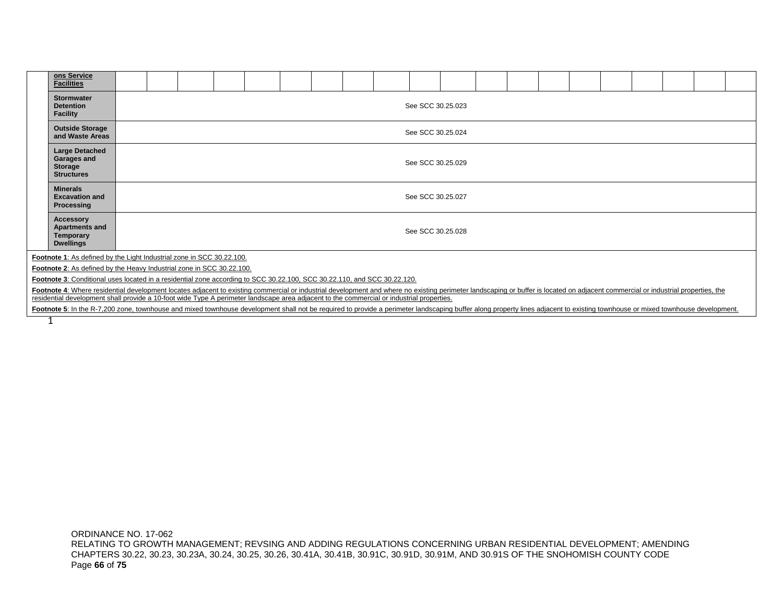|                                                                                                                                                                                                                                                                                                                                                                            | ons Service<br><b>Facilities</b>                                                                                                                                                                                               |                                        |                   |  |  |  |  |  |  |  |  |  |  |  |  |  |  |  |  |  |
|----------------------------------------------------------------------------------------------------------------------------------------------------------------------------------------------------------------------------------------------------------------------------------------------------------------------------------------------------------------------------|--------------------------------------------------------------------------------------------------------------------------------------------------------------------------------------------------------------------------------|----------------------------------------|-------------------|--|--|--|--|--|--|--|--|--|--|--|--|--|--|--|--|--|
|                                                                                                                                                                                                                                                                                                                                                                            | <b>Stormwater</b><br><b>Detention</b><br><b>Facility</b>                                                                                                                                                                       | See SCC 30.25.023                      |                   |  |  |  |  |  |  |  |  |  |  |  |  |  |  |  |  |  |
|                                                                                                                                                                                                                                                                                                                                                                            | <b>Outside Storage</b><br>and Waste Areas                                                                                                                                                                                      |                                        | See SCC 30.25.024 |  |  |  |  |  |  |  |  |  |  |  |  |  |  |  |  |  |
|                                                                                                                                                                                                                                                                                                                                                                            | <b>Large Detached</b><br>Garages and<br>Storage<br><b>Structures</b>                                                                                                                                                           | See SCC 30.25.029<br>See SCC 30.25.027 |                   |  |  |  |  |  |  |  |  |  |  |  |  |  |  |  |  |  |
|                                                                                                                                                                                                                                                                                                                                                                            | <b>Minerals</b><br><b>Excavation and</b><br>Processing                                                                                                                                                                         |                                        |                   |  |  |  |  |  |  |  |  |  |  |  |  |  |  |  |  |  |
|                                                                                                                                                                                                                                                                                                                                                                            | <b>Accessory</b><br><b>Apartments and</b><br>Temporary<br><b>Dwellings</b>                                                                                                                                                     | See SCC 30.25.028                      |                   |  |  |  |  |  |  |  |  |  |  |  |  |  |  |  |  |  |
|                                                                                                                                                                                                                                                                                                                                                                            | Footnote 1: As defined by the Light Industrial zone in SCC 30.22.100.                                                                                                                                                          |                                        |                   |  |  |  |  |  |  |  |  |  |  |  |  |  |  |  |  |  |
| Footnote 2: As defined by the Heavy Industrial zone in SCC 30.22.100.                                                                                                                                                                                                                                                                                                      |                                                                                                                                                                                                                                |                                        |                   |  |  |  |  |  |  |  |  |  |  |  |  |  |  |  |  |  |
| Footnote 3: Conditional uses located in a residential zone according to SCC 30.22.100, SCC 30.22.110, and SCC 30.22.120.                                                                                                                                                                                                                                                   |                                                                                                                                                                                                                                |                                        |                   |  |  |  |  |  |  |  |  |  |  |  |  |  |  |  |  |  |
|                                                                                                                                                                                                                                                                                                                                                                            |                                                                                                                                                                                                                                |                                        |                   |  |  |  |  |  |  |  |  |  |  |  |  |  |  |  |  |  |
| Footnote 4: Where residential development locates adjacent to existing commercial or industrial development and where no existing perimeter landscaping or buffer is located on adjacent commercial or industrial properties,<br>residential development shall provide a 10-foot wide Type A perimeter landscape area adjacent to the commercial or industrial properties. |                                                                                                                                                                                                                                |                                        |                   |  |  |  |  |  |  |  |  |  |  |  |  |  |  |  |  |  |
|                                                                                                                                                                                                                                                                                                                                                                            | Footnote 5: In the R-7,200 zone, townhouse and mixed townhouse development shall not be required to provide a perimeter landscaping buffer along property lines adjacent to existing townhouse or mixed townhouse development. |                                        |                   |  |  |  |  |  |  |  |  |  |  |  |  |  |  |  |  |  |
|                                                                                                                                                                                                                                                                                                                                                                            |                                                                                                                                                                                                                                |                                        |                   |  |  |  |  |  |  |  |  |  |  |  |  |  |  |  |  |  |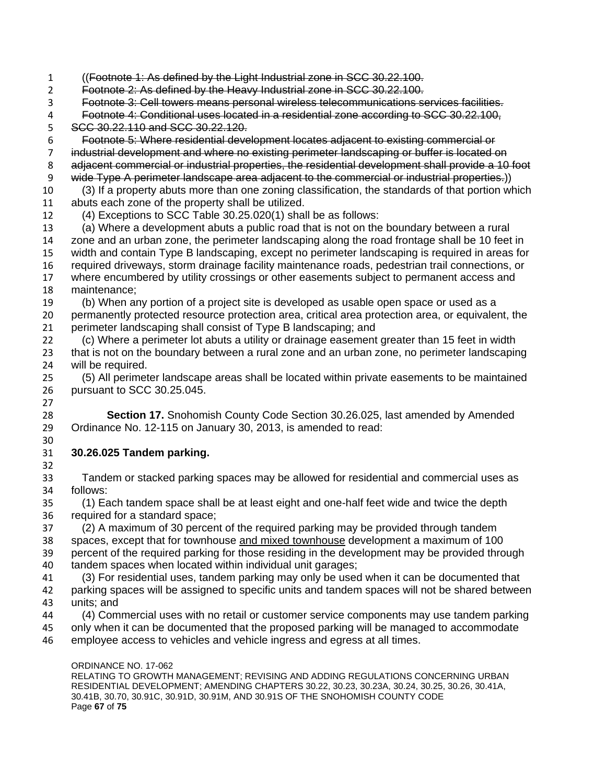((Footnote 1: As defined by the Light Industrial zone in SCC 30.22.100. Footnote 2: As defined by the Heavy Industrial zone in SCC 30.22.100. Footnote 3: Cell towers means personal wireless telecommunications services facilities. Footnote 4: Conditional uses located in a residential zone according to SCC 30.22.100, SCC 30.22.110 and SCC 30.22.120. Footnote 5: Where residential development locates adjacent to existing commercial or industrial development and where no existing perimeter landscaping or buffer is located on adjacent commercial or industrial properties, the residential development shall provide a 10 foot wide Type A perimeter landscape area adjacent to the commercial or industrial properties.)) (3) If a property abuts more than one zoning classification, the standards of that portion which abuts each zone of the property shall be utilized. (4) Exceptions to SCC Table 30.25.020(1) shall be as follows: (a) Where a development abuts a public road that is not on the boundary between a rural zone and an urban zone, the perimeter landscaping along the road frontage shall be 10 feet in width and contain Type B landscaping, except no perimeter landscaping is required in areas for 16 required driveways, storm drainage facility maintenance roads, pedestrian trail connections, or<br>17 where encumbered by utility crossings or other easements subiect to permanent access and where encumbered by utility crossings or other easements subject to permanent access and maintenance; (b) When any portion of a project site is developed as usable open space or used as a permanently protected resource protection area, critical area protection area, or equivalent, the perimeter landscaping shall consist of Type B landscaping; and (c) Where a perimeter lot abuts a utility or drainage easement greater than 15 feet in width that is not on the boundary between a rural zone and an urban zone, no perimeter landscaping will be required. (5) All perimeter landscape areas shall be located within private easements to be maintained pursuant to SCC 30.25.045. **Section 17.** Snohomish County Code Section 30.26.025, last amended by Amended Ordinance No. 12-115 on January 30, 2013, is amended to read: **30.26.025 Tandem parking.** Tandem or stacked parking spaces may be allowed for residential and commercial uses as follows: (1) Each tandem space shall be at least eight and one-half feet wide and twice the depth required for a standard space; (2) A maximum of 30 percent of the required parking may be provided through tandem spaces, except that for townhouse and mixed townhouse development a maximum of 100 percent of the required parking for those residing in the development may be provided through tandem spaces when located within individual unit garages; (3) For residential uses, tandem parking may only be used when it can be documented that parking spaces will be assigned to specific units and tandem spaces will not be shared between units; and (4) Commercial uses with no retail or customer service components may use tandem parking only when it can be documented that the proposed parking will be managed to accommodate employee access to vehicles and vehicle ingress and egress at all times.

ORDINANCE NO. 17-062 RELATING TO GROWTH MANAGEMENT; REVISING AND ADDING REGULATIONS CONCERNING URBAN RESIDENTIAL DEVELOPMENT; AMENDING CHAPTERS 30.22, 30.23, 30.23A, 30.24, 30.25, 30.26, 30.41A, 30.41B, 30.70, 30.91C, 30.91D, 30.91M, AND 30.91S OF THE SNOHOMISH COUNTY CODE Page **67** of **75**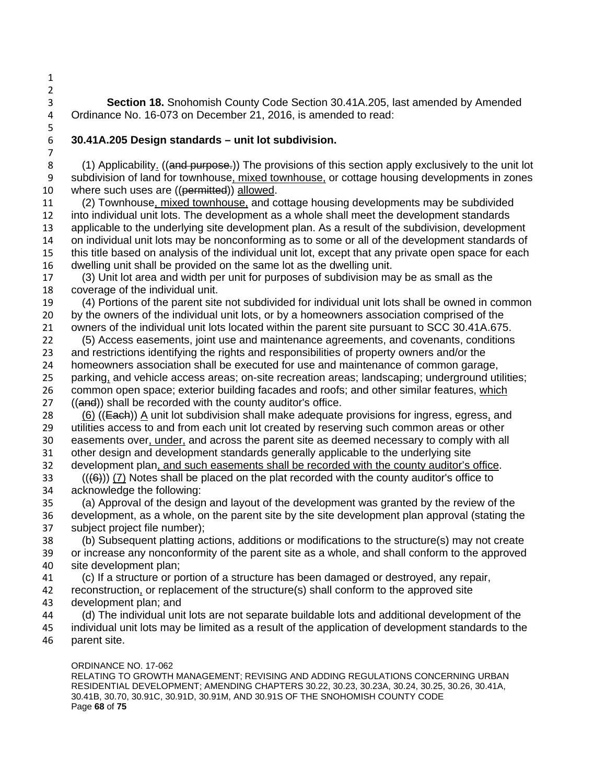- **Section 18.** Snohomish County Code Section 30.41A.205, last amended by Amended 4 Ordinance No. 16-073 on December 21, 2016, is amended to read: Ordinance No. 16-073 on December 21, 2016, is amended to read:
- 

# **30.41A.205 Design standards – unit lot subdivision.**

8 (1) Applicability. ((and purpose.)) The provisions of this section apply exclusively to the unit lot subdivision of land for townhouse, mixed townhouse, or cottage housing developments in zones 10 where such uses are ((permitted)) allowed.

 (2) Townhouse, mixed townhouse, and cottage housing developments may be subdivided into individual unit lots. The development as a whole shall meet the development standards applicable to the underlying site development plan. As a result of the subdivision, development on individual unit lots may be nonconforming as to some or all of the development standards of this title based on analysis of the individual unit lot, except that any private open space for each 16 dwelling unit shall be provided on the same lot as the dwelling unit.<br>17 (3) Unit lot area and width per unit for purposes of subdivision ma

(3) Unit lot area and width per unit for purposes of subdivision may be as small as the coverage of the individual unit.

 (4) Portions of the parent site not subdivided for individual unit lots shall be owned in common by the owners of the individual unit lots, or by a homeowners association comprised of the owners of the individual unit lots located within the parent site pursuant to SCC 30.41A.675.

- (5) Access easements, joint use and maintenance agreements, and covenants, conditions and restrictions identifying the rights and responsibilities of property owners and/or the homeowners association shall be executed for use and maintenance of common garage, parking, and vehicle access areas; on-site recreation areas; landscaping; underground utilities; common open space; exterior building facades and roofs; and other similar features, which
- 27 ((and)) shall be recorded with the county auditor's office.
- 28  $(6)$  ((Each)) A unit lot subdivision shall make adequate provisions for ingress, egress, and utilities access to and from each unit lot created by reserving such common areas or other easements over, under, and across the parent site as deemed necessary to comply with all other design and development standards generally applicable to the underlying site development plan, and such easements shall be recorded with the county auditor's office.
- (((6))) (7) Notes shall be placed on the plat recorded with the county auditor's office to acknowledge the following:
- (a) Approval of the design and layout of the development was granted by the review of the development, as a whole, on the parent site by the site development plan approval (stating the subject project file number);

 (b) Subsequent platting actions, additions or modifications to the structure(s) may not create or increase any nonconformity of the parent site as a whole, and shall conform to the approved site development plan;

- (c) If a structure or portion of a structure has been damaged or destroyed, any repair,
- reconstruction, or replacement of the structure(s) shall conform to the approved site development plan; and
- (d) The individual unit lots are not separate buildable lots and additional development of the
- individual unit lots may be limited as a result of the application of development standards to the
- parent site.

## ORDINANCE NO. 17-062

RELATING TO GROWTH MANAGEMENT; REVISING AND ADDING REGULATIONS CONCERNING URBAN RESIDENTIAL DEVELOPMENT; AMENDING CHAPTERS 30.22, 30.23, 30.23A, 30.24, 30.25, 30.26, 30.41A, 30.41B, 30.70, 30.91C, 30.91D, 30.91M, AND 30.91S OF THE SNOHOMISH COUNTY CODE Page **68** of **75**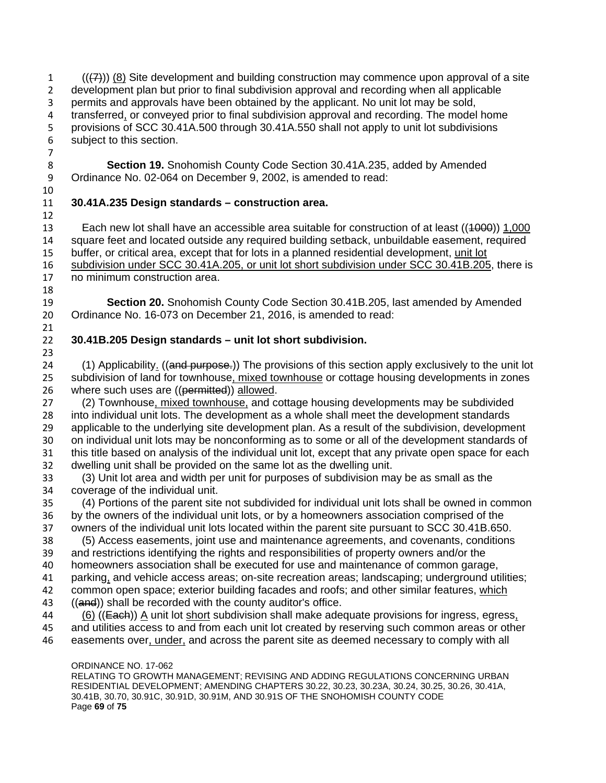(( $(7)$ )) (8) Site development and building construction may commence upon approval of a site development plan but prior to final subdivision approval and recording when all applicable permits and approvals have been obtained by the applicant. No unit lot may be sold, transferred, or conveyed prior to final subdivision approval and recording. The model home provisions of SCC 30.41A.500 through 30.41A.550 shall not apply to unit lot subdivisions subject to this section. 

 **Section 19.** Snohomish County Code Section 30.41A.235, added by Amended Ordinance No. 02-064 on December 9, 2002, is amended to read:

 

## **30.41A.235 Design standards – construction area.**

 Each new lot shall have an accessible area suitable for construction of at least ((1000)) 1,000 square feet and located outside any required building setback, unbuildable easement, required buffer, or critical area, except that for lots in a planned residential development, unit lot 16 subdivision under SCC 30.41A.205, or unit lot short subdivision under SCC 30.41B.205, there is 17 no minimum construction area. no minimum construction area.

 **Section 20.** Snohomish County Code Section 30.41B.205, last amended by Amended Ordinance No. 16-073 on December 21, 2016, is amended to read: 

# **30.41B.205 Design standards – unit lot short subdivision.**

24 (1) Applicability. ((and purpose.)) The provisions of this section apply exclusively to the unit lot subdivision of land for townhouse, mixed townhouse or cottage housing developments in zones 26 where such uses are ((permitted)) allowed.

27 (2) Townhouse, mixed townhouse, and cottage housing developments may be subdivided into individual unit lots. The development as a whole shall meet the development standards applicable to the underlying site development plan. As a result of the subdivision, development on individual unit lots may be nonconforming as to some or all of the development standards of this title based on analysis of the individual unit lot, except that any private open space for each dwelling unit shall be provided on the same lot as the dwelling unit.

 (3) Unit lot area and width per unit for purposes of subdivision may be as small as the coverage of the individual unit.

 (4) Portions of the parent site not subdivided for individual unit lots shall be owned in common by the owners of the individual unit lots, or by a homeowners association comprised of the owners of the individual unit lots located within the parent site pursuant to SCC 30.41B.650.

- (5) Access easements, joint use and maintenance agreements, and covenants, conditions
- and restrictions identifying the rights and responsibilities of property owners and/or the
- homeowners association shall be executed for use and maintenance of common garage,

parking, and vehicle access areas; on-site recreation areas; landscaping; underground utilities;

- 42 common open space; exterior building facades and roofs; and other similar features, which 43 ((and)) shall be recorded with the county auditor's office.
- 44 (6) ((Each)) A unit lot short subdivision shall make adequate provisions for ingress, egress, and utilities access to and from each unit lot created by reserving such common areas or other
- easements over, under, and across the parent site as deemed necessary to comply with all

## ORDINANCE NO. 17-062

RELATING TO GROWTH MANAGEMENT; REVISING AND ADDING REGULATIONS CONCERNING URBAN RESIDENTIAL DEVELOPMENT; AMENDING CHAPTERS 30.22, 30.23, 30.23A, 30.24, 30.25, 30.26, 30.41A, 30.41B, 30.70, 30.91C, 30.91D, 30.91M, AND 30.91S OF THE SNOHOMISH COUNTY CODE Page **69** of **75**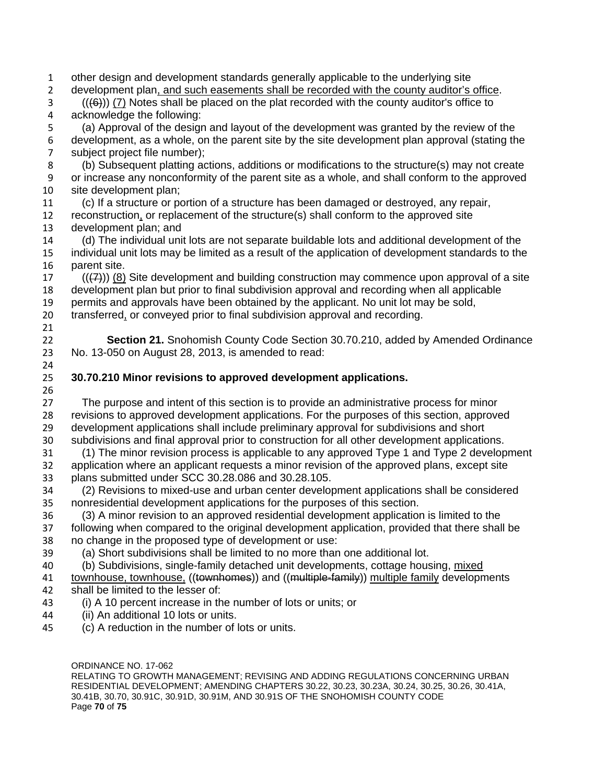other design and development standards generally applicable to the underlying site development plan, and such easements shall be recorded with the county auditor's office. (( $(46)$ )) (7) Notes shall be placed on the plat recorded with the county auditor's office to acknowledge the following: (a) Approval of the design and layout of the development was granted by the review of the development, as a whole, on the parent site by the site development plan approval (stating the subject project file number); (b) Subsequent platting actions, additions or modifications to the structure(s) may not create or increase any nonconformity of the parent site as a whole, and shall conform to the approved site development plan; (c) If a structure or portion of a structure has been damaged or destroyed, any repair, reconstruction, or replacement of the structure(s) shall conform to the approved site development plan; and (d) The individual unit lots are not separate buildable lots and additional development of the individual unit lots may be limited as a result of the application of development standards to the parent site. (( $(7)$ )) (8) Site development and building construction may commence upon approval of a site development plan but prior to final subdivision approval and recording when all applicable permits and approvals have been obtained by the applicant. No unit lot may be sold, transferred, or conveyed prior to final subdivision approval and recording. **Section 21.** Snohomish County Code Section 30.70.210, added by Amended Ordinance No. 13-050 on August 28, 2013, is amended to read: **30.70.210 Minor revisions to approved development applications.** The purpose and intent of this section is to provide an administrative process for minor revisions to approved development applications. For the purposes of this section, approved development applications shall include preliminary approval for subdivisions and short subdivisions and final approval prior to construction for all other development applications. (1) The minor revision process is applicable to any approved Type 1 and Type 2 development application where an applicant requests a minor revision of the approved plans, except site plans submitted under SCC 30.28.086 and 30.28.105. (2) Revisions to mixed-use and urban center development applications shall be considered nonresidential development applications for the purposes of this section. (3) A minor revision to an approved residential development application is limited to the following when compared to the original development application, provided that there shall be no change in the proposed type of development or use: (a) Short subdivisions shall be limited to no more than one additional lot. 40 (b) Subdivisions, single-family detached unit developments, cottage housing, mixed 41 townhouse, townhouse, ((townhomes)) and ((multiple-family)) multiple family developments shall be limited to the lesser of: (i) A 10 percent increase in the number of lots or units; or (ii) An additional 10 lots or units. (c) A reduction in the number of lots or units.

ORDINANCE NO. 17-062 RELATING TO GROWTH MANAGEMENT; REVISING AND ADDING REGULATIONS CONCERNING URBAN RESIDENTIAL DEVELOPMENT; AMENDING CHAPTERS 30.22, 30.23, 30.23A, 30.24, 30.25, 30.26, 30.41A, 30.41B, 30.70, 30.91C, 30.91D, 30.91M, AND 30.91S OF THE SNOHOMISH COUNTY CODE Page **70** of **75**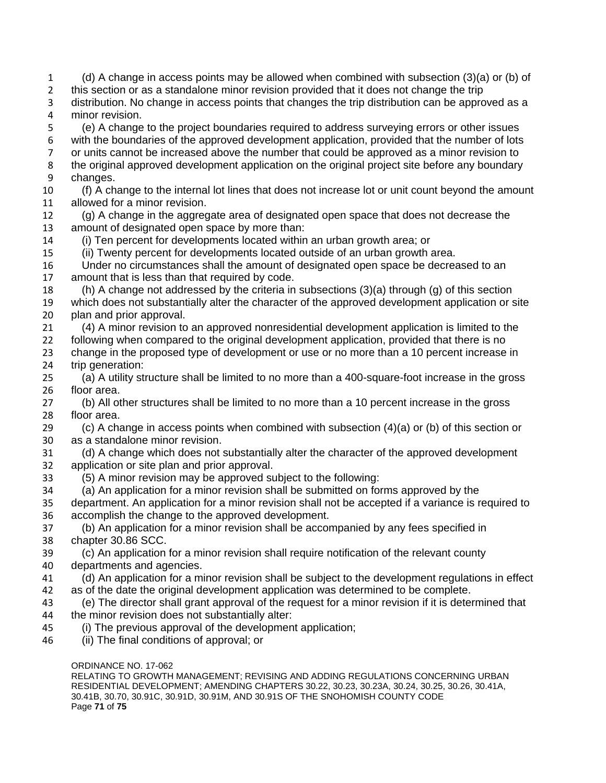(d) A change in access points may be allowed when combined with subsection (3)(a) or (b) of this section or as a standalone minor revision provided that it does not change the trip distribution. No change in access points that changes the trip distribution can be approved as a minor revision. (e) A change to the project boundaries required to address surveying errors or other issues with the boundaries of the approved development application, provided that the number of lots or units cannot be increased above the number that could be approved as a minor revision to the original approved development application on the original project site before any boundary changes. (f) A change to the internal lot lines that does not increase lot or unit count beyond the amount allowed for a minor revision. (g) A change in the aggregate area of designated open space that does not decrease the amount of designated open space by more than: (i) Ten percent for developments located within an urban growth area; or (ii) Twenty percent for developments located outside of an urban growth area. Under no circumstances shall the amount of designated open space be decreased to an amount that is less than that required by code. (h) A change not addressed by the criteria in subsections (3)(a) through (g) of this section which does not substantially alter the character of the approved development application or site plan and prior approval. (4) A minor revision to an approved nonresidential development application is limited to the following when compared to the original development application, provided that there is no change in the proposed type of development or use or no more than a 10 percent increase in trip generation: (a) A utility structure shall be limited to no more than a 400-square-foot increase in the gross floor area. (b) All other structures shall be limited to no more than a 10 percent increase in the gross floor area.  $\langle c \rangle$  A change in access points when combined with subsection  $(4)(a)$  or (b) of this section or as a standalone minor revision. (d) A change which does not substantially alter the character of the approved development application or site plan and prior approval. (5) A minor revision may be approved subject to the following: (a) An application for a minor revision shall be submitted on forms approved by the department. An application for a minor revision shall not be accepted if a variance is required to accomplish the change to the approved development. (b) An application for a minor revision shall be accompanied by any fees specified in chapter 30.86 SCC. (c) An application for a minor revision shall require notification of the relevant county departments and agencies. (d) An application for a minor revision shall be subject to the development regulations in effect as of the date the original development application was determined to be complete. (e) The director shall grant approval of the request for a minor revision if it is determined that the minor revision does not substantially alter: (i) The previous approval of the development application; (ii) The final conditions of approval; or

ORDINANCE NO. 17-062

RELATING TO GROWTH MANAGEMENT; REVISING AND ADDING REGULATIONS CONCERNING URBAN RESIDENTIAL DEVELOPMENT; AMENDING CHAPTERS 30.22, 30.23, 30.23A, 30.24, 30.25, 30.26, 30.41A, 30.41B, 30.70, 30.91C, 30.91D, 30.91M, AND 30.91S OF THE SNOHOMISH COUNTY CODE Page **71** of **75**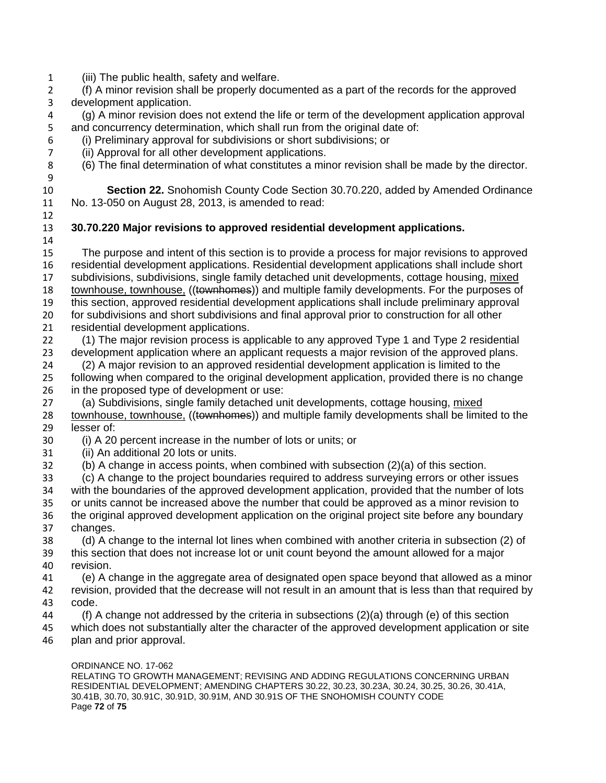(iii) The public health, safety and welfare.

 (f) A minor revision shall be properly documented as a part of the records for the approved development application.

 (g) A minor revision does not extend the life or term of the development application approval and concurrency determination, which shall run from the original date of:

- (i) Preliminary approval for subdivisions or short subdivisions; or
- (ii) Approval for all other development applications.
- (6) The final determination of what constitutes a minor revision shall be made by the director.

 **Section 22.** Snohomish County Code Section 30.70.220, added by Amended Ordinance No. 13-050 on August 28, 2013, is amended to read:

## **30.70.220 Major revisions to approved residential development applications.**

- The purpose and intent of this section is to provide a process for major revisions to approved residential development applications. Residential development applications shall include short 17 subdivisions, subdivisions, single family detached unit developments, cottage housing, mixed 18 townhouse, townhouse, ((townhomes)) and multiple family developments. For the purposes of this section, approved residential development applications shall include preliminary approval for subdivisions and short subdivisions and final approval prior to construction for all other residential development applications. (1) The major revision process is applicable to any approved Type 1 and Type 2 residential
- development application where an applicant requests a major revision of the approved plans. (2) A major revision to an approved residential development application is limited to the
- following when compared to the original development application, provided there is no change in the proposed type of development or use:
- (a) Subdivisions, single family detached unit developments, cottage housing, mixed
- 28 townhouse, townhouse, ((townhomes)) and multiple family developments shall be limited to the lesser of:
- (i) A 20 percent increase in the number of lots or units; or
- (ii) An additional 20 lots or units.
- (b) A change in access points, when combined with subsection (2)(a) of this section.
- (c) A change to the project boundaries required to address surveying errors or other issues with the boundaries of the approved development application, provided that the number of lots or units cannot be increased above the number that could be approved as a minor revision to the original approved development application on the original project site before any boundary changes.
- (d) A change to the internal lot lines when combined with another criteria in subsection (2) of this section that does not increase lot or unit count beyond the amount allowed for a major revision.
- (e) A change in the aggregate area of designated open space beyond that allowed as a minor revision, provided that the decrease will not result in an amount that is less than that required by code.
- (f) A change not addressed by the criteria in subsections (2)(a) through (e) of this section
- which does not substantially alter the character of the approved development application or site plan and prior approval.
	-

ORDINANCE NO. 17-062 RELATING TO GROWTH MANAGEMENT; REVISING AND ADDING REGULATIONS CONCERNING URBAN RESIDENTIAL DEVELOPMENT; AMENDING CHAPTERS 30.22, 30.23, 30.23A, 30.24, 30.25, 30.26, 30.41A, 30.41B, 30.70, 30.91C, 30.91D, 30.91M, AND 30.91S OF THE SNOHOMISH COUNTY CODE Page **72** of **75**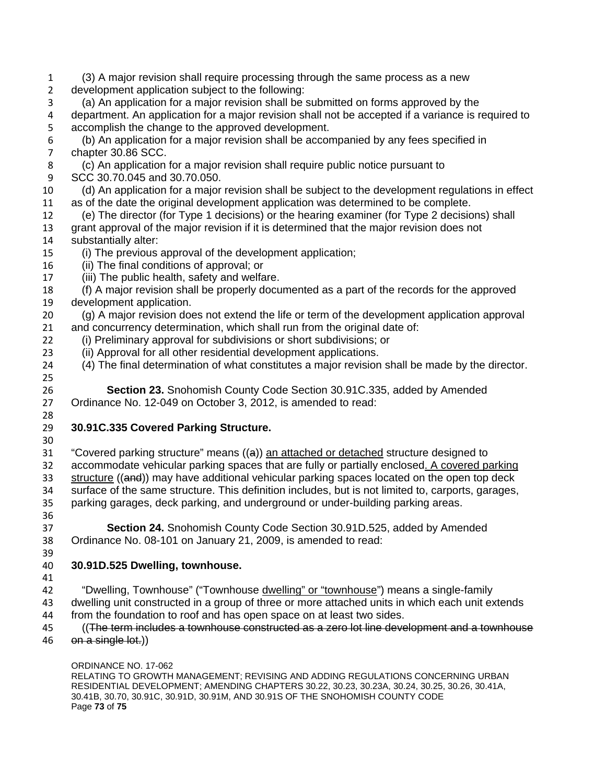- (3) A major revision shall require processing through the same process as a new development application subject to the following: (a) An application for a major revision shall be submitted on forms approved by the department. An application for a major revision shall not be accepted if a variance is required to accomplish the change to the approved development. (b) An application for a major revision shall be accompanied by any fees specified in chapter 30.86 SCC. (c) An application for a major revision shall require public notice pursuant to SCC 30.70.045 and 30.70.050. (d) An application for a major revision shall be subject to the development regulations in effect as of the date the original development application was determined to be complete. (e) The director (for Type 1 decisions) or the hearing examiner (for Type 2 decisions) shall grant approval of the major revision if it is determined that the major revision does not substantially alter: (i) The previous approval of the development application; (ii) The final conditions of approval; or (iii) The public health, safety and welfare. (f) A major revision shall be properly documented as a part of the records for the approved development application. (g) A major revision does not extend the life or term of the development application approval and concurrency determination, which shall run from the original date of: (i) Preliminary approval for subdivisions or short subdivisions; or (ii) Approval for all other residential development applications. (4) The final determination of what constitutes a major revision shall be made by the director. **Section 23.** Snohomish County Code Section 30.91C.335, added by Amended 27 Ordinance No. 12-049 on October 3, 2012, is amended to read: Ordinance No. 12-049 on October 3, 2012, is amended to read: **30.91C.335 Covered Parking Structure.** "Covered parking structure" means ((a)) an attached or detached structure designed to accommodate vehicular parking spaces that are fully or partially enclosed. A covered parking 33 structure ((and)) may have additional vehicular parking spaces located on the open top deck surface of the same structure. This definition includes, but is not limited to, carports, garages, parking garages, deck parking, and underground or under-building parking areas. **Section 24.** Snohomish County Code Section 30.91D.525, added by Amended Ordinance No. 08-101 on January 21, 2009, is amended to read: **30.91D.525 Dwelling, townhouse.** "Dwelling, Townhouse" ("Townhouse dwelling" or "townhouse") means a single-family dwelling unit constructed in a group of three or more attached units in which each unit extends from the foundation to roof and has open space on at least two sides. ((The term includes a townhouse constructed as a zero lot line development and a townhouse 46 on a single lot.)
	- ORDINANCE NO. 17-062

RELATING TO GROWTH MANAGEMENT; REVISING AND ADDING REGULATIONS CONCERNING URBAN RESIDENTIAL DEVELOPMENT; AMENDING CHAPTERS 30.22, 30.23, 30.23A, 30.24, 30.25, 30.26, 30.41A, 30.41B, 30.70, 30.91C, 30.91D, 30.91M, AND 30.91S OF THE SNOHOMISH COUNTY CODE Page **73** of **75**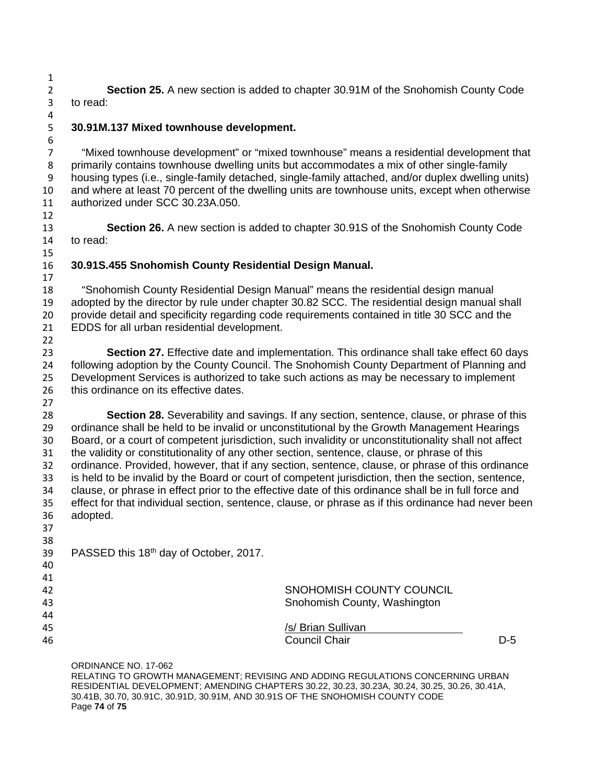**Section 25.** A new section is added to chapter 30.91M of the Snohomish County Code to read:

**30.91M.137 Mixed townhouse development.**

 "Mixed townhouse development" or "mixed townhouse" means a residential development that primarily contains townhouse dwelling units but accommodates a mix of other single-family housing types (i.e., single-family detached, single-family attached, and/or duplex dwelling units) and where at least 70 percent of the dwelling units are townhouse units, except when otherwise authorized under SCC 30.23A.050.

 **Section 26.** A new section is added to chapter 30.91S of the Snohomish County Code to read:

## **30.91S.455 Snohomish County Residential Design Manual.**

 "Snohomish County Residential Design Manual" means the residential design manual adopted by the director by rule under chapter 30.82 SCC. The residential design manual shall provide detail and specificity regarding code requirements contained in title 30 SCC and the EDDS for all urban residential development. 

 **Section 27.** Effective date and implementation. This ordinance shall take effect 60 days following adoption by the County Council. The Snohomish County Department of Planning and Development Services is authorized to take such actions as may be necessary to implement 26 this ordinance on its effective dates. 

 **Section 28.** Severability and savings. If any section, sentence, clause, or phrase of this ordinance shall be held to be invalid or unconstitutional by the Growth Management Hearings Board, or a court of competent jurisdiction, such invalidity or unconstitutionality shall not affect the validity or constitutionality of any other section, sentence, clause, or phrase of this ordinance. Provided, however, that if any section, sentence, clause, or phrase of this ordinance is held to be invalid by the Board or court of competent jurisdiction, then the section, sentence, clause, or phrase in effect prior to the effective date of this ordinance shall be in full force and effect for that individual section, sentence, clause, or phrase as if this ordinance had never been adopted.

| 37 |                                                    |                              |       |
|----|----------------------------------------------------|------------------------------|-------|
| 38 |                                                    |                              |       |
| 39 | PASSED this 18 <sup>th</sup> day of October, 2017. |                              |       |
| 40 |                                                    |                              |       |
| 41 |                                                    |                              |       |
| 42 |                                                    | SNOHOMISH COUNTY COUNCIL     |       |
| 43 |                                                    | Snohomish County, Washington |       |
| 44 |                                                    |                              |       |
| 45 |                                                    | /s/ Brian Sullivan           |       |
| 46 |                                                    | <b>Council Chair</b>         | $D-5$ |
|    |                                                    |                              |       |

ORDINANCE NO. 17-062 RELATING TO GROWTH MANAGEMENT; REVISING AND ADDING REGULATIONS CONCERNING URBAN RESIDENTIAL DEVELOPMENT; AMENDING CHAPTERS 30.22, 30.23, 30.23A, 30.24, 30.25, 30.26, 30.41A, 30.41B, 30.70, 30.91C, 30.91D, 30.91M, AND 30.91S OF THE SNOHOMISH COUNTY CODE Page **74** of **75**